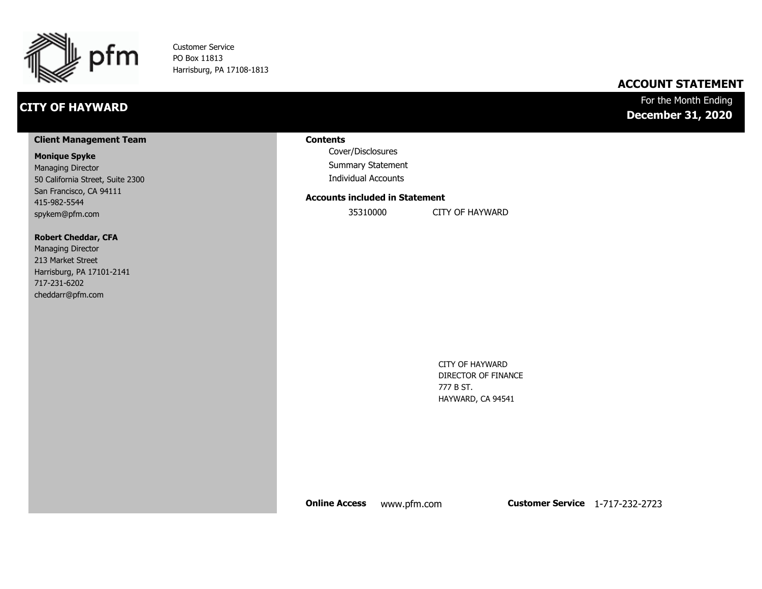

Customer Service PO Box 11813 Harrisburg, PA 17108-1813

# **CITY OF HAYWARD**

### **ACCOUNT STATEMENT**

For the Month Ending **December 31, 2020**

#### **Client Management Team**

#### **Monique Spyke**

Managing Director 50 California Street, Suite 2300 San Francisco, CA 94111 415-982-5544 spykem@pfm.com

#### **Robert Cheddar, CFA**

| <b>Managing Director</b>  |
|---------------------------|
| 213 Market Street         |
| Harrisburg, PA 17101-2141 |
| 717-231-6202              |
| cheddarr@pfm.com          |

#### **Contents**

Cover/Disclosures Summary Statement Individual Accounts

#### **Accounts included in Statement**

35310000 CITY OF HAYWARD

CITY OF HAYWARD DIRECTOR OF FINANCE 777 B ST. HAYWARD, CA 94541

**Online Access** www.pfm.com **Customer Service** 1-717-232-2723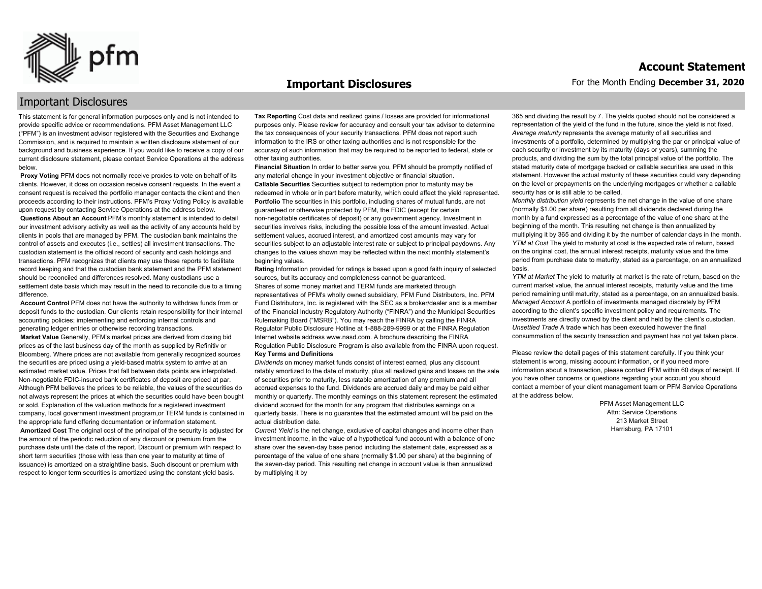

#### **Important Disclosures**

### Important Disclosures

This statement is for general information purposes only and is not intended to provide specific advice or recommendations. PFM Asset Management LLC ("PFM") is an investment advisor registered with the Securities and Exchange Commission, and is required to maintain a written disclosure statement of our background and business experience. If you would like to receive a copy of our current disclosure statement, please contact Service Operations at the address below.

**Proxy Voting** PFM does not normally receive proxies to vote on behalf of its clients. However, it does on occasion receive consent requests. In the event a consent request is received the portfolio manager contacts the client and then proceeds according to their instructions. PFM's Proxy Voting Policy is available upon request by contacting Service Operations at the address below. **Questions About an Account** PFM's monthly statement is intended to detail our investment advisory activity as well as the activity of any accounts held by clients in pools that are managed by PFM. The custodian bank maintains the control of assets and executes (i.e., settles) all investment transactions. The custodian statement is the official record of security and cash holdings and transactions. PFM recognizes that clients may use these reports to facilitate record keeping and that the custodian bank statement and the PFM statement should be reconciled and differences resolved. Many custodians use a settlement date basis which may result in the need to reconcile due to a timing

difference. **Account Control** PFM does not have the authority to withdraw funds from or deposit funds to the custodian. Our clients retain responsibility for their internal

accounting policies; implementing and enforcing internal controls and generating ledger entries or otherwise recording transactions. **Market Value** Generally, PFM's market prices are derived from closing bid prices as of the last business day of the month as supplied by Refinitiv or Bloomberg. Where prices are not available from generally recognized sources the securities are priced using a yield-based matrix system to arrive at an estimated market value. Prices that fall between data points are interpolated. Non-negotiable FDIC-insured bank certificates of deposit are priced at par. Although PFM believes the prices to be reliable, the values of the securities do not always represent the prices at which the securities could have been bought or sold. Explanation of the valuation methods for a registered investment company, local government investment program,or TERM funds is contained in the appropriate fund offering documentation or information statement. **Amortized Cost** The original cost of the principal of the security is adjusted for the amount of the periodic reduction of any discount or premium from the purchase date until the date of the report. Discount or premium with respect to short term securities (those with less than one year to maturity at time of issuance) is amortized on a straightline basis. Such discount or premium with respect to longer term securities is amortized using the constant yield basis.

**Tax Reporting** Cost data and realized gains / losses are provided for informational purposes only. Please review for accuracy and consult your tax advisor to determine the tax consequences of your security transactions. PFM does not report such information to the IRS or other taxing authorities and is not responsible for the accuracy of such information that may be required to be reported to federal, state or other taxing authorities.

**Financial Situation** In order to better serve you, PFM should be promptly notified of any material change in your investment objective or financial situation. **Callable Securities** Securities subject to redemption prior to maturity may be redeemed in whole or in part before maturity, which could affect the yield represented. Portfolio The securities in this portfolio, including shares of mutual funds, are not guaranteed or otherwise protected by PFM, the FDIC (except for certain non-negotiable certificates of deposit) or any government agency. Investment in securities involves risks, including the possible loss of the amount invested. Actual settlement values, accrued interest, and amortized cost amounts may vary for securities subject to an adjustable interest rate or subject to principal paydowns. Any changes to the values shown may be reflected within the next monthly statement's beginning values.

**Rating** Information provided for ratings is based upon a good faith inquiry of selected sources, but its accuracy and completeness cannot be guaranteed. Shares of some money market and TERM funds are marketed through representatives of PFM's wholly owned subsidiary, PFM Fund Distributors, Inc. PFM Fund Distributors, Inc. is registered with the SEC as a broker/dealer and is a member of the Financial Industry Regulatory Authority ("FINRA") and the Municipal Securities Rulemaking Board ("MSRB"). You may reach the FINRA by calling the FINRA Regulator Public Disclosure Hotline at 1-888-289-9999 or at the FINRA Regulation Internet website address www.nasd.com. A brochure describing the FINRA Regulation Public Disclosure Program is also available from the FINRA upon request. **Key Terms and Definitions**

*Dividends* on money market funds consist of interest earned, plus any discount ratably amortized to the date of maturity, plus all realized gains and losses on the sale of securities prior to maturity, less ratable amortization of any premium and all accrued expenses to the fund. Dividends are accrued daily and may be paid either monthly or quarterly. The monthly earnings on this statement represent the estimated dividend accrued for the month for any program that distributes earnings on a quarterly basis. There is no guarantee that the estimated amount will be paid on the actual distribution date.

*Current Yield* is the net change, exclusive of capital changes and income other than investment income, in the value of a hypothetical fund account with a balance of one share over the seven-day base period including the statement date, expressed as a percentage of the value of one share (normally \$1.00 per share) at the beginning of the seven-day period. This resulting net change in account value is then annualized by multiplying it by

365 and dividing the result by 7. The yields quoted should not be considered a representation of the yield of the fund in the future, since the yield is not fixed. *Average maturity* represents the average maturity of all securities and investments of a portfolio, determined by multiplying the par or principal value of each security or investment by its maturity (days or years), summing the products, and dividing the sum by the total principal value of the portfolio. The stated maturity date of mortgage backed or callable securities are used in this statement. However the actual maturity of these securities could vary depending on the level or prepayments on the underlying mortgages or whether a callable security has or is still able to be called.

*Monthly distribution yield* represents the net change in the value of one share (normally \$1.00 per share) resulting from all dividends declared during the month by a fund expressed as a percentage of the value of one share at the beginning of the month. This resulting net change is then annualized by multiplying it by 365 and dividing it by the number of calendar days in the month. *YTM at Cost* The yield to maturity at cost is the expected rate of return, based on the original cost, the annual interest receipts, maturity value and the time period from purchase date to maturity, stated as a percentage, on an annualized basis.

*YTM at Market* The yield to maturity at market is the rate of return, based on the current market value, the annual interest receipts, maturity value and the time period remaining until maturity, stated as a percentage, on an annualized basis. *Managed Account* A portfolio of investments managed discretely by PFM according to the client's specific investment policy and requirements. The investments are directly owned by the client and held by the client's custodian. *Unsettled Trade* A trade which has been executed however the final consummation of the security transaction and payment has not yet taken place.

Please review the detail pages of this statement carefully. If you think your statement is wrong, missing account information, or if you need more information about a transaction, please contact PFM within 60 days of receipt. If you have other concerns or questions regarding your account you should contact a member of your client management team or PFM Service Operations at the address below.

> PFM Asset Management LLC Attn: Service Operations 213 Market Street Harrisburg, PA 17101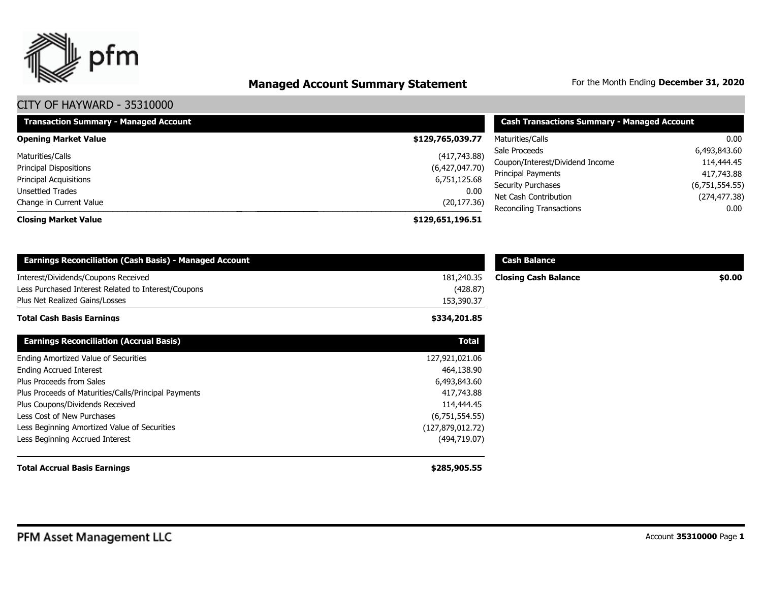

# **Managed Account Summary Statement** For the Month Ending December 31, 2020

| <b>Transaction Summary - Managed Account</b> | <b>Cash Transactions Summary - Managed Account</b> |                                                       |                          |
|----------------------------------------------|----------------------------------------------------|-------------------------------------------------------|--------------------------|
| <b>Opening Market Value</b>                  | \$129,765,039.77                                   | Maturities/Calls                                      | 0.00                     |
| Maturities/Calls                             | (417,743.88)                                       | Sale Proceeds                                         | 6,493,843.60             |
| Principal Dispositions                       | (6,427,047.70)                                     | Coupon/Interest/Dividend Income<br>Principal Payments | 114,444.45<br>417,743.88 |
| Principal Acquisitions<br>Unsettled Trades   | 6,751,125.68<br>0.00                               | <b>Security Purchases</b>                             | (6,751,554.55)           |
| Change in Current Value                      | (20, 177.36)                                       | Net Cash Contribution<br>Reconciling Transactions     | (274, 477.38)<br>0.00    |
| <b>Closing Market Value</b>                  | \$129,651,196.51                                   |                                                       |                          |

| <b>Earnings Reconciliation (Cash Basis) - Managed Account</b> |                    | <b>Cash Balance</b>         |        |
|---------------------------------------------------------------|--------------------|-----------------------------|--------|
| Interest/Dividends/Coupons Received                           | 181,240.35         | <b>Closing Cash Balance</b> | \$0.00 |
| Less Purchased Interest Related to Interest/Coupons           | (428.87)           |                             |        |
| Plus Net Realized Gains/Losses                                | 153,390.37         |                             |        |
| <b>Total Cash Basis Earnings</b>                              | \$334,201.85       |                             |        |
| <b>Earnings Reconciliation (Accrual Basis)</b>                | <b>Total</b>       |                             |        |
| Ending Amortized Value of Securities                          | 127,921,021.06     |                             |        |
| <b>Ending Accrued Interest</b>                                | 464,138.90         |                             |        |
| Plus Proceeds from Sales                                      | 6,493,843.60       |                             |        |
| Plus Proceeds of Maturities/Calls/Principal Payments          | 417,743.88         |                             |        |
| Plus Coupons/Dividends Received                               | 114,444.45         |                             |        |
| Less Cost of New Purchases                                    | (6,751,554.55)     |                             |        |
| Less Beginning Amortized Value of Securities                  | (127, 879, 012.72) |                             |        |
| Less Beginning Accrued Interest                               | (494, 719.07)      |                             |        |
| <b>Total Accrual Basis Earnings</b>                           | \$285,905.55       |                             |        |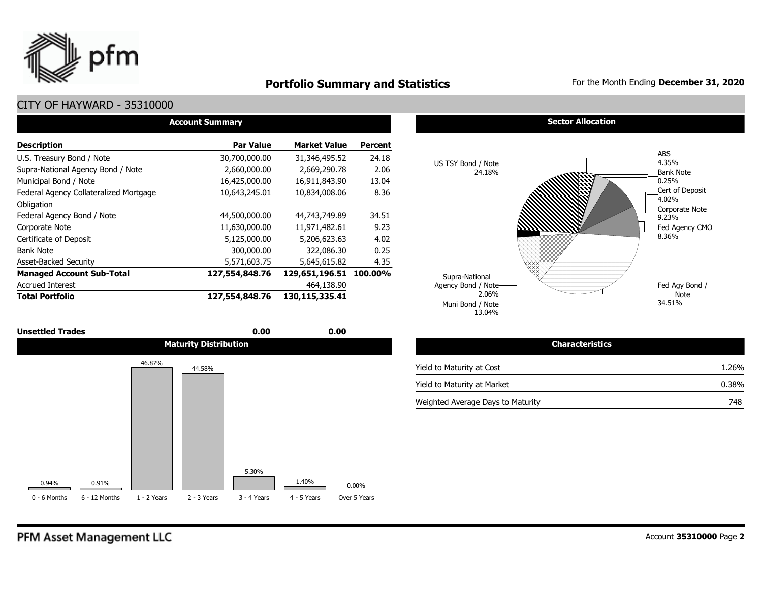

## **Portfolio Summary and Statistics** For the Month Ending **December 31, 2020**

### CITY OF HAYWARD - 35310000

| <b>Account Summary</b>                 |                  |                        |                |  |  |  |  |  |  |  |
|----------------------------------------|------------------|------------------------|----------------|--|--|--|--|--|--|--|
| <b>Description</b>                     | <b>Par Value</b> | <b>Market Value</b>    | <b>Percent</b> |  |  |  |  |  |  |  |
| U.S. Treasury Bond / Note              | 30,700,000.00    | 31,346,495.52          | 24.18          |  |  |  |  |  |  |  |
| Supra-National Agency Bond / Note      | 2,660,000.00     | 2,669,290.78           | 2.06           |  |  |  |  |  |  |  |
| Municipal Bond / Note                  | 16,425,000.00    | 16,911,843.90          | 13.04          |  |  |  |  |  |  |  |
| Federal Agency Collateralized Mortgage | 10,643,245.01    | 10,834,008.06          | 8.36           |  |  |  |  |  |  |  |
| Obligation                             |                  |                        |                |  |  |  |  |  |  |  |
| Federal Agency Bond / Note             | 44,500,000.00    | 44,743,749.89          | 34.51          |  |  |  |  |  |  |  |
| Corporate Note                         | 11,630,000.00    | 11,971,482.61          | 9.23           |  |  |  |  |  |  |  |
| Certificate of Deposit                 | 5,125,000.00     | 5,206,623.63           | 4.02           |  |  |  |  |  |  |  |
| <b>Bank Note</b>                       | 300,000.00       | 322,086.30             | 0.25           |  |  |  |  |  |  |  |
| <b>Asset-Backed Security</b>           | 5,571,603.75     | 5,645,615.82           | 4.35           |  |  |  |  |  |  |  |
| <b>Managed Account Sub-Total</b>       | 127,554,848.76   | 129,651,196.51 100.00% |                |  |  |  |  |  |  |  |
| <b>Accrued Interest</b>                |                  | 464,138.90             |                |  |  |  |  |  |  |  |
| <b>Total Portfolio</b>                 | 127,554,848.76   | 130,115,335.41         |                |  |  |  |  |  |  |  |



#### **Sector Allocation**



| <b>Characteristics</b>            |          |
|-----------------------------------|----------|
| Yield to Maturity at Cost         | 1.26%    |
| Yield to Maturity at Market       | $0.38\%$ |
| Weighted Average Days to Maturity | 748      |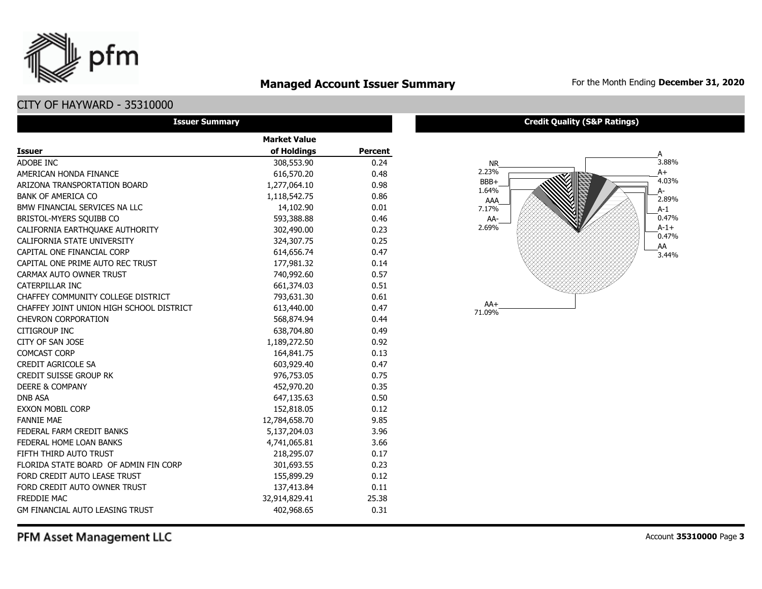

## **Managed Account Issuer Summary** For the Month Ending December 31, 2020

### CITY OF HAYWARD - 35310000

| <b>Issuer Summary</b>                    |                     |                |  |  |  |  |  |  |  |
|------------------------------------------|---------------------|----------------|--|--|--|--|--|--|--|
|                                          | <b>Market Value</b> |                |  |  |  |  |  |  |  |
| <b>Issuer</b>                            | of Holdings         | <b>Percent</b> |  |  |  |  |  |  |  |
| ADOBE INC                                | 308,553.90          | 0.24           |  |  |  |  |  |  |  |
| AMERICAN HONDA FINANCE                   | 616,570.20          | 0.48           |  |  |  |  |  |  |  |
| ARIZONA TRANSPORTATION BOARD             | 1,277,064.10        | 0.98           |  |  |  |  |  |  |  |
| <b>BANK OF AMERICA CO</b>                | 1,118,542.75        | 0.86           |  |  |  |  |  |  |  |
| BMW FINANCIAL SERVICES NA LLC            | 14,102.90           | 0.01           |  |  |  |  |  |  |  |
| BRISTOL-MYERS SQUIBB CO                  | 593,388.88          | 0.46           |  |  |  |  |  |  |  |
| CALIFORNIA EARTHQUAKE AUTHORITY          | 302,490.00          | 0.23           |  |  |  |  |  |  |  |
| CALIFORNIA STATE UNIVERSITY              | 324,307.75          | 0.25           |  |  |  |  |  |  |  |
| CAPITAL ONE FINANCIAL CORP               | 614,656.74          | 0.47           |  |  |  |  |  |  |  |
| CAPITAL ONE PRIME AUTO REC TRUST         | 177,981.32          | 0.14           |  |  |  |  |  |  |  |
| CARMAX AUTO OWNER TRUST                  | 740,992.60          | 0.57           |  |  |  |  |  |  |  |
| CATERPILLAR INC                          | 661,374.03          | 0.51           |  |  |  |  |  |  |  |
| CHAFFEY COMMUNITY COLLEGE DISTRICT       | 793,631.30          | 0.61           |  |  |  |  |  |  |  |
| CHAFFEY JOINT UNION HIGH SCHOOL DISTRICT | 613,440.00          | 0.47           |  |  |  |  |  |  |  |
| <b>CHEVRON CORPORATION</b>               | 568,874.94          | 0.44           |  |  |  |  |  |  |  |
| <b>CITIGROUP INC</b>                     | 638,704.80          | 0.49           |  |  |  |  |  |  |  |
| CITY OF SAN JOSE                         | 1,189,272.50        | 0.92           |  |  |  |  |  |  |  |
| <b>COMCAST CORP</b>                      | 164,841.75          | 0.13           |  |  |  |  |  |  |  |
| <b>CREDIT AGRICOLE SA</b>                | 603,929.40          | 0.47           |  |  |  |  |  |  |  |
| <b>CREDIT SUISSE GROUP RK</b>            | 976,753.05          | 0.75           |  |  |  |  |  |  |  |
| <b>DEERE &amp; COMPANY</b>               | 452,970.20          | 0.35           |  |  |  |  |  |  |  |
| <b>DNB ASA</b>                           | 647,135.63          | 0.50           |  |  |  |  |  |  |  |
| <b>EXXON MOBIL CORP</b>                  | 152,818.05          | 0.12           |  |  |  |  |  |  |  |
| <b>FANNIE MAE</b>                        | 12,784,658.70       | 9.85           |  |  |  |  |  |  |  |
| FEDERAL FARM CREDIT BANKS                | 5,137,204.03        | 3.96           |  |  |  |  |  |  |  |
| FEDERAL HOME LOAN BANKS                  | 4,741,065.81        | 3.66           |  |  |  |  |  |  |  |
| FIFTH THIRD AUTO TRUST                   | 218,295.07          | 0.17           |  |  |  |  |  |  |  |
| FLORIDA STATE BOARD OF ADMIN FIN CORP    | 301,693.55          | 0.23           |  |  |  |  |  |  |  |
| FORD CREDIT AUTO LEASE TRUST             | 155,899.29          | 0.12           |  |  |  |  |  |  |  |
| FORD CREDIT AUTO OWNER TRUST             | 137,413.84          | 0.11           |  |  |  |  |  |  |  |
| FREDDIE MAC                              | 32,914,829.41       | 25.38          |  |  |  |  |  |  |  |
| <b>GM FINANCIAL AUTO LEASING TRUST</b>   | 402,968.65          | 0.31           |  |  |  |  |  |  |  |

#### **Credit Quality (S&P Ratings)**



PFM Asset Management LLC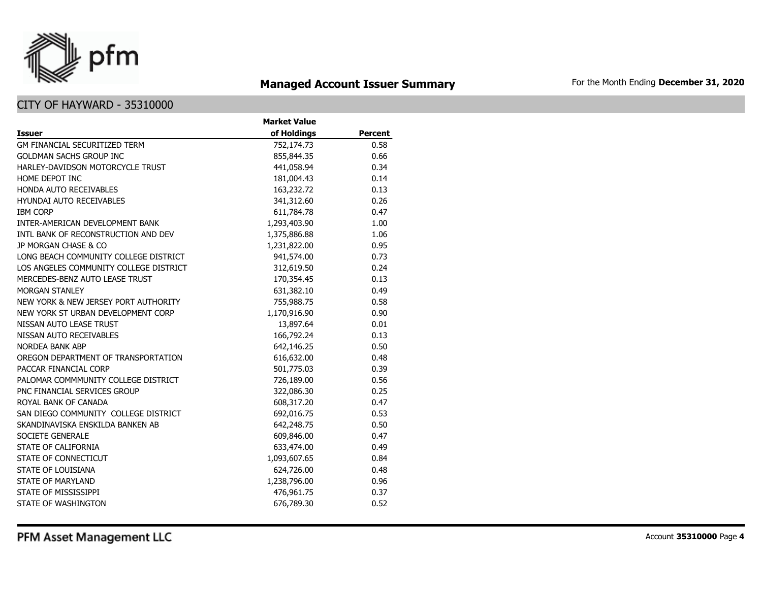

## **Managed Account Issuer Summary** For the Month Ending December 31, 2020

|                                        | <b>Market Value</b> |                |
|----------------------------------------|---------------------|----------------|
| <b>Issuer</b>                          | of Holdings         | <b>Percent</b> |
| GM FINANCIAL SECURITIZED TERM          | 752,174.73          | 0.58           |
| <b>GOLDMAN SACHS GROUP INC</b>         | 855,844.35          | 0.66           |
| HARLEY-DAVIDSON MOTORCYCLE TRUST       | 441,058.94          | 0.34           |
| HOME DEPOT INC                         | 181,004.43          | 0.14           |
| HONDA AUTO RECEIVABLES                 | 163,232.72          | 0.13           |
| <b>HYUNDAI AUTO RECEIVABLES</b>        | 341,312.60          | 0.26           |
| <b>IBM CORP</b>                        | 611,784.78          | 0.47           |
| INTER-AMERICAN DEVELOPMENT BANK        | 1,293,403.90        | 1.00           |
| INTL BANK OF RECONSTRUCTION AND DEV    | 1,375,886.88        | 1.06           |
| JP MORGAN CHASE & CO                   | 1,231,822.00        | 0.95           |
| LONG BEACH COMMUNITY COLLEGE DISTRICT  | 941,574.00          | 0.73           |
| LOS ANGELES COMMUNITY COLLEGE DISTRICT | 312,619.50          | 0.24           |
| MERCEDES-BENZ AUTO LEASE TRUST         | 170,354.45          | 0.13           |
| <b>MORGAN STANLEY</b>                  | 631,382.10          | 0.49           |
| NEW YORK & NEW JERSEY PORT AUTHORITY   | 755,988.75          | 0.58           |
| NEW YORK ST URBAN DEVELOPMENT CORP     | 1,170,916.90        | 0.90           |
| NISSAN AUTO LEASE TRUST                | 13,897.64           | 0.01           |
| NISSAN AUTO RECEIVABLES                | 166,792.24          | 0.13           |
| <b>NORDEA BANK ABP</b>                 | 642,146.25          | 0.50           |
| OREGON DEPARTMENT OF TRANSPORTATION    | 616,632.00          | 0.48           |
| PACCAR FINANCIAL CORP                  | 501,775.03          | 0.39           |
| PALOMAR COMMMUNITY COLLEGE DISTRICT    | 726,189.00          | 0.56           |
| PNC FINANCIAL SERVICES GROUP           | 322,086.30          | 0.25           |
| ROYAL BANK OF CANADA                   | 608,317.20          | 0.47           |
| SAN DIEGO COMMUNITY COLLEGE DISTRICT   | 692,016.75          | 0.53           |
| SKANDINAVISKA ENSKILDA BANKEN AB       | 642,248.75          | 0.50           |
| SOCIETE GENERALE                       | 609,846.00          | 0.47           |
| STATE OF CALIFORNIA                    | 633,474.00          | 0.49           |
| STATE OF CONNECTICUT                   | 1,093,607.65        | 0.84           |
| STATE OF LOUISIANA                     | 624,726.00          | 0.48           |
| <b>STATE OF MARYLAND</b>               | 1,238,796.00        | 0.96           |
| STATE OF MISSISSIPPI                   | 476,961.75          | 0.37           |
| STATE OF WASHINGTON                    | 676,789.30          | 0.52           |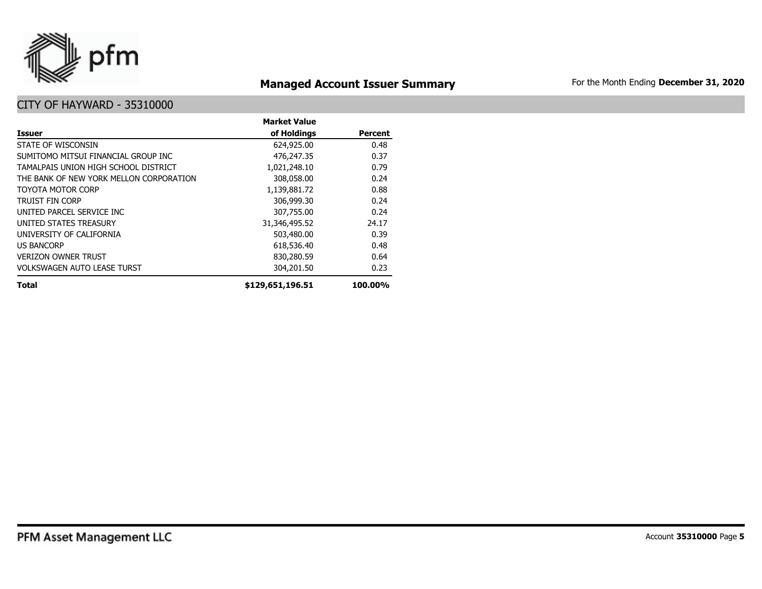

## **Managed Account Issuer Summary** For the Month Ending December 31, 2020

|                                         | <b>Market Value</b> |                |
|-----------------------------------------|---------------------|----------------|
| <b>Issuer</b>                           | of Holdings         | <b>Percent</b> |
| STATE OF WISCONSIN                      | 624,925.00          | 0.48           |
| SUMITOMO MITSUI FINANCIAL GROUP INC     | 476,247.35          | 0.37           |
| TAMALPAIS UNION HIGH SCHOOL DISTRICT    | 1,021,248.10        | 0.79           |
| THE BANK OF NEW YORK MELLON CORPORATION | 308,058.00          | 0.24           |
| TOYOTA MOTOR CORP                       | 1,139,881.72        | 0.88           |
| TRUIST FIN CORP                         | 306,999.30          | 0.24           |
| UNITED PARCEL SERVICE INC               | 307,755.00          | 0.24           |
| UNITED STATES TREASURY                  | 31,346,495.52       | 24.17          |
| UNIVERSITY OF CALIFORNIA                | 503,480.00          | 0.39           |
| <b>US BANCORP</b>                       | 618,536.40          | 0.48           |
| <b>VERIZON OWNER TRUST</b>              | 830,280.59          | 0.64           |
| <b>VOLKSWAGEN AUTO LEASE TURST</b>      | 304,201.50          | 0.23           |
| <b>Total</b>                            | \$129,651,196.51    | 100.00%        |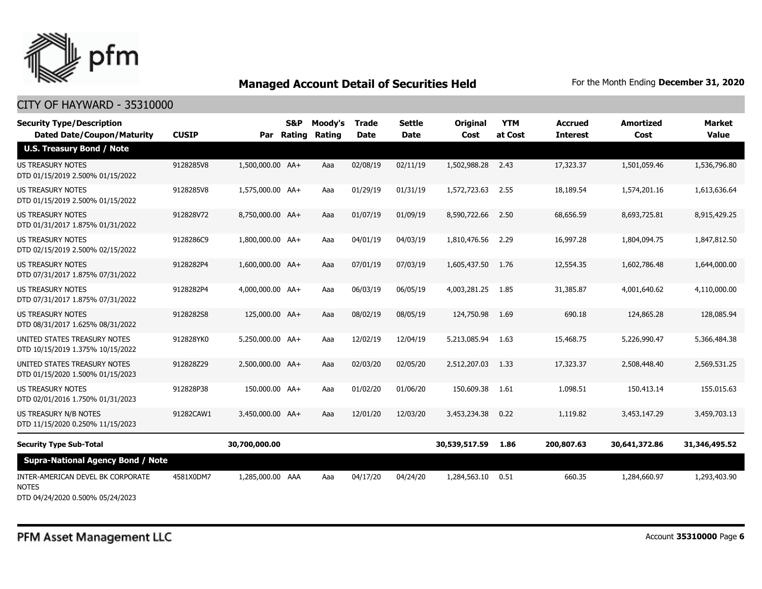

### CITY OF HAYWARD - 35310000

| <b>Security Type/Description</b><br><b>Dated Date/Coupon/Maturity</b> | <b>CUSIP</b> |                  | S&P<br>Par Rating | Moody's<br><b>Rating</b> | <b>Trade</b><br><b>Date</b> | <b>Settle</b><br><b>Date</b> | <b>Original</b><br>Cost | <b>YTM</b><br>at Cost | <b>Accrued</b><br><b>Interest</b> | <b>Amortized</b><br>Cost | <b>Market</b><br><b>Value</b> |
|-----------------------------------------------------------------------|--------------|------------------|-------------------|--------------------------|-----------------------------|------------------------------|-------------------------|-----------------------|-----------------------------------|--------------------------|-------------------------------|
| <b>U.S. Treasury Bond / Note</b>                                      |              |                  |                   |                          |                             |                              |                         |                       |                                   |                          |                               |
| <b>US TREASURY NOTES</b><br>DTD 01/15/2019 2.500% 01/15/2022          | 9128285V8    | 1,500,000.00 AA+ |                   | Aaa                      | 02/08/19                    | 02/11/19                     | 1,502,988.28            | 2.43                  | 17,323.37                         | 1,501,059.46             | 1,536,796.80                  |
| <b>US TREASURY NOTES</b><br>DTD 01/15/2019 2.500% 01/15/2022          | 9128285V8    | 1,575,000.00 AA+ |                   | Aaa                      | 01/29/19                    | 01/31/19                     | 1,572,723.63            | 2.55                  | 18,189.54                         | 1,574,201.16             | 1,613,636.64                  |
| <b>US TREASURY NOTES</b><br>DTD 01/31/2017 1.875% 01/31/2022          | 912828V72    | 8,750,000.00 AA+ |                   | Aaa                      | 01/07/19                    | 01/09/19                     | 8,590,722.66            | 2.50                  | 68,656.59                         | 8,693,725.81             | 8,915,429.25                  |
| US TREASURY NOTES<br>DTD 02/15/2019 2.500% 02/15/2022                 | 9128286C9    | 1,800,000.00 AA+ |                   | Aaa                      | 04/01/19                    | 04/03/19                     | 1,810,476.56            | 2.29                  | 16,997.28                         | 1,804,094.75             | 1,847,812.50                  |
| <b>US TREASURY NOTES</b><br>DTD 07/31/2017 1.875% 07/31/2022          | 9128282P4    | 1,600,000.00 AA+ |                   | Aaa                      | 07/01/19                    | 07/03/19                     | 1,605,437.50            | 1.76                  | 12,554.35                         | 1,602,786.48             | 1,644,000.00                  |
| <b>US TREASURY NOTES</b><br>DTD 07/31/2017 1.875% 07/31/2022          | 9128282P4    | 4,000,000.00 AA+ |                   | Aaa                      | 06/03/19                    | 06/05/19                     | 4,003,281.25            | 1.85                  | 31,385.87                         | 4,001,640.62             | 4,110,000.00                  |
| <b>US TREASURY NOTES</b><br>DTD 08/31/2017 1.625% 08/31/2022          | 9128282S8    | 125,000.00 AA+   |                   | Aaa                      | 08/02/19                    | 08/05/19                     | 124,750.98              | 1.69                  | 690.18                            | 124,865.28               | 128,085.94                    |
| UNITED STATES TREASURY NOTES<br>DTD 10/15/2019 1.375% 10/15/2022      | 912828YK0    | 5,250,000.00 AA+ |                   | Aaa                      | 12/02/19                    | 12/04/19                     | 5,213,085.94            | 1.63                  | 15,468.75                         | 5,226,990.47             | 5,366,484.38                  |
| UNITED STATES TREASURY NOTES<br>DTD 01/15/2020 1.500% 01/15/2023      | 912828Z29    | 2,500,000.00 AA+ |                   | Aaa                      | 02/03/20                    | 02/05/20                     | 2,512,207.03            | 1.33                  | 17,323.37                         | 2,508,448.40             | 2,569,531.25                  |
| <b>US TREASURY NOTES</b><br>DTD 02/01/2016 1.750% 01/31/2023          | 912828P38    | 150,000.00 AA+   |                   | Aaa                      | 01/02/20                    | 01/06/20                     | 150,609.38              | 1.61                  | 1,098.51                          | 150,413.14               | 155,015.63                    |
| US TREASURY N/B NOTES<br>DTD 11/15/2020 0.250% 11/15/2023             | 91282CAW1    | 3,450,000.00 AA+ |                   | Aaa                      | 12/01/20                    | 12/03/20                     | 3,453,234,38            | 0.22                  | 1,119.82                          | 3,453,147,29             | 3,459,703.13                  |
| <b>Security Type Sub-Total</b>                                        |              | 30,700,000.00    |                   |                          |                             |                              | 30,539,517.59           | 1.86                  | 200,807.63                        | 30,641,372.86            | 31,346,495.52                 |
| <b>Supra-National Agency Bond / Note</b>                              |              |                  |                   |                          |                             |                              |                         |                       |                                   |                          |                               |
| INTER-AMERICAN DEVEL BK CORPORATE<br><b>NOTES</b>                     | 4581X0DM7    | 1,285,000.00 AAA |                   | Aaa                      | 04/17/20                    | 04/24/20                     | 1,284,563.10            | 0.51                  | 660.35                            | 1,284,660.97             | 1,293,403.90                  |

DTD 04/24/2020 0.500% 05/24/2023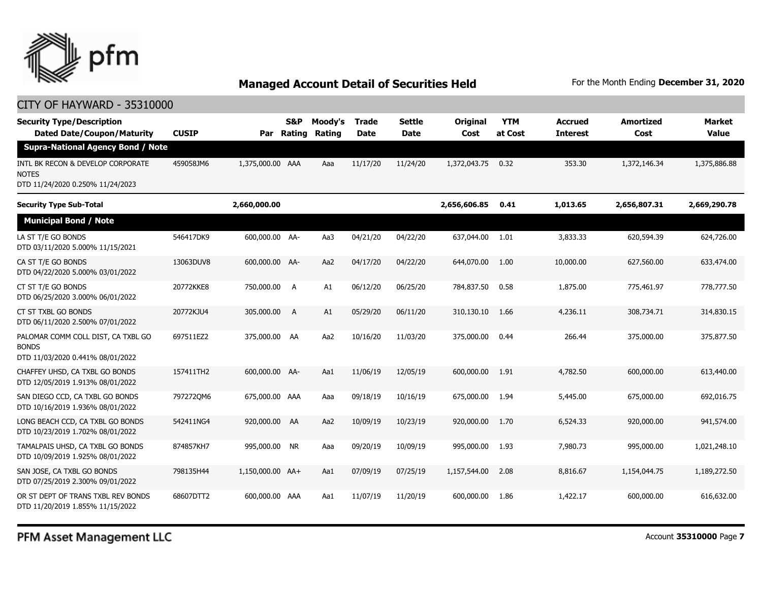

#### CITY OF HAYWARD - 35310000

| <b>Security Type/Description</b><br><b>Dated Date/Coupon/Maturity</b>                  | <b>CUSIP</b> | Par              | <b>S&amp;P</b><br>Rating | Moody's<br>Rating | <b>Trade</b><br><b>Date</b> | <b>Settle</b><br><b>Date</b> | Original<br>Cost | <b>YTM</b><br>at Cost | <b>Accrued</b><br><b>Interest</b> | <b>Amortized</b><br>Cost | Market<br><b>Value</b> |
|----------------------------------------------------------------------------------------|--------------|------------------|--------------------------|-------------------|-----------------------------|------------------------------|------------------|-----------------------|-----------------------------------|--------------------------|------------------------|
| <b>Supra-National Agency Bond / Note</b>                                               |              |                  |                          |                   |                             |                              |                  |                       |                                   |                          |                        |
| INTL BK RECON & DEVELOP CORPORATE<br><b>NOTES</b><br>DTD 11/24/2020 0.250% 11/24/2023  | 459058JM6    | 1,375,000.00 AAA |                          | Aaa               | 11/17/20                    | 11/24/20                     | 1,372,043.75     | 0.32                  | 353.30                            | 1,372,146.34             | 1,375,886.88           |
| <b>Security Type Sub-Total</b>                                                         |              | 2,660,000.00     |                          |                   |                             |                              | 2,656,606.85     | 0.41                  | 1,013.65                          | 2,656,807.31             | 2,669,290.78           |
| <b>Municipal Bond / Note</b>                                                           |              |                  |                          |                   |                             |                              |                  |                       |                                   |                          |                        |
| LA ST T/E GO BONDS<br>DTD 03/11/2020 5.000% 11/15/2021                                 | 546417DK9    | 600,000.00 AA-   |                          | Aa3               | 04/21/20                    | 04/22/20                     | 637,044.00       | 1.01                  | 3,833.33                          | 620,594.39               | 624,726.00             |
| CA ST T/E GO BONDS<br>DTD 04/22/2020 5.000% 03/01/2022                                 | 13063DUV8    | 600,000.00 AA-   |                          | Aa2               | 04/17/20                    | 04/22/20                     | 644,070.00       | 1.00                  | 10,000.00                         | 627,560.00               | 633,474.00             |
| CT ST T/E GO BONDS<br>DTD 06/25/2020 3.000% 06/01/2022                                 | 20772KKE8    | 750,000.00       | A                        | A1                | 06/12/20                    | 06/25/20                     | 784,837.50       | 0.58                  | 1,875.00                          | 775,461.97               | 778,777.50             |
| CT ST TXBL GO BONDS<br>DTD 06/11/2020 2.500% 07/01/2022                                | 20772KJU4    | 305,000.00       | A                        | A1                | 05/29/20                    | 06/11/20                     | 310,130.10       | 1.66                  | 4,236.11                          | 308,734.71               | 314,830.15             |
| PALOMAR COMM COLL DIST, CA TXBL GO<br><b>BONDS</b><br>DTD 11/03/2020 0.441% 08/01/2022 | 697511EZ2    | 375,000.00 AA    |                          | Aa2               | 10/16/20                    | 11/03/20                     | 375,000.00       | 0.44                  | 266.44                            | 375,000.00               | 375,877.50             |
| CHAFFEY UHSD, CA TXBL GO BONDS<br>DTD 12/05/2019 1.913% 08/01/2022                     | 157411TH2    | 600,000.00 AA-   |                          | Aa1               | 11/06/19                    | 12/05/19                     | 600,000.00       | 1.91                  | 4,782.50                          | 600,000.00               | 613,440.00             |
| SAN DIEGO CCD, CA TXBL GO BONDS<br>DTD 10/16/2019 1.936% 08/01/2022                    | 7972720M6    | 675,000.00 AAA   |                          | Aaa               | 09/18/19                    | 10/16/19                     | 675,000.00       | 1.94                  | 5,445.00                          | 675,000.00               | 692,016.75             |
| LONG BEACH CCD, CA TXBL GO BONDS<br>DTD 10/23/2019 1.702% 08/01/2022                   | 542411NG4    | 920,000.00 AA    |                          | Aa2               | 10/09/19                    | 10/23/19                     | 920,000.00       | 1.70                  | 6,524.33                          | 920,000.00               | 941,574.00             |
| TAMALPAIS UHSD, CA TXBL GO BONDS<br>DTD 10/09/2019 1.925% 08/01/2022                   | 874857KH7    | 995,000.00 NR    |                          | Aaa               | 09/20/19                    | 10/09/19                     | 995,000.00       | 1.93                  | 7,980.73                          | 995,000.00               | 1,021,248.10           |
| SAN JOSE, CA TXBL GO BONDS<br>DTD 07/25/2019 2.300% 09/01/2022                         | 798135H44    | 1,150,000.00 AA+ |                          | Aa1               | 07/09/19                    | 07/25/19                     | 1,157,544.00     | 2.08                  | 8,816.67                          | 1,154,044.75             | 1,189,272.50           |
| OR ST DEPT OF TRANS TXBL REV BONDS<br>DTD 11/20/2019 1.855% 11/15/2022                 | 68607DTT2    | 600,000.00 AAA   |                          | Aa1               | 11/07/19                    | 11/20/19                     | 600,000.00       | 1.86                  | 1,422.17                          | 600,000.00               | 616,632.00             |

PFM Asset Management LLC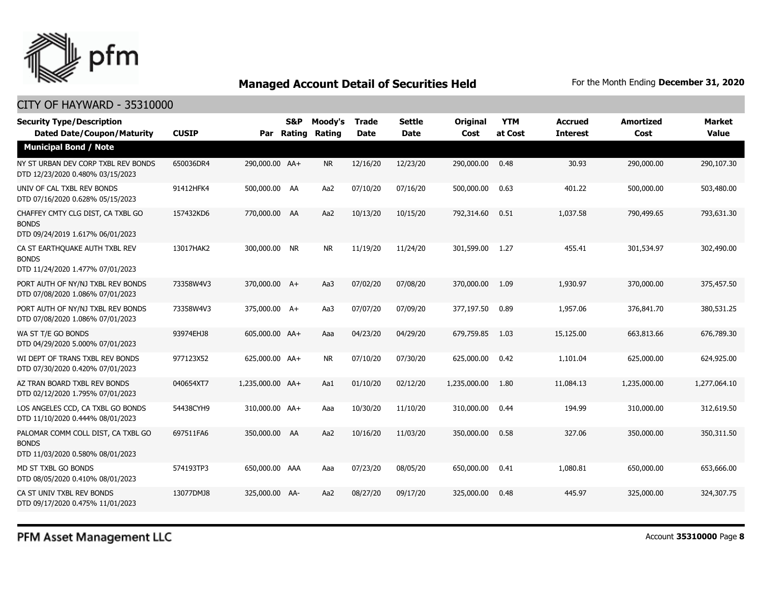

#### CITY OF HAYWARD - 35310000

| <b>Security Type/Description</b><br><b>Dated Date/Coupon/Maturity</b>                  | <b>CUSIP</b> |                  | <b>S&amp;P</b><br>Par Rating | Moody's<br>Rating | <b>Trade</b><br><b>Date</b> | <b>Settle</b><br><b>Date</b> | Original<br>Cost | <b>YTM</b><br>at Cost | <b>Accrued</b><br><b>Interest</b> | <b>Amortized</b><br>Cost | <b>Market</b><br><b>Value</b> |
|----------------------------------------------------------------------------------------|--------------|------------------|------------------------------|-------------------|-----------------------------|------------------------------|------------------|-----------------------|-----------------------------------|--------------------------|-------------------------------|
| <b>Municipal Bond / Note</b>                                                           |              |                  |                              |                   |                             |                              |                  |                       |                                   |                          |                               |
| NY ST URBAN DEV CORP TXBL REV BONDS<br>DTD 12/23/2020 0.480% 03/15/2023                | 650036DR4    | 290,000.00 AA+   |                              | <b>NR</b>         | 12/16/20                    | 12/23/20                     | 290,000.00       | 0.48                  | 30.93                             | 290,000.00               | 290,107.30                    |
| UNIV OF CAL TXBL REV BONDS<br>DTD 07/16/2020 0.628% 05/15/2023                         | 91412HFK4    | 500,000.00 AA    |                              | Aa2               | 07/10/20                    | 07/16/20                     | 500,000.00       | 0.63                  | 401.22                            | 500,000.00               | 503,480.00                    |
| CHAFFEY CMTY CLG DIST, CA TXBL GO<br><b>BONDS</b><br>DTD 09/24/2019 1.617% 06/01/2023  | 157432KD6    | 770,000.00 AA    |                              | Aa2               | 10/13/20                    | 10/15/20                     | 792,314.60       | 0.51                  | 1,037.58                          | 790,499.65               | 793,631.30                    |
| CA ST EARTHQUAKE AUTH TXBL REV<br><b>BONDS</b><br>DTD 11/24/2020 1.477% 07/01/2023     | 13017HAK2    | 300,000.00 NR    |                              | <b>NR</b>         | 11/19/20                    | 11/24/20                     | 301,599.00       | 1.27                  | 455.41                            | 301,534.97               | 302,490.00                    |
| PORT AUTH OF NY/NJ TXBL REV BONDS<br>DTD 07/08/2020 1.086% 07/01/2023                  | 73358W4V3    | 370,000.00 A+    |                              | Aa3               | 07/02/20                    | 07/08/20                     | 370,000.00       | 1.09                  | 1,930.97                          | 370,000.00               | 375,457.50                    |
| PORT AUTH OF NY/NJ TXBL REV BONDS<br>DTD 07/08/2020 1.086% 07/01/2023                  | 73358W4V3    | 375,000.00 A+    |                              | Aa3               | 07/07/20                    | 07/09/20                     | 377,197.50       | 0.89                  | 1,957.06                          | 376,841.70               | 380,531.25                    |
| WA ST T/E GO BONDS<br>DTD 04/29/2020 5.000% 07/01/2023                                 | 93974EHJ8    | 605,000.00 AA+   |                              | Aaa               | 04/23/20                    | 04/29/20                     | 679,759.85       | 1.03                  | 15,125.00                         | 663,813.66               | 676,789.30                    |
| WI DEPT OF TRANS TXBL REV BONDS<br>DTD 07/30/2020 0.420% 07/01/2023                    | 977123X52    | 625,000.00 AA+   |                              | <b>NR</b>         | 07/10/20                    | 07/30/20                     | 625,000.00       | 0.42                  | 1,101.04                          | 625,000.00               | 624,925.00                    |
| AZ TRAN BOARD TXBL REV BONDS<br>DTD 02/12/2020 1.795% 07/01/2023                       | 040654XT7    | 1,235,000.00 AA+ |                              | Aa1               | 01/10/20                    | 02/12/20                     | 1,235,000.00     | 1.80                  | 11,084.13                         | 1,235,000.00             | 1,277,064.10                  |
| LOS ANGELES CCD, CA TXBL GO BONDS<br>DTD 11/10/2020 0.444% 08/01/2023                  | 54438CYH9    | 310,000.00 AA+   |                              | Aaa               | 10/30/20                    | 11/10/20                     | 310,000.00       | 0.44                  | 194.99                            | 310,000.00               | 312,619.50                    |
| PALOMAR COMM COLL DIST, CA TXBL GO<br><b>BONDS</b><br>DTD 11/03/2020 0.580% 08/01/2023 | 697511FA6    | 350,000.00 AA    |                              | Aa2               | 10/16/20                    | 11/03/20                     | 350,000.00       | 0.58                  | 327.06                            | 350,000.00               | 350,311.50                    |
| MD ST TXBL GO BONDS<br>DTD 08/05/2020 0.410% 08/01/2023                                | 574193TP3    | 650,000.00 AAA   |                              | Aaa               | 07/23/20                    | 08/05/20                     | 650,000.00       | 0.41                  | 1,080.81                          | 650,000.00               | 653,666.00                    |
| CA ST UNIV TXBL REV BONDS<br>DTD 09/17/2020 0.475% 11/01/2023                          | 13077DMJ8    | 325,000.00 AA-   |                              | Aa2               | 08/27/20                    | 09/17/20                     | 325,000.00       | 0.48                  | 445.97                            | 325,000.00               | 324,307.75                    |

PFM Asset Management LLC

Account **35310000** Page **8**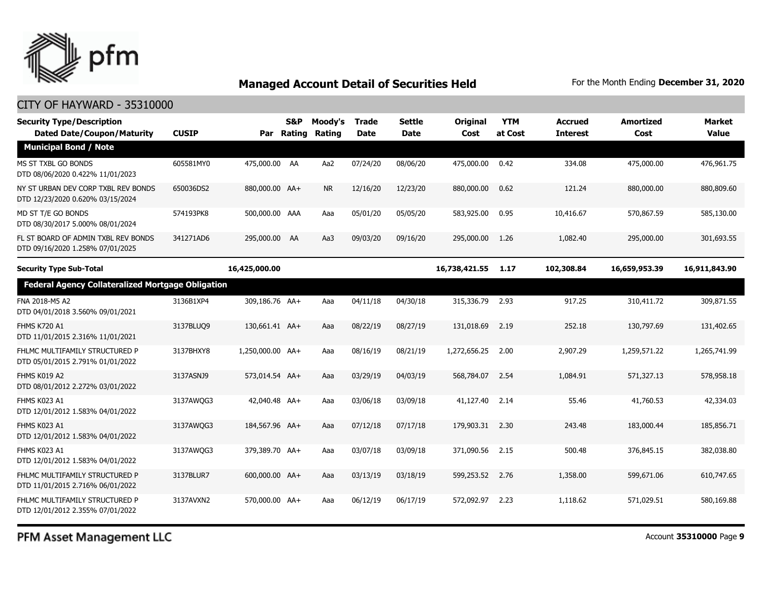

#### CITY OF HAYWARD - 35310000

| <b>Security Type/Description</b><br><b>Dated Date/Coupon/Maturity</b>   | <b>CUSIP</b> |                  | S&P<br>Par Rating | Moody's<br>Rating | Trade<br><b>Date</b> | <b>Settle</b><br><b>Date</b> | <b>Original</b><br>Cost | <b>YTM</b><br>at Cost | <b>Accrued</b><br><b>Interest</b> | Amortized<br>Cost | <b>Market</b><br><b>Value</b> |
|-------------------------------------------------------------------------|--------------|------------------|-------------------|-------------------|----------------------|------------------------------|-------------------------|-----------------------|-----------------------------------|-------------------|-------------------------------|
| <b>Municipal Bond / Note</b>                                            |              |                  |                   |                   |                      |                              |                         |                       |                                   |                   |                               |
| MS ST TXBL GO BONDS<br>DTD 08/06/2020 0.422% 11/01/2023                 | 605581MY0    | 475,000.00 AA    |                   | Aa2               | 07/24/20             | 08/06/20                     | 475,000.00              | 0.42                  | 334.08                            | 475,000.00        | 476,961.75                    |
| NY ST URBAN DEV CORP TXBL REV BONDS<br>DTD 12/23/2020 0.620% 03/15/2024 | 650036DS2    | 880,000.00 AA+   |                   | <b>NR</b>         | 12/16/20             | 12/23/20                     | 880,000,00              | 0.62                  | 121.24                            | 880,000.00        | 880,809.60                    |
| MD ST T/E GO BONDS<br>DTD 08/30/2017 5.000% 08/01/2024                  | 574193PK8    | 500,000.00 AAA   |                   | Aaa               | 05/01/20             | 05/05/20                     | 583,925.00              | 0.95                  | 10,416.67                         | 570,867.59        | 585,130.00                    |
| FL ST BOARD OF ADMIN TXBL REV BONDS<br>DTD 09/16/2020 1.258% 07/01/2025 | 341271AD6    | 295,000.00 AA    |                   | Aa3               | 09/03/20             | 09/16/20                     | 295,000.00              | 1.26                  | 1,082.40                          | 295,000.00        | 301,693.55                    |
| <b>Security Type Sub-Total</b>                                          |              | 16,425,000.00    |                   |                   |                      |                              | 16,738,421.55           | 1.17                  | 102,308.84                        | 16,659,953.39     | 16,911,843.90                 |
| <b>Federal Agency Collateralized Mortgage Obligation</b>                |              |                  |                   |                   |                      |                              |                         |                       |                                   |                   |                               |
| FNA 2018-M5 A2<br>DTD 04/01/2018 3.560% 09/01/2021                      | 3136B1XP4    | 309,186.76 AA+   |                   | Aaa               | 04/11/18             | 04/30/18                     | 315,336.79              | 2.93                  | 917.25                            | 310,411.72        | 309,871.55                    |
| <b>FHMS K720 A1</b><br>DTD 11/01/2015 2.316% 11/01/2021                 | 3137BLUQ9    | 130,661.41 AA+   |                   | Aaa               | 08/22/19             | 08/27/19                     | 131,018.69              | 2.19                  | 252.18                            | 130,797.69        | 131,402.65                    |
| FHLMC MULTIFAMILY STRUCTURED P<br>DTD 05/01/2015 2.791% 01/01/2022      | 3137BHXY8    | 1,250,000.00 AA+ |                   | Aaa               | 08/16/19             | 08/21/19                     | 1,272,656.25            | 2.00                  | 2,907.29                          | 1,259,571.22      | 1,265,741.99                  |
| FHMS K019 A2<br>DTD 08/01/2012 2.272% 03/01/2022                        | 3137ASNJ9    | 573,014.54 AA+   |                   | Aaa               | 03/29/19             | 04/03/19                     | 568,784.07              | 2.54                  | 1,084.91                          | 571,327.13        | 578,958.18                    |
| FHMS K023 A1<br>DTD 12/01/2012 1.583% 04/01/2022                        | 3137AWQG3    | 42,040.48 AA+    |                   | Aaa               | 03/06/18             | 03/09/18                     | 41,127.40               | 2.14                  | 55.46                             | 41,760.53         | 42,334.03                     |
| FHMS K023 A1<br>DTD 12/01/2012 1.583% 04/01/2022                        | 3137AWQG3    | 184,567.96 AA+   |                   | Aaa               | 07/12/18             | 07/17/18                     | 179,903.31              | 2.30                  | 243.48                            | 183,000.44        | 185,856.71                    |
| FHMS K023 A1<br>DTD 12/01/2012 1.583% 04/01/2022                        | 3137AWQG3    | 379,389.70 AA+   |                   | Aaa               | 03/07/18             | 03/09/18                     | 371,090.56              | 2.15                  | 500.48                            | 376,845.15        | 382,038.80                    |
| FHLMC MULTIFAMILY STRUCTURED P<br>DTD 11/01/2015 2.716% 06/01/2022      | 3137BLUR7    | 600,000.00 AA+   |                   | Aaa               | 03/13/19             | 03/18/19                     | 599,253.52              | 2.76                  | 1,358.00                          | 599,671.06        | 610,747.65                    |
| FHLMC MULTIFAMILY STRUCTURED P<br>DTD 12/01/2012 2.355% 07/01/2022      | 3137AVXN2    | 570,000.00 AA+   |                   | Aaa               | 06/12/19             | 06/17/19                     | 572,092.97              | 2.23                  | 1,118.62                          | 571.029.51        | 580.169.88                    |

PFM Asset Management LLC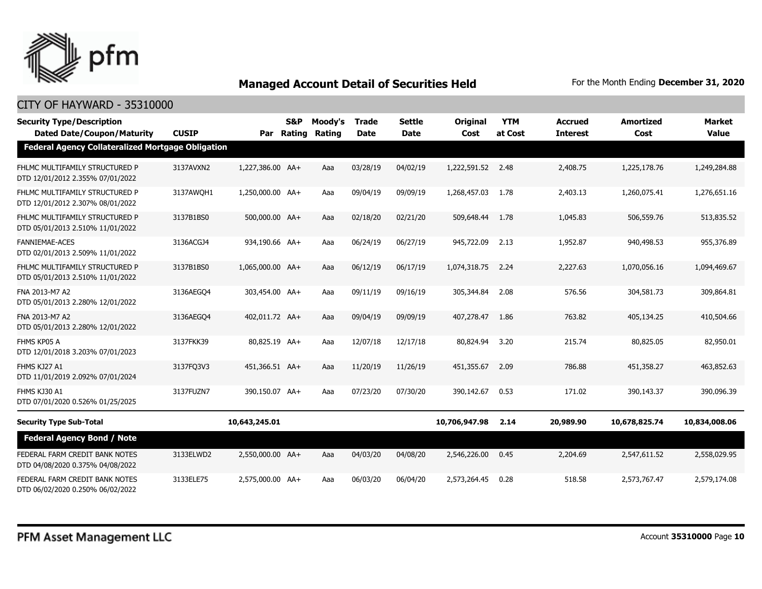

| <b>Security Type/Description</b><br><b>Dated Date/Coupon/Maturity</b> | <b>CUSIP</b> | Par              | <b>S&amp;P</b><br>Rating | Moody's<br>Rating | <b>Trade</b><br><b>Date</b> | <b>Settle</b><br><b>Date</b> | <b>Original</b><br>Cost | <b>YTM</b><br>at Cost | <b>Accrued</b><br><b>Interest</b> | <b>Amortized</b><br>Cost | <b>Market</b><br><b>Value</b> |
|-----------------------------------------------------------------------|--------------|------------------|--------------------------|-------------------|-----------------------------|------------------------------|-------------------------|-----------------------|-----------------------------------|--------------------------|-------------------------------|
| <b>Federal Agency Collateralized Mortgage Obligation</b>              |              |                  |                          |                   |                             |                              |                         |                       |                                   |                          |                               |
| FHLMC MULTIFAMILY STRUCTURED P<br>DTD 12/01/2012 2.355% 07/01/2022    | 3137AVXN2    | 1,227,386.00 AA+ |                          | Aaa               | 03/28/19                    | 04/02/19                     | 1,222,591.52            | 2.48                  | 2,408.75                          | 1,225,178.76             | 1,249,284.88                  |
| FHLMC MULTIFAMILY STRUCTURED P<br>DTD 12/01/2012 2.307% 08/01/2022    | 3137AWOH1    | 1,250,000.00 AA+ |                          | Aaa               | 09/04/19                    | 09/09/19                     | 1,268,457.03            | 1.78                  | 2,403.13                          | 1,260,075.41             | 1,276,651.16                  |
| FHLMC MULTIFAMILY STRUCTURED P<br>DTD 05/01/2013 2.510% 11/01/2022    | 3137B1BS0    | 500,000.00 AA+   |                          | Aaa               | 02/18/20                    | 02/21/20                     | 509,648.44              | 1.78                  | 1,045.83                          | 506,559.76               | 513,835.52                    |
| <b>FANNIEMAE-ACES</b><br>DTD 02/01/2013 2.509% 11/01/2022             | 3136ACGJ4    | 934,190.66 AA+   |                          | Aaa               | 06/24/19                    | 06/27/19                     | 945,722.09              | 2.13                  | 1,952.87                          | 940,498.53               | 955,376.89                    |
| FHLMC MULTIFAMILY STRUCTURED P<br>DTD 05/01/2013 2.510% 11/01/2022    | 3137B1BS0    | 1,065,000.00 AA+ |                          | Aaa               | 06/12/19                    | 06/17/19                     | 1,074,318.75            | 2.24                  | 2,227.63                          | 1,070,056.16             | 1,094,469.67                  |
| FNA 2013-M7 A2<br>DTD 05/01/2013 2.280% 12/01/2022                    | 3136AEGO4    | 303,454.00 AA+   |                          | Aaa               | 09/11/19                    | 09/16/19                     | 305,344.84              | 2.08                  | 576.56                            | 304,581.73               | 309,864.81                    |
| FNA 2013-M7 A2<br>DTD 05/01/2013 2.280% 12/01/2022                    | 3136AEGO4    | 402,011.72 AA+   |                          | Aaa               | 09/04/19                    | 09/09/19                     | 407,278.47              | 1.86                  | 763.82                            | 405,134.25               | 410,504.66                    |
| FHMS KP05 A<br>DTD 12/01/2018 3.203% 07/01/2023                       | 3137FKK39    | 80,825.19 AA+    |                          | Aaa               | 12/07/18                    | 12/17/18                     | 80,824.94               | 3.20                  | 215.74                            | 80,825.05                | 82,950.01                     |
| FHMS KJ27 A1<br>DTD 11/01/2019 2.092% 07/01/2024                      | 3137FQ3V3    | 451,366.51 AA+   |                          | Aaa               | 11/20/19                    | 11/26/19                     | 451,355.67              | 2.09                  | 786.88                            | 451,358.27               | 463,852.63                    |
| FHMS KJ30 A1<br>DTD 07/01/2020 0.526% 01/25/2025                      | 3137FUZN7    | 390,150.07 AA+   |                          | Aaa               | 07/23/20                    | 07/30/20                     | 390,142.67              | 0.53                  | 171.02                            | 390,143.37               | 390,096.39                    |
| <b>Security Type Sub-Total</b>                                        |              | 10,643,245.01    |                          |                   |                             |                              | 10,706,947.98           | 2.14                  | 20,989.90                         | 10,678,825.74            | 10,834,008.06                 |
| <b>Federal Agency Bond / Note</b>                                     |              |                  |                          |                   |                             |                              |                         |                       |                                   |                          |                               |
| FEDERAL FARM CREDIT BANK NOTES<br>DTD 04/08/2020 0.375% 04/08/2022    | 3133ELWD2    | 2,550,000.00 AA+ |                          | Aaa               | 04/03/20                    | 04/08/20                     | 2,546,226.00            | 0.45                  | 2,204.69                          | 2,547,611.52             | 2,558,029.95                  |
| FEDERAL FARM CREDIT BANK NOTES<br>DTD 06/02/2020 0.250% 06/02/2022    | 3133ELE75    | 2,575,000.00 AA+ |                          | Aaa               | 06/03/20                    | 06/04/20                     | 2,573,264.45            | 0.28                  | 518.58                            | 2,573,767.47             | 2,579,174.08                  |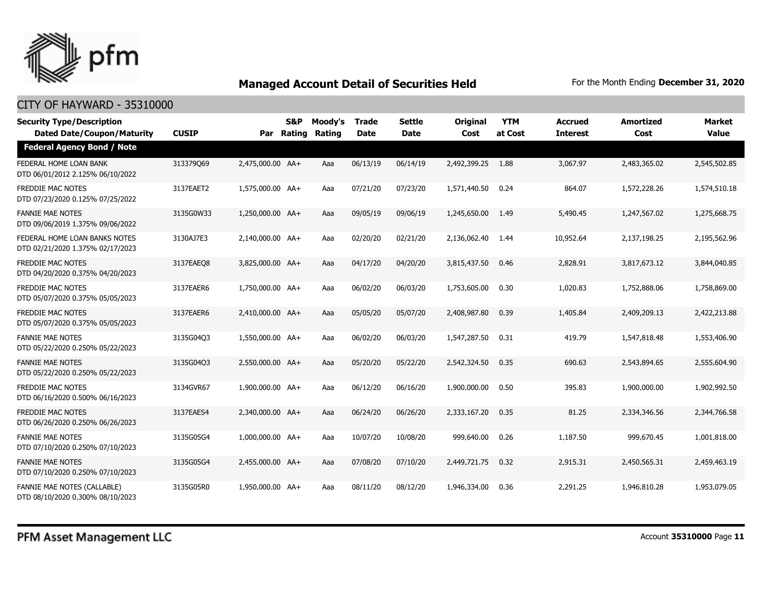

| <b>Security Type/Description</b><br><b>Dated Date/Coupon/Maturity</b> | <b>CUSIP</b> |                  | <b>S&amp;P</b><br>Par Rating | Moody's<br>Rating | <b>Trade</b><br><b>Date</b> | <b>Settle</b><br><b>Date</b> | <b>Original</b><br>Cost | <b>YTM</b><br>at Cost | <b>Accrued</b><br><b>Interest</b> | <b>Amortized</b><br>Cost | <b>Market</b><br><b>Value</b> |
|-----------------------------------------------------------------------|--------------|------------------|------------------------------|-------------------|-----------------------------|------------------------------|-------------------------|-----------------------|-----------------------------------|--------------------------|-------------------------------|
| <b>Federal Agency Bond / Note</b>                                     |              |                  |                              |                   |                             |                              |                         |                       |                                   |                          |                               |
| FEDERAL HOME LOAN BANK<br>DTD 06/01/2012 2.125% 06/10/2022            | 313379069    | 2,475,000.00 AA+ |                              | Aaa               | 06/13/19                    | 06/14/19                     | 2,492,399.25            | 1.88                  | 3,067.97                          | 2,483,365.02             | 2,545,502.85                  |
| <b>FREDDIE MAC NOTES</b><br>DTD 07/23/2020 0.125% 07/25/2022          | 3137EAET2    | 1,575,000.00 AA+ |                              | Aaa               | 07/21/20                    | 07/23/20                     | 1,571,440.50            | 0.24                  | 864.07                            | 1,572,228.26             | 1,574,510.18                  |
| <b>FANNIE MAE NOTES</b><br>DTD 09/06/2019 1.375% 09/06/2022           | 3135G0W33    | 1,250,000.00 AA+ |                              | Aaa               | 09/05/19                    | 09/06/19                     | 1,245,650.00            | 1.49                  | 5,490.45                          | 1,247,567.02             | 1,275,668.75                  |
| FEDERAL HOME LOAN BANKS NOTES<br>DTD 02/21/2020 1.375% 02/17/2023     | 3130AJ7E3    | 2,140,000.00 AA+ |                              | Aaa               | 02/20/20                    | 02/21/20                     | 2,136,062.40            | 1.44                  | 10,952.64                         | 2,137,198.25             | 2,195,562.96                  |
| <b>FREDDIE MAC NOTES</b><br>DTD 04/20/2020 0.375% 04/20/2023          | 3137EAEO8    | 3,825,000.00 AA+ |                              | Aaa               | 04/17/20                    | 04/20/20                     | 3,815,437.50            | 0.46                  | 2,828.91                          | 3,817,673.12             | 3,844,040.85                  |
| <b>FREDDIE MAC NOTES</b><br>DTD 05/07/2020 0.375% 05/05/2023          | 3137EAER6    | 1,750,000.00 AA+ |                              | Aaa               | 06/02/20                    | 06/03/20                     | 1,753,605.00            | 0.30                  | 1,020.83                          | 1,752,888.06             | 1,758,869.00                  |
| <b>FREDDIE MAC NOTES</b><br>DTD 05/07/2020 0.375% 05/05/2023          | 3137EAER6    | 2,410,000.00 AA+ |                              | Aaa               | 05/05/20                    | 05/07/20                     | 2,408,987.80            | 0.39                  | 1,405.84                          | 2,409,209.13             | 2,422,213.88                  |
| <b>FANNIE MAE NOTES</b><br>DTD 05/22/2020 0.250% 05/22/2023           | 3135G04Q3    | 1,550,000.00 AA+ |                              | Aaa               | 06/02/20                    | 06/03/20                     | 1,547,287.50            | 0.31                  | 419.79                            | 1,547,818.48             | 1,553,406.90                  |
| <b>FANNIE MAE NOTES</b><br>DTD 05/22/2020 0.250% 05/22/2023           | 3135G04Q3    | 2,550,000.00 AA+ |                              | Aaa               | 05/20/20                    | 05/22/20                     | 2,542,324.50            | 0.35                  | 690.63                            | 2,543,894.65             | 2,555,604.90                  |
| <b>FREDDIE MAC NOTES</b><br>DTD 06/16/2020 0.500% 06/16/2023          | 3134GVR67    | 1,900,000.00 AA+ |                              | Aaa               | 06/12/20                    | 06/16/20                     | 1,900,000.00            | 0.50                  | 395.83                            | 1,900,000,00             | 1,902,992.50                  |
| <b>FREDDIE MAC NOTES</b><br>DTD 06/26/2020 0.250% 06/26/2023          | 3137EAES4    | 2.340.000.00 AA+ |                              | Aaa               | 06/24/20                    | 06/26/20                     | 2,333,167.20            | 0.35                  | 81.25                             | 2,334,346.56             | 2,344,766.58                  |
| <b>FANNIE MAE NOTES</b><br>DTD 07/10/2020 0.250% 07/10/2023           | 3135G05G4    | 1,000,000.00 AA+ |                              | Aaa               | 10/07/20                    | 10/08/20                     | 999,640.00              | 0.26                  | 1,187.50                          | 999,670.45               | 1,001,818.00                  |
| <b>FANNIE MAE NOTES</b><br>DTD 07/10/2020 0.250% 07/10/2023           | 3135G05G4    | 2,455,000.00 AA+ |                              | Aaa               | 07/08/20                    | 07/10/20                     | 2,449,721.75            | 0.32                  | 2,915.31                          | 2,450,565.31             | 2,459,463.19                  |
| FANNIE MAE NOTES (CALLABLE)<br>DTD 08/10/2020 0.300% 08/10/2023       | 3135G05R0    | 1,950,000.00 AA+ |                              | Aaa               | 08/11/20                    | 08/12/20                     | 1,946,334.00            | 0.36                  | 2,291.25                          | 1,946,810.28             | 1,953,079.05                  |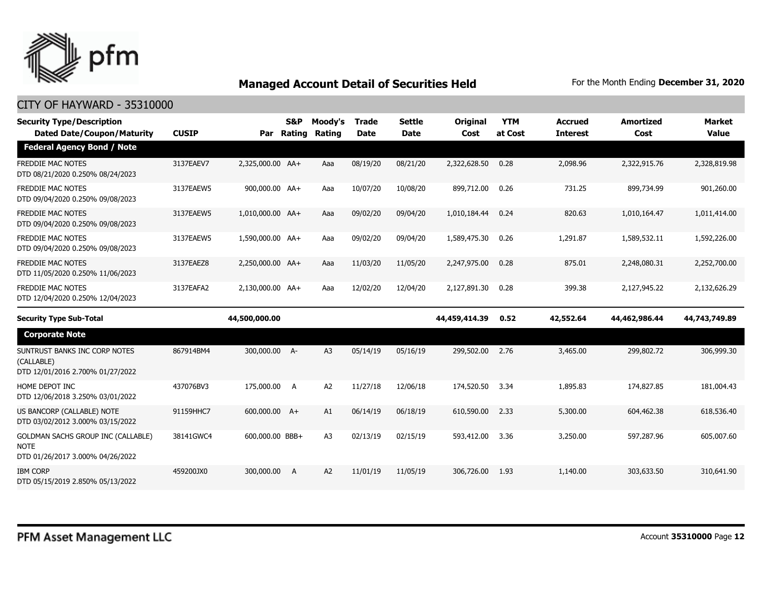

| <b>Security Type/Description</b><br><b>Dated Date/Coupon/Maturity</b>                        | <b>CUSIP</b> | Par              | <b>S&amp;P</b><br>Rating | Moody's<br>Rating | <b>Trade</b><br><b>Date</b> | <b>Settle</b><br><b>Date</b> | Original<br>Cost | <b>YTM</b><br>at Cost | <b>Accrued</b><br><b>Interest</b> | <b>Amortized</b><br>Cost | <b>Market</b><br><b>Value</b> |
|----------------------------------------------------------------------------------------------|--------------|------------------|--------------------------|-------------------|-----------------------------|------------------------------|------------------|-----------------------|-----------------------------------|--------------------------|-------------------------------|
| <b>Federal Agency Bond / Note</b>                                                            |              |                  |                          |                   |                             |                              |                  |                       |                                   |                          |                               |
| <b>FREDDIE MAC NOTES</b><br>DTD 08/21/2020 0.250% 08/24/2023                                 | 3137EAEV7    | 2,325,000.00 AA+ |                          | Aaa               | 08/19/20                    | 08/21/20                     | 2,322,628.50     | 0.28                  | 2,098.96                          | 2,322,915.76             | 2,328,819.98                  |
| <b>FREDDIE MAC NOTES</b><br>DTD 09/04/2020 0.250% 09/08/2023                                 | 3137EAEW5    | 900,000.00 AA+   |                          | Aaa               | 10/07/20                    | 10/08/20                     | 899,712.00       | 0.26                  | 731.25                            | 899,734.99               | 901,260.00                    |
| <b>FREDDIE MAC NOTES</b><br>DTD 09/04/2020 0.250% 09/08/2023                                 | 3137EAEW5    | 1,010,000.00 AA+ |                          | Aaa               | 09/02/20                    | 09/04/20                     | 1,010,184.44     | 0.24                  | 820.63                            | 1,010,164.47             | 1,011,414.00                  |
| <b>FREDDIE MAC NOTES</b><br>DTD 09/04/2020 0.250% 09/08/2023                                 | 3137EAEW5    | 1,590,000.00 AA+ |                          | Aaa               | 09/02/20                    | 09/04/20                     | 1,589,475.30     | 0.26                  | 1,291.87                          | 1,589,532.11             | 1,592,226.00                  |
| <b>FREDDIE MAC NOTES</b><br>DTD 11/05/2020 0.250% 11/06/2023                                 | 3137EAEZ8    | 2,250,000.00 AA+ |                          | Aaa               | 11/03/20                    | 11/05/20                     | 2,247,975.00     | 0.28                  | 875.01                            | 2,248,080.31             | 2,252,700.00                  |
| <b>FREDDIE MAC NOTES</b><br>DTD 12/04/2020 0.250% 12/04/2023                                 | 3137EAFA2    | 2,130,000.00 AA+ |                          | Aaa               | 12/02/20                    | 12/04/20                     | 2.127.891.30     | 0.28                  | 399.38                            | 2,127,945.22             | 2,132,626.29                  |
| <b>Security Type Sub-Total</b>                                                               |              | 44,500,000.00    |                          |                   |                             |                              | 44,459,414.39    | 0.52                  | 42,552.64                         | 44,462,986.44            | 44,743,749.89                 |
| <b>Corporate Note</b>                                                                        |              |                  |                          |                   |                             |                              |                  |                       |                                   |                          |                               |
| SUNTRUST BANKS INC CORP NOTES<br>(CALLABLE)<br>DTD 12/01/2016 2.700% 01/27/2022              | 867914BM4    | 300,000.00 A-    |                          | A <sub>3</sub>    | 05/14/19                    | 05/16/19                     | 299,502.00       | 2.76                  | 3,465.00                          | 299,802.72               | 306,999.30                    |
| HOME DEPOT INC<br>DTD 12/06/2018 3.250% 03/01/2022                                           | 437076BV3    | 175,000.00       | $\overline{A}$           | A <sub>2</sub>    | 11/27/18                    | 12/06/18                     | 174,520.50       | 3.34                  | 1,895.83                          | 174,827.85               | 181,004.43                    |
| US BANCORP (CALLABLE) NOTE<br>DTD 03/02/2012 3.000% 03/15/2022                               | 91159HHC7    | 600,000.00 A+    |                          | A1                | 06/14/19                    | 06/18/19                     | 610,590.00       | 2.33                  | 5,300.00                          | 604,462.38               | 618,536.40                    |
| <b>GOLDMAN SACHS GROUP INC (CALLABLE)</b><br><b>NOTE</b><br>DTD 01/26/2017 3.000% 04/26/2022 | 38141GWC4    | 600,000.00 BBB+  |                          | A <sub>3</sub>    | 02/13/19                    | 02/15/19                     | 593,412.00       | 3.36                  | 3,250.00                          | 597,287.96               | 605,007.60                    |
| <b>IBM CORP</b><br>DTD 05/15/2019 2.850% 05/13/2022                                          | 459200JX0    | 300,000.00       | A                        | A2                | 11/01/19                    | 11/05/19                     | 306,726.00       | 1.93                  | 1,140,00                          | 303,633.50               | 310,641.90                    |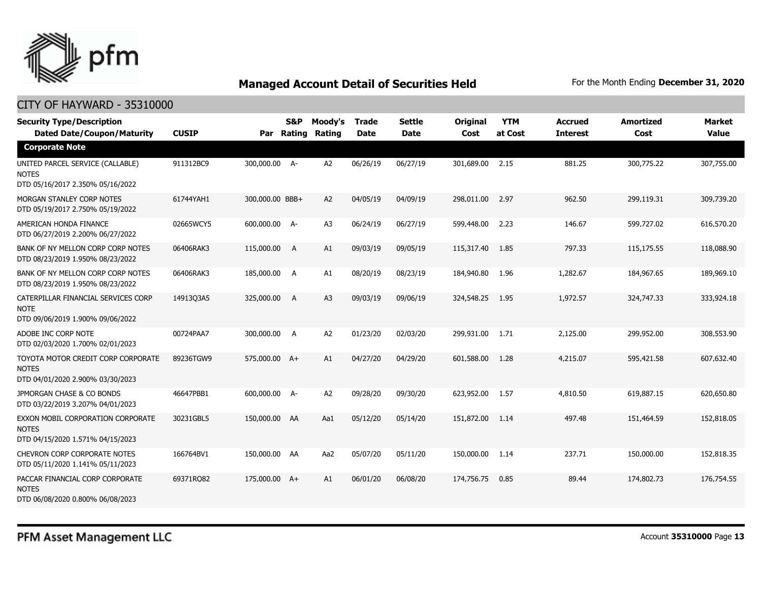

| <b>Security Type/Description</b><br><b>Dated Date/Coupon/Maturity</b>                  | <b>CUSIP</b> | Par             | <b>S&amp;P</b><br>Rating | Moody's<br><b>Rating</b> | Trade<br><b>Date</b> | <b>Settle</b><br><b>Date</b> | Original<br>Cost | <b>YTM</b><br>at Cost | <b>Accrued</b><br><b>Interest</b> | <b>Amortized</b><br>Cost | <b>Market</b><br><b>Value</b> |
|----------------------------------------------------------------------------------------|--------------|-----------------|--------------------------|--------------------------|----------------------|------------------------------|------------------|-----------------------|-----------------------------------|--------------------------|-------------------------------|
| <b>Corporate Note</b>                                                                  |              |                 |                          |                          |                      |                              |                  |                       |                                   |                          |                               |
| UNITED PARCEL SERVICE (CALLABLE)<br><b>NOTES</b><br>DTD 05/16/2017 2.350% 05/16/2022   | 911312BC9    | 300,000.00 A-   |                          | A <sub>2</sub>           | 06/26/19             | 06/27/19                     | 301,689.00       | 2.15                  | 881.25                            | 300,775.22               | 307,755.00                    |
| <b>MORGAN STANLEY CORP NOTES</b><br>DTD 05/19/2017 2.750% 05/19/2022                   | 61744YAH1    | 300,000.00 BBB+ |                          | A2                       | 04/05/19             | 04/09/19                     | 298,011.00       | 2.97                  | 962.50                            | 299,119.31               | 309,739.20                    |
| AMERICAN HONDA FINANCE<br>DTD 06/27/2019 2.200% 06/27/2022                             | 02665WCY5    | 600,000.00 A-   |                          | A <sub>3</sub>           | 06/24/19             | 06/27/19                     | 599,448.00       | 2.23                  | 146.67                            | 599,727.02               | 616,570.20                    |
| BANK OF NY MELLON CORP CORP NOTES<br>DTD 08/23/2019 1.950% 08/23/2022                  | 06406RAK3    | 115,000.00      | A                        | A1                       | 09/03/19             | 09/05/19                     | 115,317.40       | 1.85                  | 797.33                            | 115,175.55               | 118,088.90                    |
| BANK OF NY MELLON CORP CORP NOTES<br>DTD 08/23/2019 1.950% 08/23/2022                  | 06406RAK3    | 185,000.00      | A                        | A1                       | 08/20/19             | 08/23/19                     | 184,940.80       | 1.96                  | 1,282.67                          | 184,967.65               | 189,969.10                    |
| CATERPILLAR FINANCIAL SERVICES CORP<br>NOTE<br>DTD 09/06/2019 1.900% 09/06/2022        | 14913Q3A5    | 325,000.00      | A                        | A <sub>3</sub>           | 09/03/19             | 09/06/19                     | 324,548.25       | 1.95                  | 1,972.57                          | 324,747.33               | 333,924.18                    |
| ADOBE INC CORP NOTE<br>DTD 02/03/2020 1.700% 02/01/2023                                | 00724PAA7    | 300,000.00      | A                        | A <sub>2</sub>           | 01/23/20             | 02/03/20                     | 299,931.00       | 1.71                  | 2,125.00                          | 299,952.00               | 308,553.90                    |
| TOYOTA MOTOR CREDIT CORP CORPORATE<br><b>NOTES</b><br>DTD 04/01/2020 2.900% 03/30/2023 | 89236TGW9    | 575,000.00 A+   |                          | A1                       | 04/27/20             | 04/29/20                     | 601,588.00       | 1.28                  | 4,215.07                          | 595,421.58               | 607,632.40                    |
| JPMORGAN CHASE & CO BONDS<br>DTD 03/22/2019 3.207% 04/01/2023                          | 46647PBB1    | 600,000.00 A-   |                          | A <sub>2</sub>           | 09/28/20             | 09/30/20                     | 623,952.00       | 1.57                  | 4,810.50                          | 619,887.15               | 620,650.80                    |
| EXXON MOBIL CORPORATION CORPORATE<br><b>NOTES</b><br>DTD 04/15/2020 1.571% 04/15/2023  | 30231GBL5    | 150,000.00 AA   |                          | Aa1                      | 05/12/20             | 05/14/20                     | 151,872.00       | 1.14                  | 497.48                            | 151,464.59               | 152,818.05                    |
| CHEVRON CORP CORPORATE NOTES<br>DTD 05/11/2020 1.141% 05/11/2023                       | 166764BV1    | 150,000.00 AA   |                          | Aa2                      | 05/07/20             | 05/11/20                     | 150,000.00       | 1.14                  | 237.71                            | 150,000.00               | 152,818.35                    |
| PACCAR FINANCIAL CORP CORPORATE<br><b>NOTES</b><br>DTD 06/08/2020 0.800% 06/08/2023    | 69371RQ82    | 175,000.00 A+   |                          | A1                       | 06/01/20             | 06/08/20                     | 174,756.75       | 0.85                  | 89.44                             | 174,802.73               | 176,754.55                    |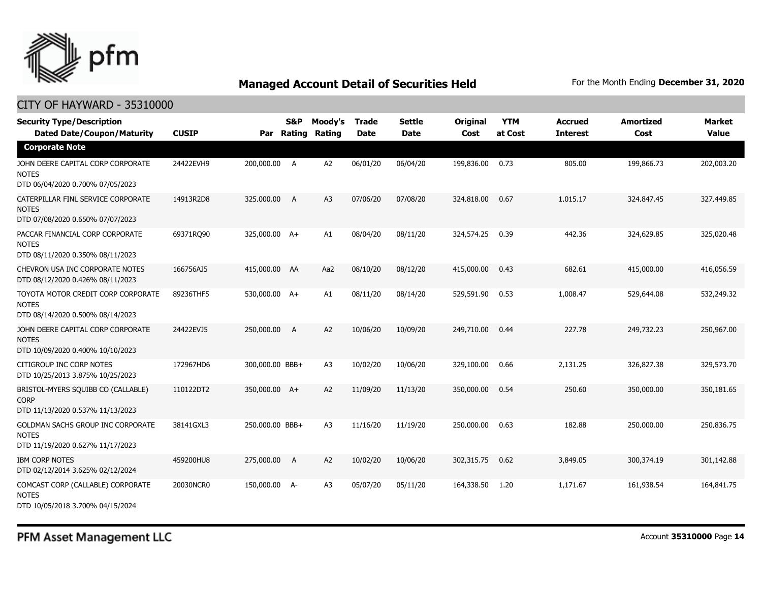

| <b>Security Type/Description</b><br><b>Dated Date/Coupon/Maturity</b>                  | <b>CUSIP</b> | Par             | <b>S&amp;P</b><br>Rating | Moody's<br>Rating | <b>Trade</b><br><b>Date</b> | <b>Settle</b><br><b>Date</b> | <b>Original</b><br>Cost | <b>YTM</b><br>at Cost | <b>Accrued</b><br><b>Interest</b> | <b>Amortized</b><br>Cost | <b>Market</b><br><b>Value</b> |
|----------------------------------------------------------------------------------------|--------------|-----------------|--------------------------|-------------------|-----------------------------|------------------------------|-------------------------|-----------------------|-----------------------------------|--------------------------|-------------------------------|
| <b>Corporate Note</b>                                                                  |              |                 |                          |                   |                             |                              |                         |                       |                                   |                          |                               |
| JOHN DEERE CAPITAL CORP CORPORATE<br><b>NOTES</b><br>DTD 06/04/2020 0.700% 07/05/2023  | 24422EVH9    | 200,000.00 A    |                          | A <sub>2</sub>    | 06/01/20                    | 06/04/20                     | 199,836.00              | 0.73                  | 805.00                            | 199,866.73               | 202,003.20                    |
| CATERPILLAR FINL SERVICE CORPORATE<br><b>NOTES</b><br>DTD 07/08/2020 0.650% 07/07/2023 | 14913R2D8    | 325,000.00      | A                        | A <sub>3</sub>    | 07/06/20                    | 07/08/20                     | 324,818.00              | 0.67                  | 1,015.17                          | 324,847.45               | 327,449.85                    |
| PACCAR FINANCIAL CORP CORPORATE<br><b>NOTES</b><br>DTD 08/11/2020 0.350% 08/11/2023    | 69371RQ90    | 325,000.00 A+   |                          | A1                | 08/04/20                    | 08/11/20                     | 324,574.25              | 0.39                  | 442.36                            | 324,629.85               | 325,020.48                    |
| CHEVRON USA INC CORPORATE NOTES<br>DTD 08/12/2020 0.426% 08/11/2023                    | 166756AJ5    | 415,000.00 AA   |                          | Aa2               | 08/10/20                    | 08/12/20                     | 415,000.00              | 0.43                  | 682.61                            | 415,000.00               | 416,056.59                    |
| TOYOTA MOTOR CREDIT CORP CORPORATE<br><b>NOTES</b><br>DTD 08/14/2020 0.500% 08/14/2023 | 89236THF5    | 530,000.00 A+   |                          | A1                | 08/11/20                    | 08/14/20                     | 529,591.90              | 0.53                  | 1,008.47                          | 529,644.08               | 532,249.32                    |
| JOHN DEERE CAPITAL CORP CORPORATE<br><b>NOTES</b><br>DTD 10/09/2020 0.400% 10/10/2023  | 24422EVJ5    | 250,000.00      | A                        | A2                | 10/06/20                    | 10/09/20                     | 249,710.00              | 0.44                  | 227.78                            | 249,732.23               | 250,967.00                    |
| CITIGROUP INC CORP NOTES<br>DTD 10/25/2013 3.875% 10/25/2023                           | 172967HD6    | 300,000.00 BBB+ |                          | A <sub>3</sub>    | 10/02/20                    | 10/06/20                     | 329,100.00              | 0.66                  | 2,131.25                          | 326,827.38               | 329,573.70                    |
| BRISTOL-MYERS SQUIBB CO (CALLABLE)<br><b>CORP</b><br>DTD 11/13/2020 0.537% 11/13/2023  | 110122DT2    | 350,000.00 A+   |                          | A2                | 11/09/20                    | 11/13/20                     | 350,000.00              | 0.54                  | 250.60                            | 350,000.00               | 350,181.65                    |
| GOLDMAN SACHS GROUP INC CORPORATE<br><b>NOTES</b><br>DTD 11/19/2020 0.627% 11/17/2023  | 38141GXL3    | 250,000.00 BBB+ |                          | A <sub>3</sub>    | 11/16/20                    | 11/19/20                     | 250,000.00              | 0.63                  | 182.88                            | 250,000.00               | 250,836.75                    |
| <b>IBM CORP NOTES</b><br>DTD 02/12/2014 3.625% 02/12/2024                              | 459200HU8    | 275,000.00      | A                        | A2                | 10/02/20                    | 10/06/20                     | 302,315.75              | 0.62                  | 3,849.05                          | 300,374.19               | 301,142.88                    |
| COMCAST CORP (CALLABLE) CORPORATE<br><b>NOTES</b><br>DTD 10/05/2018 3.700% 04/15/2024  | 20030NCR0    | 150,000.00 A-   |                          | A <sub>3</sub>    | 05/07/20                    | 05/11/20                     | 164,338.50              | 1.20                  | 1,171.67                          | 161,938.54               | 164,841.75                    |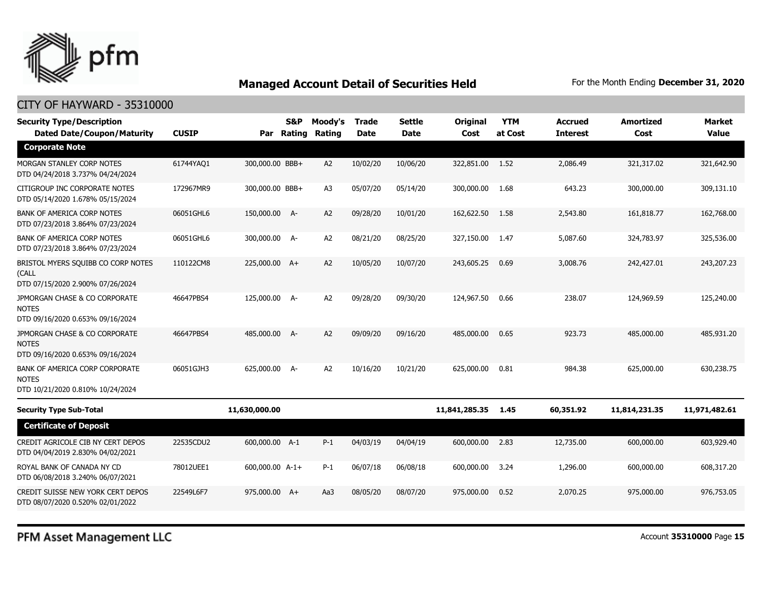

| <b>Security Type/Description</b>                                                   |              |                 | <b>S&amp;P</b> | Moody's        | <b>Trade</b> | <b>Settle</b> | Original        | <b>YTM</b> | <b>Accrued</b>  | <b>Amortized</b> | <b>Market</b> |
|------------------------------------------------------------------------------------|--------------|-----------------|----------------|----------------|--------------|---------------|-----------------|------------|-----------------|------------------|---------------|
| <b>Dated Date/Coupon/Maturity</b>                                                  | <b>CUSIP</b> |                 | Par Rating     | Rating         | <b>Date</b>  | <b>Date</b>   | Cost            | at Cost    | <b>Interest</b> | Cost             | <b>Value</b>  |
| <b>Corporate Note</b>                                                              |              |                 |                |                |              |               |                 |            |                 |                  |               |
| MORGAN STANLEY CORP NOTES<br>DTD 04/24/2018 3.737% 04/24/2024                      | 61744YAQ1    | 300,000.00 BBB+ |                | A2             | 10/02/20     | 10/06/20      | 322,851.00 1.52 |            | 2,086.49        | 321,317.02       | 321,642.90    |
| CITIGROUP INC CORPORATE NOTES<br>DTD 05/14/2020 1.678% 05/15/2024                  | 172967MR9    | 300,000.00 BBB+ |                | A <sub>3</sub> | 05/07/20     | 05/14/20      | 300,000.00      | 1.68       | 643.23          | 300,000.00       | 309,131.10    |
| <b>BANK OF AMERICA CORP NOTES</b><br>DTD 07/23/2018 3.864% 07/23/2024              | 06051GHL6    | 150,000.00 A-   |                | A2             | 09/28/20     | 10/01/20      | 162,622.50      | 1.58       | 2,543.80        | 161,818.77       | 162,768.00    |
| BANK OF AMERICA CORP NOTES<br>DTD 07/23/2018 3.864% 07/23/2024                     | 06051GHL6    | 300,000.00 A-   |                | A <sub>2</sub> | 08/21/20     | 08/25/20      | 327,150.00      | 1.47       | 5,087.60        | 324,783.97       | 325,536.00    |
| BRISTOL MYERS SQUIBB CO CORP NOTES<br>(CALL<br>DTD 07/15/2020 2.900% 07/26/2024    | 110122CM8    | 225,000.00 A+   |                | A <sub>2</sub> | 10/05/20     | 10/07/20      | 243,605.25      | 0.69       | 3,008.76        | 242,427.01       | 243,207.23    |
| JPMORGAN CHASE & CO CORPORATE<br><b>NOTES</b><br>DTD 09/16/2020 0.653% 09/16/2024  | 46647PBS4    | 125,000.00 A-   |                | A2             | 09/28/20     | 09/30/20      | 124,967.50      | 0.66       | 238.07          | 124,969.59       | 125,240.00    |
| JPMORGAN CHASE & CO CORPORATE<br><b>NOTES</b><br>DTD 09/16/2020 0.653% 09/16/2024  | 46647PBS4    | 485,000.00 A-   |                | A2             | 09/09/20     | 09/16/20      | 485,000,00      | 0.65       | 923.73          | 485,000,00       | 485,931.20    |
| BANK OF AMERICA CORP CORPORATE<br><b>NOTES</b><br>DTD 10/21/2020 0.810% 10/24/2024 | 06051GJH3    | 625,000.00 A-   |                | A <sub>2</sub> | 10/16/20     | 10/21/20      | 625,000.00      | 0.81       | 984.38          | 625,000.00       | 630,238.75    |
| <b>Security Type Sub-Total</b>                                                     |              | 11,630,000.00   |                |                |              |               | 11,841,285.35   | 1.45       | 60,351.92       | 11,814,231.35    | 11,971,482.61 |
| <b>Certificate of Deposit</b>                                                      |              |                 |                |                |              |               |                 |            |                 |                  |               |
| CREDIT AGRICOLE CIB NY CERT DEPOS<br>DTD 04/04/2019 2.830% 04/02/2021              | 22535CDU2    | 600,000.00 A-1  |                | $P-1$          | 04/03/19     | 04/04/19      | 600,000.00      | 2.83       | 12,735.00       | 600,000.00       | 603,929.40    |
| ROYAL BANK OF CANADA NY CD<br>DTD 06/08/2018 3.240% 06/07/2021                     | 78012UEE1    | 600,000.00 A-1+ |                | $P-1$          | 06/07/18     | 06/08/18      | 600,000.00      | 3.24       | 1,296.00        | 600,000.00       | 608,317.20    |
| CREDIT SUISSE NEW YORK CERT DEPOS<br>DTD 08/07/2020 0.520% 02/01/2022              | 22549L6F7    | 975,000.00 A+   |                | Aa3            | 08/05/20     | 08/07/20      | 975,000.00      | 0.52       | 2,070.25        | 975,000.00       | 976,753.05    |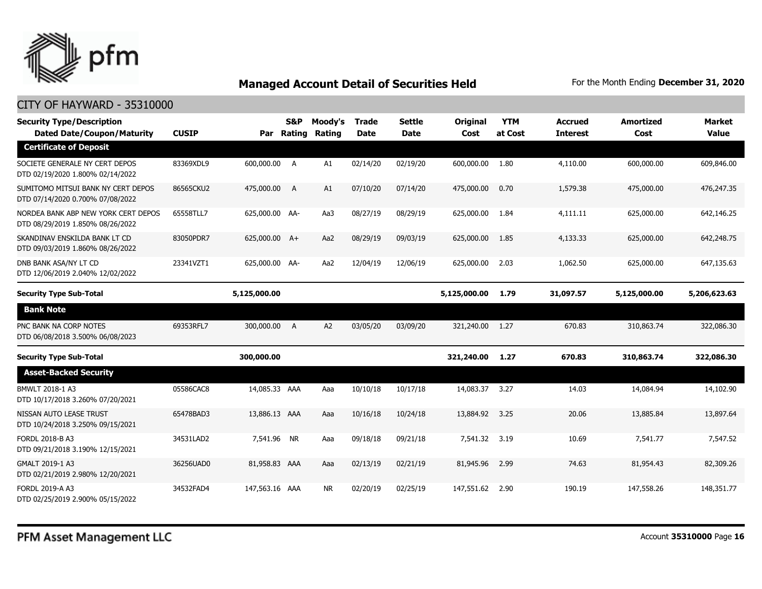

| <b>Security Type/Description</b><br><b>Dated Date/Coupon/Maturity</b>   | <b>CUSIP</b> |                | S&P<br>Par Rating | Moody's<br>Rating | <b>Trade</b><br><b>Date</b> | <b>Settle</b><br><b>Date</b> | Original<br>Cost | <b>YTM</b><br>at Cost | <b>Accrued</b><br><b>Interest</b> | <b>Amortized</b><br>Cost | <b>Market</b><br><b>Value</b> |
|-------------------------------------------------------------------------|--------------|----------------|-------------------|-------------------|-----------------------------|------------------------------|------------------|-----------------------|-----------------------------------|--------------------------|-------------------------------|
| <b>Certificate of Deposit</b>                                           |              |                |                   |                   |                             |                              |                  |                       |                                   |                          |                               |
| SOCIETE GENERALE NY CERT DEPOS<br>DTD 02/19/2020 1.800% 02/14/2022      | 83369XDL9    | 600,000.00 A   |                   | A1                | 02/14/20                    | 02/19/20                     | 600,000.00       | 1.80                  | 4,110.00                          | 600,000.00               | 609,846.00                    |
| SUMITOMO MITSUI BANK NY CERT DEPOS<br>DTD 07/14/2020 0.700% 07/08/2022  | 86565CKU2    | 475,000.00 A   |                   | A1                | 07/10/20                    | 07/14/20                     | 475,000.00       | 0.70                  | 1,579.38                          | 475,000.00               | 476,247.35                    |
| NORDEA BANK ABP NEW YORK CERT DEPOS<br>DTD 08/29/2019 1.850% 08/26/2022 | 65558TLL7    | 625,000.00 AA- |                   | Aa3               | 08/27/19                    | 08/29/19                     | 625,000.00       | 1.84                  | 4,111.11                          | 625,000.00               | 642,146.25                    |
| SKANDINAV ENSKILDA BANK LT CD<br>DTD 09/03/2019 1.860% 08/26/2022       | 83050PDR7    | 625,000.00 A+  |                   | Aa2               | 08/29/19                    | 09/03/19                     | 625,000.00       | 1.85                  | 4,133.33                          | 625,000.00               | 642,248.75                    |
| DNB BANK ASA/NY LT CD<br>DTD 12/06/2019 2.040% 12/02/2022               | 23341VZT1    | 625,000.00 AA- |                   | Aa2               | 12/04/19                    | 12/06/19                     | 625,000.00       | 2.03                  | 1,062.50                          | 625,000.00               | 647,135.63                    |
| <b>Security Type Sub-Total</b>                                          |              | 5,125,000.00   |                   |                   |                             |                              | 5,125,000.00     | 1.79                  | 31,097.57                         | 5,125,000.00             | 5,206,623.63                  |
| <b>Bank Note</b>                                                        |              |                |                   |                   |                             |                              |                  |                       |                                   |                          |                               |
| PNC BANK NA CORP NOTES<br>DTD 06/08/2018 3.500% 06/08/2023              | 69353RFL7    | 300,000.00 A   |                   | A <sub>2</sub>    | 03/05/20                    | 03/09/20                     | 321,240.00       | 1.27                  | 670.83                            | 310,863.74               | 322,086.30                    |
| <b>Security Type Sub-Total</b>                                          |              | 300,000.00     |                   |                   |                             |                              | 321,240.00       | 1.27                  | 670.83                            | 310,863.74               | 322,086.30                    |
| <b>Asset-Backed Security</b>                                            |              |                |                   |                   |                             |                              |                  |                       |                                   |                          |                               |
| BMWLT 2018-1 A3<br>DTD 10/17/2018 3.260% 07/20/2021                     | 05586CAC8    | 14,085.33 AAA  |                   | Aaa               | 10/10/18                    | 10/17/18                     | 14,083.37        | 3.27                  | 14.03                             | 14,084.94                | 14,102.90                     |
| NISSAN AUTO LEASE TRUST<br>DTD 10/24/2018 3.250% 09/15/2021             | 65478BAD3    | 13,886.13 AAA  |                   | Aaa               | 10/16/18                    | 10/24/18                     | 13,884.92        | 3.25                  | 20.06                             | 13,885.84                | 13,897.64                     |
| FORDL 2018-B A3<br>DTD 09/21/2018 3.190% 12/15/2021                     | 34531LAD2    | 7,541.96 NR    |                   | Aaa               | 09/18/18                    | 09/21/18                     | 7,541.32         | 3.19                  | 10.69                             | 7,541.77                 | 7,547.52                      |
| GMALT 2019-1 A3<br>DTD 02/21/2019 2.980% 12/20/2021                     | 36256UAD0    | 81,958.83 AAA  |                   | Aaa               | 02/13/19                    | 02/21/19                     | 81,945.96        | 2.99                  | 74.63                             | 81,954.43                | 82,309.26                     |
| FORDL 2019-A A3<br>DTD 02/25/2019 2.900% 05/15/2022                     | 34532FAD4    | 147,563.16 AAA |                   | <b>NR</b>         | 02/20/19                    | 02/25/19                     | 147,551.62       | 2.90                  | 190.19                            | 147,558.26               | 148,351.77                    |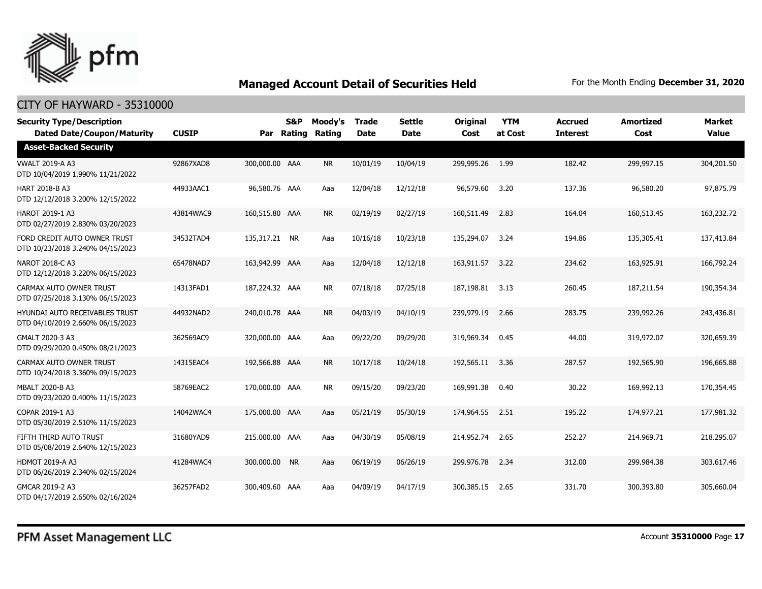

| <b>Security Type/Description</b><br><b>Dated Date/Coupon/Maturity</b> | <b>CUSIP</b> |                | S&P<br>Par Rating | Moody's<br>Rating | <b>Trade</b><br><b>Date</b> | <b>Settle</b><br><b>Date</b> | <b>Original</b><br>Cost | <b>YTM</b><br>at Cost | <b>Accrued</b><br><b>Interest</b> | <b>Amortized</b><br>Cost | <b>Market</b><br><b>Value</b> |
|-----------------------------------------------------------------------|--------------|----------------|-------------------|-------------------|-----------------------------|------------------------------|-------------------------|-----------------------|-----------------------------------|--------------------------|-------------------------------|
| <b>Asset-Backed Security</b>                                          |              |                |                   |                   |                             |                              |                         |                       |                                   |                          |                               |
| <b>VWALT 2019-A A3</b><br>DTD 10/04/2019 1.990% 11/21/2022            | 92867XAD8    | 300,000.00 AAA |                   | <b>NR</b>         | 10/01/19                    | 10/04/19                     | 299,995.26              | 1.99                  | 182.42                            | 299,997.15               | 304,201.50                    |
| <b>HART 2018-B A3</b><br>DTD 12/12/2018 3.200% 12/15/2022             | 44933AAC1    | 96,580.76 AAA  |                   | Aaa               | 12/04/18                    | 12/12/18                     | 96,579.60               | 3.20                  | 137.36                            | 96,580.20                | 97,875.79                     |
| HAROT 2019-1 A3<br>DTD 02/27/2019 2.830% 03/20/2023                   | 43814WAC9    | 160,515.80 AAA |                   | <b>NR</b>         | 02/19/19                    | 02/27/19                     | 160,511.49              | 2.83                  | 164.04                            | 160,513.45               | 163,232.72                    |
| FORD CREDIT AUTO OWNER TRUST<br>DTD 10/23/2018 3.240% 04/15/2023      | 34532TAD4    | 135,317.21 NR  |                   | Aaa               | 10/16/18                    | 10/23/18                     | 135,294.07              | 3.24                  | 194.86                            | 135,305.41               | 137,413.84                    |
| <b>NAROT 2018-C A3</b><br>DTD 12/12/2018 3.220% 06/15/2023            | 65478NAD7    | 163,942.99 AAA |                   | Aaa               | 12/04/18                    | 12/12/18                     | 163,911.57              | 3.22                  | 234.62                            | 163,925.91               | 166,792.24                    |
| CARMAX AUTO OWNER TRUST<br>DTD 07/25/2018 3.130% 06/15/2023           | 14313FAD1    | 187,224.32 AAA |                   | <b>NR</b>         | 07/18/18                    | 07/25/18                     | 187,198.81              | 3.13                  | 260.45                            | 187,211.54               | 190,354.34                    |
| HYUNDAI AUTO RECEIVABLES TRUST<br>DTD 04/10/2019 2.660% 06/15/2023    | 44932NAD2    | 240,010.78 AAA |                   | <b>NR</b>         | 04/03/19                    | 04/10/19                     | 239,979.19              | 2.66                  | 283.75                            | 239,992.26               | 243,436.81                    |
| GMALT 2020-3 A3<br>DTD 09/29/2020 0.450% 08/21/2023                   | 362569AC9    | 320,000.00 AAA |                   | Aaa               | 09/22/20                    | 09/29/20                     | 319,969.34              | 0.45                  | 44.00                             | 319,972.07               | 320,659.39                    |
| CARMAX AUTO OWNER TRUST<br>DTD 10/24/2018 3.360% 09/15/2023           | 14315EAC4    | 192,566.88 AAA |                   | <b>NR</b>         | 10/17/18                    | 10/24/18                     | 192,565.11              | 3.36                  | 287.57                            | 192,565.90               | 196,665.88                    |
| MBALT 2020-B A3<br>DTD 09/23/2020 0.400% 11/15/2023                   | 58769EAC2    | 170,000.00 AAA |                   | <b>NR</b>         | 09/15/20                    | 09/23/20                     | 169,991.38              | 0.40                  | 30.22                             | 169,992.13               | 170,354.45                    |
| COPAR 2019-1 A3<br>DTD 05/30/2019 2.510% 11/15/2023                   | 14042WAC4    | 175,000.00 AAA |                   | Aaa               | 05/21/19                    | 05/30/19                     | 174,964.55              | 2.51                  | 195.22                            | 174,977.21               | 177,981.32                    |
| FIFTH THIRD AUTO TRUST<br>DTD 05/08/2019 2.640% 12/15/2023            | 31680YAD9    | 215,000.00 AAA |                   | Aaa               | 04/30/19                    | 05/08/19                     | 214,952.74              | 2.65                  | 252.27                            | 214,969.71               | 218,295.07                    |
| <b>HDMOT 2019-A A3</b><br>DTD 06/26/2019 2.340% 02/15/2024            | 41284WAC4    | 300,000.00 NR  |                   | Aaa               | 06/19/19                    | 06/26/19                     | 299,976.78              | 2.34                  | 312.00                            | 299,984.38               | 303,617.46                    |
| GMCAR 2019-2 A3<br>DTD 04/17/2019 2.650% 02/16/2024                   | 36257FAD2    | 300,409.60 AAA |                   | Aaa               | 04/09/19                    | 04/17/19                     | 300,385.15              | 2.65                  | 331.70                            | 300,393.80               | 305,660.04                    |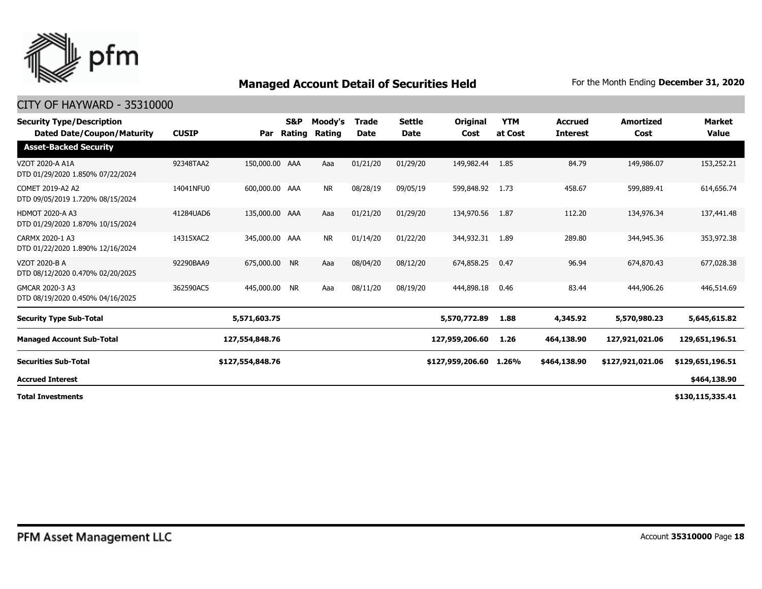

#### CITY OF HAYWARD - 35310000

| <b>Security Type/Description</b><br>Dated Date/Coupon/Maturity | <b>CUSIP</b> | Par              | S&P<br>Rating | Moody's<br>Rating | <b>Trade</b><br>Date | Settle<br><b>Date</b> | Original<br>Cost | <b>YTM</b><br>at Cost | <b>Accrued</b><br><b>Interest</b> | <b>Amortized</b><br>Cost | <b>Market</b><br><b>Value</b> |
|----------------------------------------------------------------|--------------|------------------|---------------|-------------------|----------------------|-----------------------|------------------|-----------------------|-----------------------------------|--------------------------|-------------------------------|
| <b>Asset-Backed Security</b>                                   |              |                  |               |                   |                      |                       |                  |                       |                                   |                          |                               |
| VZOT 2020-A A1A<br>DTD 01/29/2020 1.850% 07/22/2024            | 92348TAA2    | 150,000.00 AAA   |               | Aaa               | 01/21/20             | 01/29/20              | 149,982.44       | 1.85                  | 84.79                             | 149,986.07               | 153,252.21                    |
| COMET 2019-A2 A2<br>DTD 09/05/2019 1.720% 08/15/2024           | 14041NFU0    | 600,000.00 AAA   |               | <b>NR</b>         | 08/28/19             | 09/05/19              | 599,848.92       | 1.73                  | 458.67                            | 599,889.41               | 614,656.74                    |
| <b>HDMOT 2020-A A3</b><br>DTD 01/29/2020 1.870% 10/15/2024     | 41284UAD6    | 135,000.00 AAA   |               | Aaa               | 01/21/20             | 01/29/20              | 134,970.56       | 1.87                  | 112.20                            | 134,976.34               | 137,441.48                    |
| CARMX 2020-1 A3<br>DTD 01/22/2020 1.890% 12/16/2024            | 14315XAC2    | 345,000.00 AAA   |               | <b>NR</b>         | 01/14/20             | 01/22/20              | 344,932.31       | 1.89                  | 289.80                            | 344,945.36               | 353,972.38                    |
| <b>VZOT 2020-B A</b><br>DTD 08/12/2020 0.470% 02/20/2025       | 92290BAA9    | 675,000.00 NR    |               | Aaa               | 08/04/20             | 08/12/20              | 674,858.25       | 0.47                  | 96.94                             | 674,870.43               | 677.028.38                    |
| GMCAR 2020-3 A3<br>DTD 08/19/2020 0.450% 04/16/2025            | 362590AC5    | 445,000.00       | <b>NR</b>     | Aaa               | 08/11/20             | 08/19/20              | 444,898.18       | 0.46                  | 83.44                             | 444,906.26               | 446,514.69                    |
| <b>Security Type Sub-Total</b>                                 |              | 5,571,603.75     |               |                   |                      |                       | 5,570,772.89     | 1.88                  | 4,345.92                          | 5,570,980.23             | 5,645,615.82                  |
| <b>Managed Account Sub-Total</b>                               |              | 127,554,848.76   |               |                   |                      |                       | 127,959,206.60   | 1.26                  | 464,138.90                        | 127,921,021.06           | 129,651,196.51                |
| <b>Securities Sub-Total</b>                                    |              | \$127,554,848.76 |               |                   |                      |                       | \$127,959,206.60 | 1.26%                 | \$464,138.90                      | \$127,921,021.06         | \$129,651,196.51              |
| <b>Accrued Interest</b>                                        |              |                  |               |                   |                      |                       |                  |                       |                                   |                          | \$464,138.90                  |
| Total Investments                                              |              |                  |               |                   |                      |                       |                  |                       |                                   |                          | 6120 115 225 41               |

**Total Investments**

**\$130,115,335.41**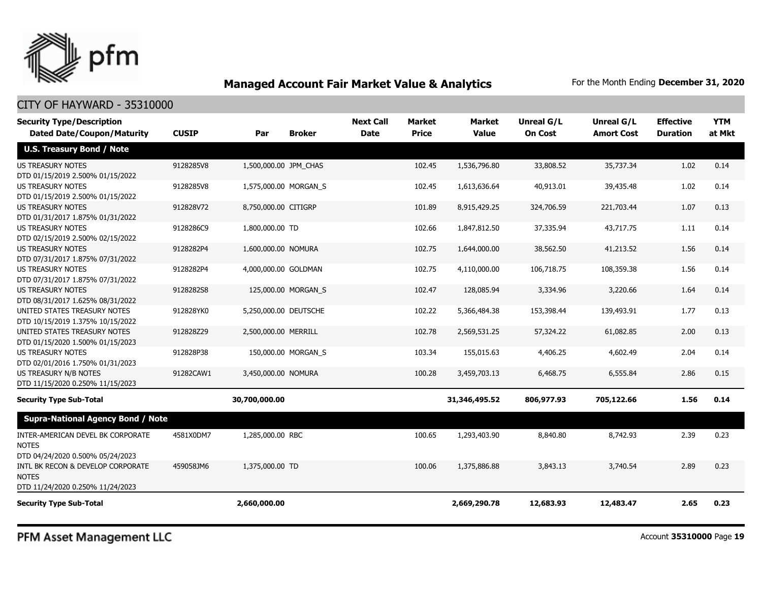

| <b>Security Type/Description</b><br><b>Dated Date/Coupon/Maturity</b>                 | <b>CUSIP</b> | Par                   | <b>Broker</b>       | <b>Next Call</b><br><b>Date</b> | <b>Market</b><br><b>Price</b> | Market<br><b>Value</b> | <b>Unreal G/L</b><br><b>On Cost</b> | Unreal G/L<br><b>Amort Cost</b> | <b>Effective</b><br><b>Duration</b> | <b>YTM</b><br>at Mkt |
|---------------------------------------------------------------------------------------|--------------|-----------------------|---------------------|---------------------------------|-------------------------------|------------------------|-------------------------------------|---------------------------------|-------------------------------------|----------------------|
| <b>U.S. Treasury Bond / Note</b>                                                      |              |                       |                     |                                 |                               |                        |                                     |                                 |                                     |                      |
| <b>US TREASURY NOTES</b><br>DTD 01/15/2019 2.500% 01/15/2022                          | 9128285V8    | 1,500,000.00 JPM CHAS |                     |                                 | 102.45                        | 1,536,796.80           | 33,808.52                           | 35,737.34                       | 1.02                                | 0.14                 |
| US TREASURY NOTES<br>DTD 01/15/2019 2.500% 01/15/2022                                 | 9128285V8    | 1,575,000.00 MORGAN S |                     |                                 | 102.45                        | 1,613,636.64           | 40,913.01                           | 39,435.48                       | 1.02                                | 0.14                 |
| <b>US TREASURY NOTES</b><br>DTD 01/31/2017 1.875% 01/31/2022                          | 912828V72    | 8,750,000.00 CITIGRP  |                     |                                 | 101.89                        | 8,915,429.25           | 324,706.59                          | 221,703.44                      | 1.07                                | 0.13                 |
| <b>US TREASURY NOTES</b><br>DTD 02/15/2019 2.500% 02/15/2022                          | 9128286C9    | 1,800,000.00 TD       |                     |                                 | 102.66                        | 1,847,812.50           | 37,335.94                           | 43,717.75                       | 1.11                                | 0.14                 |
| <b>US TREASURY NOTES</b><br>DTD 07/31/2017 1.875% 07/31/2022                          | 9128282P4    | 1,600,000.00 NOMURA   |                     |                                 | 102.75                        | 1,644,000.00           | 38,562.50                           | 41,213.52                       | 1.56                                | 0.14                 |
| <b>US TREASURY NOTES</b><br>DTD 07/31/2017 1.875% 07/31/2022                          | 9128282P4    | 4,000,000.00 GOLDMAN  |                     |                                 | 102.75                        | 4,110,000.00           | 106,718.75                          | 108,359.38                      | 1.56                                | 0.14                 |
| <b>US TREASURY NOTES</b><br>DTD 08/31/2017 1.625% 08/31/2022                          | 9128282S8    |                       | 125,000.00 MORGAN_S |                                 | 102.47                        | 128,085.94             | 3,334.96                            | 3,220.66                        | 1.64                                | 0.14                 |
| UNITED STATES TREASURY NOTES<br>DTD 10/15/2019 1.375% 10/15/2022                      | 912828YK0    | 5,250,000.00 DEUTSCHE |                     |                                 | 102.22                        | 5,366,484.38           | 153,398.44                          | 139,493.91                      | 1.77                                | 0.13                 |
| UNITED STATES TREASURY NOTES<br>DTD 01/15/2020 1.500% 01/15/2023                      | 912828Z29    | 2,500,000.00 MERRILL  |                     |                                 | 102.78                        | 2,569,531.25           | 57,324.22                           | 61,082.85                       | 2.00                                | 0.13                 |
| <b>US TREASURY NOTES</b><br>DTD 02/01/2016 1.750% 01/31/2023                          | 912828P38    |                       | 150,000.00 MORGAN_S |                                 | 103.34                        | 155,015.63             | 4,406.25                            | 4,602.49                        | 2.04                                | 0.14                 |
| US TREASURY N/B NOTES<br>DTD 11/15/2020 0.250% 11/15/2023                             | 91282CAW1    | 3,450,000.00 NOMURA   |                     |                                 | 100.28                        | 3,459,703.13           | 6,468.75                            | 6,555.84                        | 2.86                                | 0.15                 |
| <b>Security Type Sub-Total</b>                                                        |              | 30,700,000.00         |                     |                                 |                               | 31,346,495.52          | 806,977.93                          | 705,122.66                      | 1.56                                | 0.14                 |
| <b>Supra-National Agency Bond / Note</b>                                              |              |                       |                     |                                 |                               |                        |                                     |                                 |                                     |                      |
| INTER-AMERICAN DEVEL BK CORPORATE<br><b>NOTES</b><br>DTD 04/24/2020 0.500% 05/24/2023 | 4581X0DM7    | 1,285,000.00 RBC      |                     |                                 | 100.65                        | 1,293,403.90           | 8,840.80                            | 8,742.93                        | 2.39                                | 0.23                 |
| INTL BK RECON & DEVELOP CORPORATE<br><b>NOTES</b><br>DTD 11/24/2020 0.250% 11/24/2023 | 459058JM6    | 1,375,000.00 TD       |                     |                                 | 100.06                        | 1,375,886,88           | 3,843.13                            | 3,740.54                        | 2.89                                | 0.23                 |
| <b>Security Type Sub-Total</b>                                                        |              | 2,660,000.00          |                     |                                 |                               | 2,669,290.78           | 12,683.93                           | 12,483.47                       | 2.65                                | 0.23                 |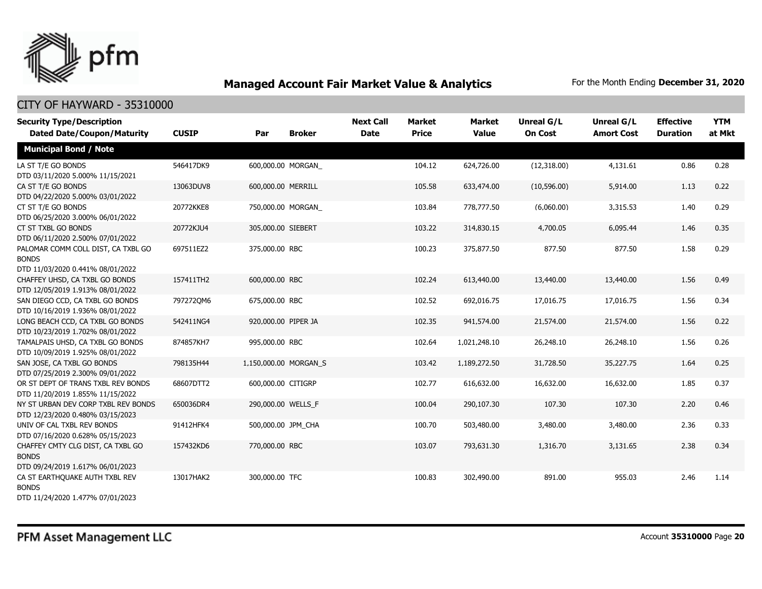

| <b>Security Type/Description</b><br><b>Dated Date/Coupon/Maturity</b>                  | <b>CUSIP</b> | Par                   | <b>Broker</b> | <b>Next Call</b><br><b>Date</b> | <b>Market</b><br><b>Price</b> | <b>Market</b><br><b>Value</b> | <b>Unreal G/L</b><br><b>On Cost</b> | Unreal G/L<br><b>Amort Cost</b> | <b>Effective</b><br><b>Duration</b> | <b>YTM</b><br>at Mkt |
|----------------------------------------------------------------------------------------|--------------|-----------------------|---------------|---------------------------------|-------------------------------|-------------------------------|-------------------------------------|---------------------------------|-------------------------------------|----------------------|
| <b>Municipal Bond / Note</b>                                                           |              |                       |               |                                 |                               |                               |                                     |                                 |                                     |                      |
| LA ST T/E GO BONDS<br>DTD 03/11/2020 5.000% 11/15/2021                                 | 546417DK9    | 600,000.00 MORGAN     |               |                                 | 104.12                        | 624,726.00                    | (12,318.00)                         | 4,131.61                        | 0.86                                | 0.28                 |
| CA ST T/E GO BONDS<br>DTD 04/22/2020 5.000% 03/01/2022                                 | 13063DUV8    | 600,000.00 MERRILL    |               |                                 | 105.58                        | 633,474.00                    | (10,596.00)                         | 5,914.00                        | 1.13                                | 0.22                 |
| CT ST T/E GO BONDS<br>DTD 06/25/2020 3.000% 06/01/2022                                 | 20772KKE8    | 750,000.00 MORGAN     |               |                                 | 103.84                        | 778,777.50                    | (6,060.00)                          | 3,315.53                        | 1.40                                | 0.29                 |
| CT ST TXBL GO BONDS<br>DTD 06/11/2020 2.500% 07/01/2022                                | 20772KJU4    | 305,000.00 SIEBERT    |               |                                 | 103.22                        | 314,830.15                    | 4,700.05                            | 6,095.44                        | 1.46                                | 0.35                 |
| PALOMAR COMM COLL DIST, CA TXBL GO<br><b>BONDS</b><br>DTD 11/03/2020 0.441% 08/01/2022 | 697511EZ2    | 375,000.00 RBC        |               |                                 | 100.23                        | 375,877.50                    | 877.50                              | 877.50                          | 1.58                                | 0.29                 |
| CHAFFEY UHSD, CA TXBL GO BONDS<br>DTD 12/05/2019 1.913% 08/01/2022                     | 157411TH2    | 600,000.00 RBC        |               |                                 | 102.24                        | 613,440.00                    | 13,440.00                           | 13,440.00                       | 1.56                                | 0.49                 |
| SAN DIEGO CCD, CA TXBL GO BONDS<br>DTD 10/16/2019 1.936% 08/01/2022                    | 7972720M6    | 675,000.00 RBC        |               |                                 | 102.52                        | 692,016.75                    | 17,016.75                           | 17,016.75                       | 1.56                                | 0.34                 |
| LONG BEACH CCD, CA TXBL GO BONDS<br>DTD 10/23/2019 1.702% 08/01/2022                   | 542411NG4    | 920,000.00 PIPER JA   |               |                                 | 102.35                        | 941,574.00                    | 21,574.00                           | 21,574.00                       | 1.56                                | 0.22                 |
| TAMALPAIS UHSD, CA TXBL GO BONDS<br>DTD 10/09/2019 1.925% 08/01/2022                   | 874857KH7    | 995,000.00 RBC        |               |                                 | 102.64                        | 1,021,248.10                  | 26,248.10                           | 26,248.10                       | 1.56                                | 0.26                 |
| SAN JOSE, CA TXBL GO BONDS<br>DTD 07/25/2019 2.300% 09/01/2022                         | 798135H44    | 1,150,000.00 MORGAN_S |               |                                 | 103.42                        | 1,189,272.50                  | 31,728.50                           | 35,227.75                       | 1.64                                | 0.25                 |
| OR ST DEPT OF TRANS TXBL REV BONDS<br>DTD 11/20/2019 1.855% 11/15/2022                 | 68607DTT2    | 600,000.00 CITIGRP    |               |                                 | 102.77                        | 616,632.00                    | 16,632.00                           | 16,632.00                       | 1.85                                | 0.37                 |
| NY ST URBAN DEV CORP TXBL REV BONDS<br>DTD 12/23/2020 0.480% 03/15/2023                | 650036DR4    | 290,000.00 WELLS_F    |               |                                 | 100.04                        | 290,107.30                    | 107.30                              | 107.30                          | 2.20                                | 0.46                 |
| UNIV OF CAL TXBL REV BONDS<br>DTD 07/16/2020 0.628% 05/15/2023                         | 91412HFK4    | 500,000.00 JPM_CHA    |               |                                 | 100.70                        | 503,480.00                    | 3,480.00                            | 3,480.00                        | 2.36                                | 0.33                 |
| CHAFFEY CMTY CLG DIST, CA TXBL GO<br><b>BONDS</b><br>DTD 09/24/2019 1.617% 06/01/2023  | 157432KD6    | 770,000.00 RBC        |               |                                 | 103.07                        | 793,631.30                    | 1,316.70                            | 3,131.65                        | 2.38                                | 0.34                 |
| CA ST EARTHQUAKE AUTH TXBL REV<br><b>BONDS</b><br>DTD 11/24/2020 1.477% 07/01/2023     | 13017HAK2    | 300,000.00 TFC        |               |                                 | 100.83                        | 302,490.00                    | 891.00                              | 955.03                          | 2.46                                | 1.14                 |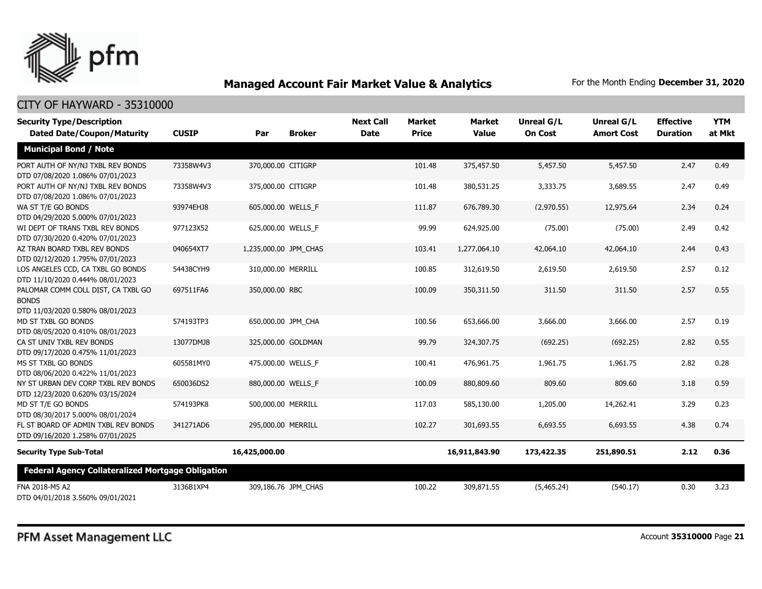

| <b>Security Type/Description</b>                                                       |              |                       |               | <b>Next Call</b> | <b>Market</b> | <b>Market</b> | <b>Unreal G/L</b> | Unreal G/L        | <b>Effective</b> | <b>YTM</b> |
|----------------------------------------------------------------------------------------|--------------|-----------------------|---------------|------------------|---------------|---------------|-------------------|-------------------|------------------|------------|
| <b>Dated Date/Coupon/Maturity</b>                                                      | <b>CUSIP</b> | Par                   | <b>Broker</b> | <b>Date</b>      | <b>Price</b>  | <b>Value</b>  | <b>On Cost</b>    | <b>Amort Cost</b> | <b>Duration</b>  | at Mkt     |
| <b>Municipal Bond / Note</b>                                                           |              |                       |               |                  |               |               |                   |                   |                  |            |
| PORT AUTH OF NY/NJ TXBL REV BONDS<br>DTD 07/08/2020 1.086% 07/01/2023                  | 73358W4V3    | 370,000.00 CITIGRP    |               |                  | 101.48        | 375,457.50    | 5,457.50          | 5,457.50          | 2.47             | 0.49       |
| PORT AUTH OF NY/NJ TXBL REV BONDS<br>DTD 07/08/2020 1.086% 07/01/2023                  | 73358W4V3    | 375,000.00 CITIGRP    |               |                  | 101.48        | 380,531.25    | 3,333.75          | 3,689.55          | 2.47             | 0.49       |
| WA ST T/E GO BONDS<br>DTD 04/29/2020 5.000% 07/01/2023                                 | 93974EHJ8    | 605,000.00 WELLS_F    |               |                  | 111.87        | 676,789.30    | (2,970.55)        | 12,975.64         | 2.34             | 0.24       |
| WI DEPT OF TRANS TXBL REV BONDS<br>DTD 07/30/2020 0.420% 07/01/2023                    | 977123X52    | 625,000.00 WELLS F    |               |                  | 99.99         | 624,925.00    | (75.00)           | (75.00)           | 2.49             | 0.42       |
| AZ TRAN BOARD TXBL REV BONDS<br>DTD 02/12/2020 1.795% 07/01/2023                       | 040654XT7    | 1,235,000.00 JPM_CHAS |               |                  | 103.41        | 1,277,064.10  | 42,064.10         | 42,064.10         | 2.44             | 0.43       |
| LOS ANGELES CCD, CA TXBL GO BONDS<br>DTD 11/10/2020 0.444% 08/01/2023                  | 54438CYH9    | 310,000.00 MERRILL    |               |                  | 100.85        | 312,619.50    | 2,619.50          | 2,619.50          | 2.57             | 0.12       |
| PALOMAR COMM COLL DIST, CA TXBL GO<br><b>BONDS</b><br>DTD 11/03/2020 0.580% 08/01/2023 | 697511FA6    | 350,000.00 RBC        |               |                  | 100.09        | 350,311.50    | 311.50            | 311.50            | 2.57             | 0.55       |
| MD ST TXBL GO BONDS<br>DTD 08/05/2020 0.410% 08/01/2023                                | 574193TP3    | 650,000.00 JPM_CHA    |               |                  | 100.56        | 653,666.00    | 3,666.00          | 3,666.00          | 2.57             | 0.19       |
| CA ST UNIV TXBL REV BONDS<br>DTD 09/17/2020 0.475% 11/01/2023                          | 13077DMJ8    | 325,000.00 GOLDMAN    |               |                  | 99.79         | 324,307.75    | (692.25)          | (692.25)          | 2.82             | 0.55       |
| MS ST TXBL GO BONDS<br>DTD 08/06/2020 0.422% 11/01/2023                                | 605581MY0    | 475,000.00 WELLS F    |               |                  | 100.41        | 476,961.75    | 1,961.75          | 1,961.75          | 2.82             | 0.28       |
| NY ST URBAN DEV CORP TXBL REV BONDS<br>DTD 12/23/2020 0.620% 03/15/2024                | 650036DS2    | 880,000.00 WELLS F    |               |                  | 100.09        | 880,809.60    | 809.60            | 809.60            | 3.18             | 0.59       |
| MD ST T/E GO BONDS<br>DTD 08/30/2017 5.000% 08/01/2024                                 | 574193PK8    | 500,000.00 MERRILL    |               |                  | 117.03        | 585,130.00    | 1,205.00          | 14,262.41         | 3.29             | 0.23       |
| FL ST BOARD OF ADMIN TXBL REV BONDS<br>DTD 09/16/2020 1.258% 07/01/2025                | 341271AD6    | 295,000.00 MERRILL    |               |                  | 102.27        | 301,693.55    | 6,693.55          | 6,693.55          | 4.38             | 0.74       |
| <b>Security Type Sub-Total</b>                                                         |              | 16,425,000.00         |               |                  |               | 16,911,843.90 | 173,422.35        | 251,890.51        | 2.12             | 0.36       |
| <b>Federal Agency Collateralized Mortgage Obligation</b>                               |              |                       |               |                  |               |               |                   |                   |                  |            |
| FNA 2018-M5 A2<br>DTD 04/01/2018 3.560% 09/01/2021                                     | 3136B1XP4    | 309,186.76 JPM CHAS   |               |                  | 100.22        | 309,871.55    | (5,465.24)        | (540.17)          | 0.30             | 3.23       |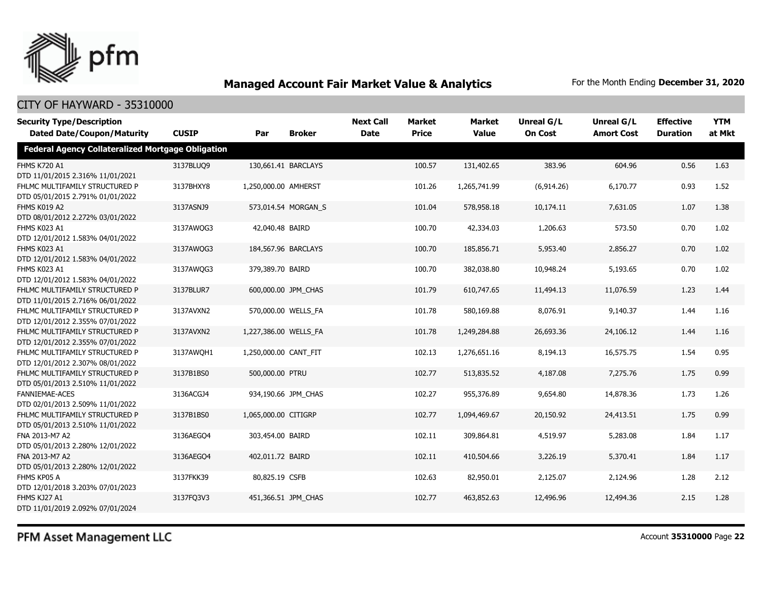

| <b>Security Type/Description</b><br><b>Dated Date/Coupon/Maturity</b> | <b>CUSIP</b> | Par                   | <b>Broker</b>       | <b>Next Call</b><br><b>Date</b> | Market<br><b>Price</b> | <b>Market</b><br><b>Value</b> | <b>Unreal G/L</b><br><b>On Cost</b> | Unreal G/L<br><b>Amort Cost</b> | <b>Effective</b><br><b>Duration</b> | <b>YTM</b><br>at Mkt |
|-----------------------------------------------------------------------|--------------|-----------------------|---------------------|---------------------------------|------------------------|-------------------------------|-------------------------------------|---------------------------------|-------------------------------------|----------------------|
| <b>Federal Agency Collateralized Mortgage Obligation</b>              |              |                       |                     |                                 |                        |                               |                                     |                                 |                                     |                      |
| <b>FHMS K720 A1</b><br>DTD 11/01/2015 2.316% 11/01/2021               | 3137BLUO9    |                       | 130,661.41 BARCLAYS |                                 | 100.57                 | 131,402.65                    | 383.96                              | 604.96                          | 0.56                                | 1.63                 |
| FHLMC MULTIFAMILY STRUCTURED P<br>DTD 05/01/2015 2.791% 01/01/2022    | 3137BHXY8    | 1,250,000.00 AMHERST  |                     |                                 | 101.26                 | 1,265,741.99                  | (6,914.26)                          | 6,170.77                        | 0.93                                | 1.52                 |
| FHMS K019 A2<br>DTD 08/01/2012 2.272% 03/01/2022                      | 3137ASNJ9    |                       | 573,014.54 MORGAN S |                                 | 101.04                 | 578,958.18                    | 10,174.11                           | 7,631.05                        | 1.07                                | 1.38                 |
| FHMS K023 A1<br>DTD 12/01/2012 1.583% 04/01/2022                      | 3137AWQG3    | 42,040.48 BAIRD       |                     |                                 | 100.70                 | 42,334.03                     | 1,206.63                            | 573.50                          | 0.70                                | 1.02                 |
| FHMS K023 A1<br>DTD 12/01/2012 1.583% 04/01/2022                      | 3137AWQG3    |                       | 184,567.96 BARCLAYS |                                 | 100.70                 | 185,856.71                    | 5,953.40                            | 2,856.27                        | 0.70                                | 1.02                 |
| FHMS K023 A1<br>DTD 12/01/2012 1.583% 04/01/2022                      | 3137AWQG3    | 379,389.70 BAIRD      |                     |                                 | 100.70                 | 382,038.80                    | 10,948.24                           | 5,193.65                        | 0.70                                | 1.02                 |
| FHLMC MULTIFAMILY STRUCTURED P<br>DTD 11/01/2015 2.716% 06/01/2022    | 3137BLUR7    |                       | 600,000.00 JPM CHAS |                                 | 101.79                 | 610,747.65                    | 11,494.13                           | 11,076.59                       | 1.23                                | 1.44                 |
| FHLMC MULTIFAMILY STRUCTURED P<br>DTD 12/01/2012 2.355% 07/01/2022    | 3137AVXN2    |                       | 570,000.00 WELLS FA |                                 | 101.78                 | 580,169.88                    | 8,076.91                            | 9,140.37                        | 1.44                                | 1.16                 |
| FHLMC MULTIFAMILY STRUCTURED P<br>DTD 12/01/2012 2.355% 07/01/2022    | 3137AVXN2    | 1,227,386.00 WELLS FA |                     |                                 | 101.78                 | 1,249,284.88                  | 26,693.36                           | 24,106.12                       | 1.44                                | 1.16                 |
| FHLMC MULTIFAMILY STRUCTURED P<br>DTD 12/01/2012 2.307% 08/01/2022    | 3137AWQH1    | 1,250,000.00 CANT FIT |                     |                                 | 102.13                 | 1,276,651.16                  | 8,194.13                            | 16,575.75                       | 1.54                                | 0.95                 |
| FHLMC MULTIFAMILY STRUCTURED P<br>DTD 05/01/2013 2.510% 11/01/2022    | 3137B1BS0    | 500,000.00 PTRU       |                     |                                 | 102.77                 | 513,835.52                    | 4,187.08                            | 7,275.76                        | 1.75                                | 0.99                 |
| <b>FANNIEMAE-ACES</b><br>DTD 02/01/2013 2.509% 11/01/2022             | 3136ACGJ4    |                       | 934,190.66 JPM CHAS |                                 | 102.27                 | 955,376.89                    | 9,654.80                            | 14,878.36                       | 1.73                                | 1.26                 |
| FHLMC MULTIFAMILY STRUCTURED P<br>DTD 05/01/2013 2.510% 11/01/2022    | 3137B1BS0    | 1,065,000.00 CITIGRP  |                     |                                 | 102.77                 | 1,094,469.67                  | 20,150.92                           | 24,413.51                       | 1.75                                | 0.99                 |
| FNA 2013-M7 A2<br>DTD 05/01/2013 2.280% 12/01/2022                    | 3136AEGO4    | 303,454.00 BAIRD      |                     |                                 | 102.11                 | 309,864.81                    | 4,519.97                            | 5,283.08                        | 1.84                                | 1.17                 |
| FNA 2013-M7 A2<br>DTD 05/01/2013 2.280% 12/01/2022                    | 3136AEGO4    | 402.011.72 BAIRD      |                     |                                 | 102.11                 | 410,504.66                    | 3,226.19                            | 5,370.41                        | 1.84                                | 1.17                 |
| FHMS KP05 A<br>DTD 12/01/2018 3.203% 07/01/2023                       | 3137FKK39    | 80,825.19 CSFB        |                     |                                 | 102.63                 | 82,950.01                     | 2,125.07                            | 2,124.96                        | 1.28                                | 2.12                 |
| FHMS KJ27 A1<br>DTD 11/01/2019 2.092% 07/01/2024                      | 3137FQ3V3    |                       | 451,366.51 JPM CHAS |                                 | 102.77                 | 463,852.63                    | 12,496.96                           | 12,494.36                       | 2.15                                | 1.28                 |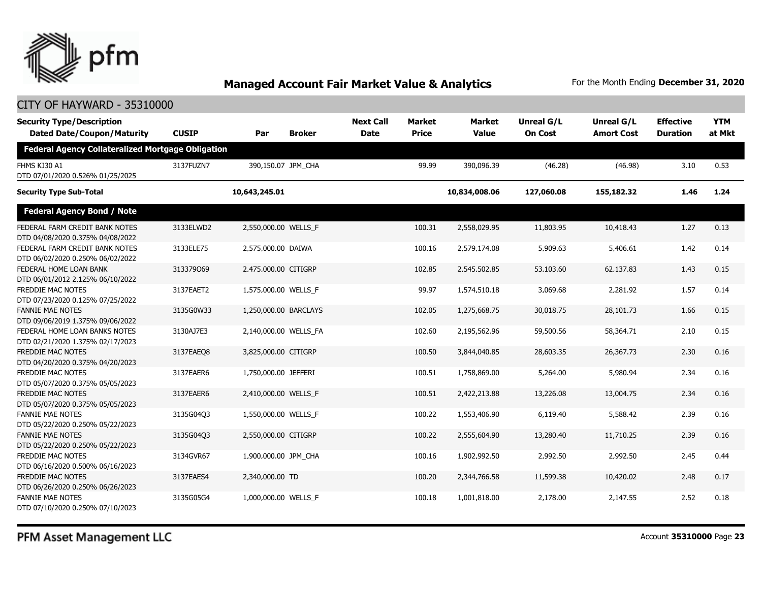

#### CITY OF HAYWARD - 35310000

| <b>Security Type/Description</b><br><b>Dated Date/Coupon/Maturity</b> | <b>CUSIP</b> | Par                   | <b>Broker</b> | <b>Next Call</b><br><b>Date</b> | <b>Market</b><br><b>Price</b> | <b>Market</b><br><b>Value</b> | Unreal G/L<br><b>On Cost</b> | Unreal G/L<br><b>Amort Cost</b> | <b>Effective</b><br><b>Duration</b> | <b>YTM</b><br>at Mkt |
|-----------------------------------------------------------------------|--------------|-----------------------|---------------|---------------------------------|-------------------------------|-------------------------------|------------------------------|---------------------------------|-------------------------------------|----------------------|
| <b>Federal Agency Collateralized Mortgage Obligation</b>              |              |                       |               |                                 |                               |                               |                              |                                 |                                     |                      |
| FHMS KJ30 A1<br>DTD 07/01/2020 0.526% 01/25/2025                      | 3137FUZN7    | 390,150.07 JPM CHA    |               |                                 | 99.99                         | 390,096.39                    | (46.28)                      | (46.98)                         | 3.10                                | 0.53                 |
| <b>Security Type Sub-Total</b>                                        |              | 10,643,245.01         |               |                                 |                               | 10,834,008.06                 | 127,060.08                   | 155,182.32                      | 1.46                                | 1.24                 |
| <b>Federal Agency Bond / Note</b>                                     |              |                       |               |                                 |                               |                               |                              |                                 |                                     |                      |
| FEDERAL FARM CREDIT BANK NOTES<br>DTD 04/08/2020 0.375% 04/08/2022    | 3133ELWD2    | 2,550,000.00 WELLS_F  |               |                                 | 100.31                        | 2,558,029.95                  | 11,803.95                    | 10,418.43                       | 1.27                                | 0.13                 |
| FEDERAL FARM CREDIT BANK NOTES<br>DTD 06/02/2020 0.250% 06/02/2022    | 3133ELE75    | 2,575,000.00 DAIWA    |               |                                 | 100.16                        | 2,579,174.08                  | 5,909.63                     | 5,406.61                        | 1.42                                | 0.14                 |
| FEDERAL HOME LOAN BANK<br>DTD 06/01/2012 2.125% 06/10/2022            | 313379069    | 2,475,000.00 CITIGRP  |               |                                 | 102.85                        | 2,545,502.85                  | 53,103.60                    | 62,137.83                       | 1.43                                | 0.15                 |
| FREDDIE MAC NOTES<br>DTD 07/23/2020 0.125% 07/25/2022                 | 3137EAET2    | 1,575,000.00 WELLS_F  |               |                                 | 99.97                         | 1,574,510.18                  | 3,069.68                     | 2,281.92                        | 1.57                                | 0.14                 |
| <b>FANNIE MAE NOTES</b><br>DTD 09/06/2019 1.375% 09/06/2022           | 3135G0W33    | 1,250,000.00 BARCLAYS |               |                                 | 102.05                        | 1,275,668.75                  | 30,018.75                    | 28,101.73                       | 1.66                                | 0.15                 |
| FEDERAL HOME LOAN BANKS NOTES<br>DTD 02/21/2020 1.375% 02/17/2023     | 3130AJ7E3    | 2,140,000.00 WELLS_FA |               |                                 | 102.60                        | 2,195,562.96                  | 59,500.56                    | 58,364.71                       | 2.10                                | 0.15                 |
| FREDDIE MAC NOTES<br>DTD 04/20/2020 0.375% 04/20/2023                 | 3137EAEO8    | 3,825,000.00 CITIGRP  |               |                                 | 100.50                        | 3,844,040.85                  | 28,603.35                    | 26,367.73                       | 2.30                                | 0.16                 |
| FREDDIE MAC NOTES<br>DTD 05/07/2020 0.375% 05/05/2023                 | 3137EAER6    | 1,750,000.00 JEFFERI  |               |                                 | 100.51                        | 1,758,869.00                  | 5,264.00                     | 5,980.94                        | 2.34                                | 0.16                 |
| FREDDIE MAC NOTES<br>DTD 05/07/2020 0.375% 05/05/2023                 | 3137EAER6    | 2,410,000.00 WELLS_F  |               |                                 | 100.51                        | 2,422,213.88                  | 13,226.08                    | 13,004.75                       | 2.34                                | 0.16                 |
| <b>FANNIE MAE NOTES</b><br>DTD 05/22/2020 0.250% 05/22/2023           | 3135G04O3    | 1,550,000.00 WELLS F  |               |                                 | 100.22                        | 1,553,406.90                  | 6,119.40                     | 5,588.42                        | 2.39                                | 0.16                 |
| <b>FANNIE MAE NOTES</b><br>DTD 05/22/2020 0.250% 05/22/2023           | 3135G04Q3    | 2,550,000.00 CITIGRP  |               |                                 | 100.22                        | 2,555,604.90                  | 13,280.40                    | 11,710.25                       | 2.39                                | 0.16                 |
| FREDDIE MAC NOTES<br>DTD 06/16/2020 0.500% 06/16/2023                 | 3134GVR67    | 1,900,000.00 JPM_CHA  |               |                                 | 100.16                        | 1,902,992.50                  | 2,992.50                     | 2,992.50                        | 2.45                                | 0.44                 |
| <b>FREDDIE MAC NOTES</b><br>DTD 06/26/2020 0.250% 06/26/2023          | 3137EAES4    | 2,340,000.00 TD       |               |                                 | 100.20                        | 2,344,766.58                  | 11,599.38                    | 10,420.02                       | 2.48                                | 0.17                 |
| <b>FANNIE MAE NOTES</b><br>DTD 07/10/2020 0.250% 07/10/2023           | 3135G05G4    | 1,000,000.00 WELLS F  |               |                                 | 100.18                        | 1,001,818.00                  | 2,178.00                     | 2,147.55                        | 2.52                                | 0.18                 |

PFM Asset Management LLC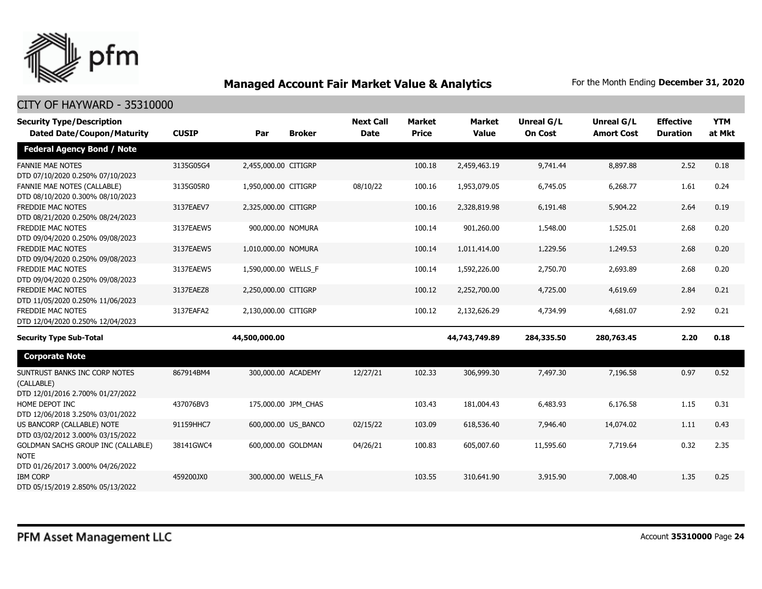

| <b>Security Type/Description</b>                                                             |              |                      |                     | <b>Next Call</b> | <b>Market</b> | <b>Market</b> | <b>Unreal G/L</b> | <b>Unreal G/L</b> | <b>Effective</b> | <b>YTM</b> |
|----------------------------------------------------------------------------------------------|--------------|----------------------|---------------------|------------------|---------------|---------------|-------------------|-------------------|------------------|------------|
| <b>Dated Date/Coupon/Maturity</b>                                                            | <b>CUSIP</b> | Par                  | <b>Broker</b>       | <b>Date</b>      | <b>Price</b>  | <b>Value</b>  | <b>On Cost</b>    | <b>Amort Cost</b> | <b>Duration</b>  | at Mkt     |
| <b>Federal Agency Bond / Note</b>                                                            |              |                      |                     |                  |               |               |                   |                   |                  |            |
| <b>FANNIE MAE NOTES</b><br>DTD 07/10/2020 0.250% 07/10/2023                                  | 3135G05G4    | 2,455,000.00 CITIGRP |                     |                  | 100.18        | 2,459,463.19  | 9,741.44          | 8,897.88          | 2.52             | 0.18       |
| FANNIE MAE NOTES (CALLABLE)<br>DTD 08/10/2020 0.300% 08/10/2023                              | 3135G05R0    | 1,950,000.00 CITIGRP |                     | 08/10/22         | 100.16        | 1,953,079.05  | 6,745.05          | 6,268.77          | 1.61             | 0.24       |
| <b>FREDDIE MAC NOTES</b><br>DTD 08/21/2020 0.250% 08/24/2023                                 | 3137EAEV7    | 2,325,000.00 CITIGRP |                     |                  | 100.16        | 2,328,819.98  | 6,191.48          | 5,904.22          | 2.64             | 0.19       |
| <b>FREDDIE MAC NOTES</b><br>DTD 09/04/2020 0.250% 09/08/2023                                 | 3137EAEW5    | 900,000.00 NOMURA    |                     |                  | 100.14        | 901,260.00    | 1,548.00          | 1,525.01          | 2.68             | 0.20       |
| FREDDIE MAC NOTES<br>DTD 09/04/2020 0.250% 09/08/2023                                        | 3137EAEW5    | 1,010,000.00 NOMURA  |                     |                  | 100.14        | 1,011,414.00  | 1,229.56          | 1,249.53          | 2.68             | 0.20       |
| FREDDIE MAC NOTES<br>DTD 09/04/2020 0.250% 09/08/2023                                        | 3137EAEW5    | 1,590,000.00 WELLS_F |                     |                  | 100.14        | 1,592,226.00  | 2,750.70          | 2,693.89          | 2.68             | 0.20       |
| <b>FREDDIE MAC NOTES</b><br>DTD 11/05/2020 0.250% 11/06/2023                                 | 3137EAEZ8    | 2,250,000.00 CITIGRP |                     |                  | 100.12        | 2,252,700.00  | 4,725.00          | 4,619.69          | 2.84             | 0.21       |
| FREDDIE MAC NOTES<br>DTD 12/04/2020 0.250% 12/04/2023                                        | 3137EAFA2    | 2,130,000.00 CITIGRP |                     |                  | 100.12        | 2,132,626.29  | 4,734.99          | 4,681.07          | 2.92             | 0.21       |
| <b>Security Type Sub-Total</b>                                                               |              | 44,500,000.00        |                     |                  |               | 44,743,749.89 | 284,335.50        | 280,763.45        | 2.20             | 0.18       |
| <b>Corporate Note</b>                                                                        |              |                      |                     |                  |               |               |                   |                   |                  |            |
| SUNTRUST BANKS INC CORP NOTES<br>(CALLABLE)<br>DTD 12/01/2016 2.700% 01/27/2022              | 867914BM4    | 300,000.00 ACADEMY   |                     | 12/27/21         | 102.33        | 306,999.30    | 7,497.30          | 7,196.58          | 0.97             | 0.52       |
| HOME DEPOT INC<br>DTD 12/06/2018 3.250% 03/01/2022                                           | 437076BV3    |                      | 175,000.00 JPM_CHAS |                  | 103.43        | 181,004.43    | 6,483.93          | 6,176.58          | 1.15             | 0.31       |
| US BANCORP (CALLABLE) NOTE<br>DTD 03/02/2012 3.000% 03/15/2022                               | 91159HHC7    |                      | 600,000.00 US BANCO | 02/15/22         | 103.09        | 618,536.40    | 7,946.40          | 14,074.02         | 1.11             | 0.43       |
| <b>GOLDMAN SACHS GROUP INC (CALLABLE)</b><br><b>NOTE</b><br>DTD 01/26/2017 3.000% 04/26/2022 | 38141GWC4    | 600,000.00 GOLDMAN   |                     | 04/26/21         | 100.83        | 605,007.60    | 11,595.60         | 7,719.64          | 0.32             | 2.35       |
| <b>IBM CORP</b><br>DTD 05/15/2019 2.850% 05/13/2022                                          | 459200JX0    |                      | 300,000.00 WELLS FA |                  | 103.55        | 310,641.90    | 3,915.90          | 7,008.40          | 1.35             | 0.25       |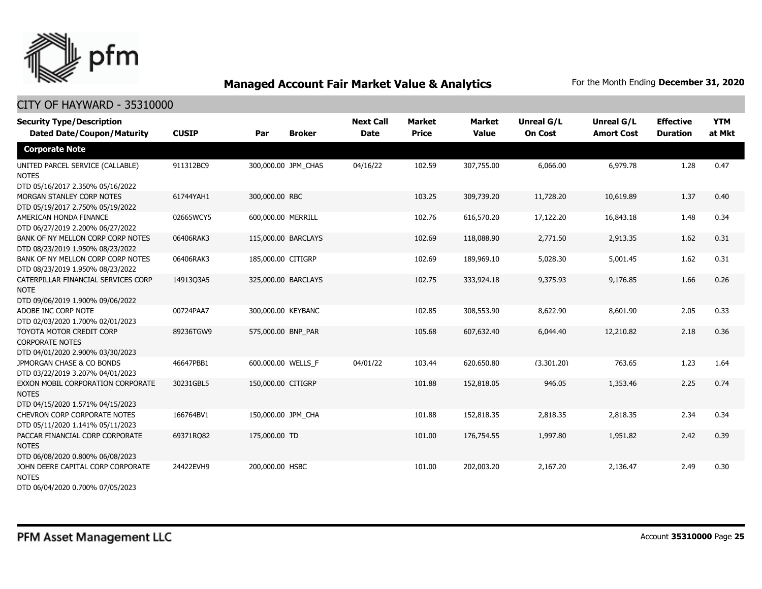

| <b>Security Type/Description</b><br><b>Dated Date/Coupon/Maturity</b>                  | <b>CUSIP</b> | Par                | <b>Broker</b>       | <b>Next Call</b><br><b>Date</b> | <b>Market</b><br><b>Price</b> | <b>Market</b><br><b>Value</b> | <b>Unreal G/L</b><br><b>On Cost</b> | Unreal G/L<br><b>Amort Cost</b> | <b>Effective</b><br><b>Duration</b> | <b>YTM</b><br>at Mkt |
|----------------------------------------------------------------------------------------|--------------|--------------------|---------------------|---------------------------------|-------------------------------|-------------------------------|-------------------------------------|---------------------------------|-------------------------------------|----------------------|
| <b>Corporate Note</b>                                                                  |              |                    |                     |                                 |                               |                               |                                     |                                 |                                     |                      |
| UNITED PARCEL SERVICE (CALLABLE)<br><b>NOTES</b><br>DTD 05/16/2017 2.350% 05/16/2022   | 911312BC9    |                    | 300,000.00 JPM CHAS | 04/16/22                        | 102.59                        | 307,755.00                    | 6,066.00                            | 6,979.78                        | 1.28                                | 0.47                 |
| MORGAN STANLEY CORP NOTES<br>DTD 05/19/2017 2.750% 05/19/2022                          | 61744YAH1    | 300,000.00 RBC     |                     |                                 | 103.25                        | 309,739.20                    | 11,728.20                           | 10,619.89                       | 1.37                                | 0.40                 |
| AMERICAN HONDA FINANCE<br>DTD 06/27/2019 2.200% 06/27/2022                             | 02665WCY5    | 600,000.00 MERRILL |                     |                                 | 102.76                        | 616,570.20                    | 17,122.20                           | 16,843.18                       | 1.48                                | 0.34                 |
| BANK OF NY MELLON CORP CORP NOTES<br>DTD 08/23/2019 1.950% 08/23/2022                  | 06406RAK3    |                    | 115,000.00 BARCLAYS |                                 | 102.69                        | 118,088.90                    | 2,771.50                            | 2,913.35                        | 1.62                                | 0.31                 |
| BANK OF NY MELLON CORP CORP NOTES<br>DTD 08/23/2019 1.950% 08/23/2022                  | 06406RAK3    | 185,000.00 CITIGRP |                     |                                 | 102.69                        | 189,969.10                    | 5,028.30                            | 5,001.45                        | 1.62                                | 0.31                 |
| CATERPILLAR FINANCIAL SERVICES CORP<br><b>NOTE</b><br>DTD 09/06/2019 1.900% 09/06/2022 | 14913Q3A5    |                    | 325,000.00 BARCLAYS |                                 | 102.75                        | 333,924.18                    | 9,375.93                            | 9,176.85                        | 1.66                                | 0.26                 |
| ADOBE INC CORP NOTE<br>DTD 02/03/2020 1.700% 02/01/2023                                | 00724PAA7    | 300,000.00 KEYBANC |                     |                                 | 102.85                        | 308,553.90                    | 8,622.90                            | 8,601.90                        | 2.05                                | 0.33                 |
| TOYOTA MOTOR CREDIT CORP<br><b>CORPORATE NOTES</b><br>DTD 04/01/2020 2.900% 03/30/2023 | 89236TGW9    | 575,000.00 BNP PAR |                     |                                 | 105.68                        | 607,632.40                    | 6,044.40                            | 12,210.82                       | 2.18                                | 0.36                 |
| JPMORGAN CHASE & CO BONDS<br>DTD 03/22/2019 3.207% 04/01/2023                          | 46647PBB1    | 600,000.00 WELLS F |                     | 04/01/22                        | 103.44                        | 620,650.80                    | (3,301.20)                          | 763.65                          | 1.23                                | 1.64                 |
| EXXON MOBIL CORPORATION CORPORATE<br><b>NOTES</b><br>DTD 04/15/2020 1.571% 04/15/2023  | 30231GBL5    | 150,000.00 CITIGRP |                     |                                 | 101.88                        | 152,818.05                    | 946.05                              | 1,353.46                        | 2.25                                | 0.74                 |
| <b>CHEVRON CORP CORPORATE NOTES</b><br>DTD 05/11/2020 1.141% 05/11/2023                | 166764BV1    | 150,000.00 JPM CHA |                     |                                 | 101.88                        | 152,818.35                    | 2,818.35                            | 2,818.35                        | 2.34                                | 0.34                 |
| PACCAR FINANCIAL CORP CORPORATE<br><b>NOTES</b><br>DTD 06/08/2020 0.800% 06/08/2023    | 69371RQ82    | 175,000.00 TD      |                     |                                 | 101.00                        | 176,754.55                    | 1,997.80                            | 1,951.82                        | 2.42                                | 0.39                 |
| JOHN DEERE CAPITAL CORP CORPORATE<br><b>NOTES</b><br>DTD 06/04/2020 0.700% 07/05/2023  | 24422EVH9    | 200,000.00 HSBC    |                     |                                 | 101.00                        | 202,003.20                    | 2,167.20                            | 2,136.47                        | 2.49                                | 0.30                 |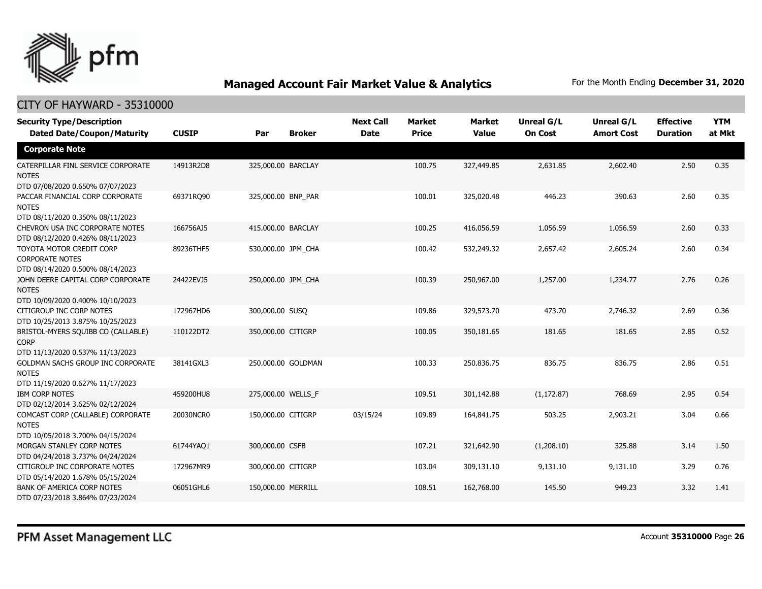

| <b>Security Type/Description</b><br><b>Dated Date/Coupon/Maturity</b>                  | <b>CUSIP</b> | Par                | <b>Next Call</b><br><b>Broker</b><br><b>Date</b> | <b>Market</b><br><b>Price</b> | <b>Market</b><br><b>Value</b> | <b>Unreal G/L</b><br><b>On Cost</b> | Unreal G/L<br><b>Amort Cost</b> | <b>Effective</b><br><b>Duration</b> | <b>YTM</b><br>at Mkt |
|----------------------------------------------------------------------------------------|--------------|--------------------|--------------------------------------------------|-------------------------------|-------------------------------|-------------------------------------|---------------------------------|-------------------------------------|----------------------|
| <b>Corporate Note</b>                                                                  |              |                    |                                                  |                               |                               |                                     |                                 |                                     |                      |
| CATERPILLAR FINL SERVICE CORPORATE<br><b>NOTES</b><br>DTD 07/08/2020 0.650% 07/07/2023 | 14913R2D8    | 325,000.00 BARCLAY |                                                  | 100.75                        | 327,449.85                    | 2,631.85                            | 2,602.40                        | 2.50                                | 0.35                 |
| PACCAR FINANCIAL CORP CORPORATE<br><b>NOTES</b><br>DTD 08/11/2020 0.350% 08/11/2023    | 69371RQ90    | 325,000.00 BNP PAR |                                                  | 100.01                        | 325,020.48                    | 446.23                              | 390.63                          | 2.60                                | 0.35                 |
| CHEVRON USA INC CORPORATE NOTES<br>DTD 08/12/2020 0.426% 08/11/2023                    | 166756AJ5    | 415,000.00 BARCLAY |                                                  | 100.25                        | 416,056.59                    | 1,056.59                            | 1,056.59                        | 2.60                                | 0.33                 |
| TOYOTA MOTOR CREDIT CORP<br><b>CORPORATE NOTES</b><br>DTD 08/14/2020 0.500% 08/14/2023 | 89236THF5    | 530,000.00 JPM CHA |                                                  | 100.42                        | 532,249.32                    | 2,657.42                            | 2,605.24                        | 2.60                                | 0.34                 |
| JOHN DEERE CAPITAL CORP CORPORATE<br><b>NOTES</b><br>DTD 10/09/2020 0.400% 10/10/2023  | 24422EVJ5    | 250,000.00 JPM CHA |                                                  | 100.39                        | 250,967.00                    | 1,257.00                            | 1,234.77                        | 2.76                                | 0.26                 |
| CITIGROUP INC CORP NOTES<br>DTD 10/25/2013 3.875% 10/25/2023                           | 172967HD6    | 300,000.00 SUSQ    |                                                  | 109.86                        | 329,573.70                    | 473.70                              | 2,746.32                        | 2.69                                | 0.36                 |
| BRISTOL-MYERS SQUIBB CO (CALLABLE)<br><b>CORP</b><br>DTD 11/13/2020 0.537% 11/13/2023  | 110122DT2    | 350,000.00 CITIGRP |                                                  | 100.05                        | 350,181.65                    | 181.65                              | 181.65                          | 2.85                                | 0.52                 |
| GOLDMAN SACHS GROUP INC CORPORATE<br><b>NOTES</b><br>DTD 11/19/2020 0.627% 11/17/2023  | 38141GXL3    | 250,000.00 GOLDMAN |                                                  | 100.33                        | 250,836.75                    | 836.75                              | 836.75                          | 2.86                                | 0.51                 |
| <b>IBM CORP NOTES</b><br>DTD 02/12/2014 3.625% 02/12/2024                              | 459200HU8    | 275,000.00 WELLS_F |                                                  | 109.51                        | 301,142.88                    | (1, 172.87)                         | 768.69                          | 2.95                                | 0.54                 |
| COMCAST CORP (CALLABLE) CORPORATE<br><b>NOTES</b><br>DTD 10/05/2018 3.700% 04/15/2024  | 20030NCR0    | 150,000.00 CITIGRP | 03/15/24                                         | 109.89                        | 164,841.75                    | 503.25                              | 2,903.21                        | 3.04                                | 0.66                 |
| MORGAN STANLEY CORP NOTES<br>DTD 04/24/2018 3.737% 04/24/2024                          | 61744YAQ1    | 300,000.00 CSFB    |                                                  | 107.21                        | 321,642.90                    | (1,208.10)                          | 325.88                          | 3.14                                | 1.50                 |
| CITIGROUP INC CORPORATE NOTES<br>DTD 05/14/2020 1.678% 05/15/2024                      | 172967MR9    | 300,000.00 CITIGRP |                                                  | 103.04                        | 309,131.10                    | 9,131.10                            | 9,131.10                        | 3.29                                | 0.76                 |
| BANK OF AMERICA CORP NOTES<br>DTD 07/23/2018 3.864% 07/23/2024                         | 06051GHL6    | 150,000.00 MERRILL |                                                  | 108.51                        | 162,768.00                    | 145.50                              | 949.23                          | 3.32                                | 1.41                 |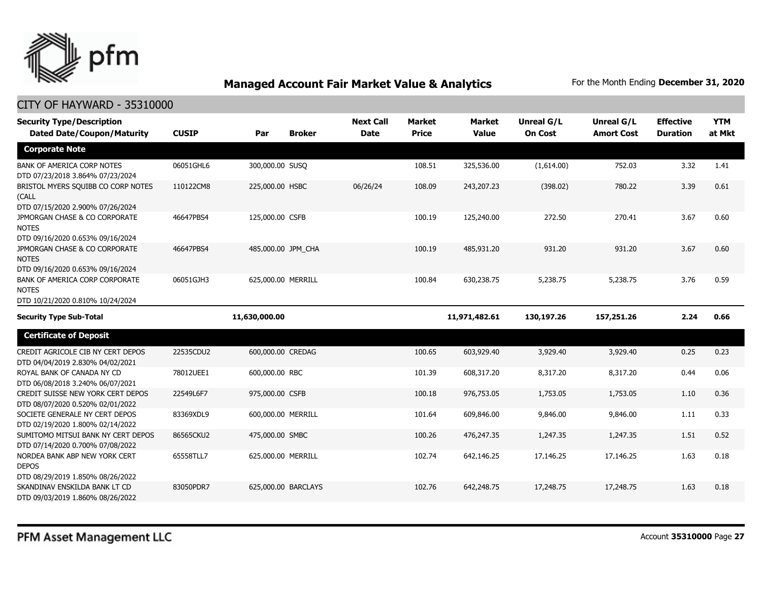

| <b>Security Type/Description</b>                                                          |              |                    |                     | <b>Next Call</b> | <b>Market</b> | <b>Market</b> | <b>Unreal G/L</b> | <b>Unreal G/L</b> | <b>Effective</b> | <b>YTM</b> |
|-------------------------------------------------------------------------------------------|--------------|--------------------|---------------------|------------------|---------------|---------------|-------------------|-------------------|------------------|------------|
| <b>Dated Date/Coupon/Maturity</b>                                                         | <b>CUSIP</b> | Par                | <b>Broker</b>       | <b>Date</b>      | <b>Price</b>  | <b>Value</b>  | <b>On Cost</b>    | <b>Amort Cost</b> | <b>Duration</b>  | at Mkt     |
| <b>Corporate Note</b>                                                                     |              |                    |                     |                  |               |               |                   |                   |                  |            |
| <b>BANK OF AMERICA CORP NOTES</b><br>DTD 07/23/2018 3.864% 07/23/2024                     | 06051GHL6    | 300,000.00 SUSO    |                     |                  | 108.51        | 325,536.00    | (1,614.00)        | 752.03            | 3.32             | 1.41       |
| BRISTOL MYERS SQUIBB CO CORP NOTES<br>(CALL<br>DTD 07/15/2020 2.900% 07/26/2024           | 110122CM8    | 225,000.00 HSBC    |                     | 06/26/24         | 108.09        | 243,207.23    | (398.02)          | 780.22            | 3.39             | 0.61       |
| JPMORGAN CHASE & CO CORPORATE<br><b>NOTES</b><br>DTD 09/16/2020 0.653% 09/16/2024         | 46647PBS4    | 125,000.00 CSFB    |                     |                  | 100.19        | 125,240.00    | 272.50            | 270.41            | 3.67             | 0.60       |
| JPMORGAN CHASE & CO CORPORATE<br><b>NOTES</b><br>DTD 09/16/2020 0.653% 09/16/2024         | 46647PBS4    |                    | 485,000.00 JPM CHA  |                  | 100.19        | 485,931.20    | 931.20            | 931.20            | 3.67             | 0.60       |
| <b>BANK OF AMERICA CORP CORPORATE</b><br><b>NOTES</b><br>DTD 10/21/2020 0.810% 10/24/2024 | 06051GJH3    | 625,000.00 MERRILL |                     |                  | 100.84        | 630,238.75    | 5,238.75          | 5,238.75          | 3.76             | 0.59       |
| <b>Security Type Sub-Total</b>                                                            |              | 11,630,000.00      |                     |                  |               | 11,971,482.61 | 130,197.26        | 157,251.26        | 2.24             | 0.66       |
| <b>Certificate of Deposit</b>                                                             |              |                    |                     |                  |               |               |                   |                   |                  |            |
| CREDIT AGRICOLE CIB NY CERT DEPOS<br>DTD 04/04/2019 2.830% 04/02/2021                     | 22535CDU2    | 600,000.00 CREDAG  |                     |                  | 100.65        | 603,929.40    | 3,929.40          | 3,929.40          | 0.25             | 0.23       |
| ROYAL BANK OF CANADA NY CD<br>DTD 06/08/2018 3.240% 06/07/2021                            | 78012UEE1    | 600,000.00 RBC     |                     |                  | 101.39        | 608,317.20    | 8,317.20          | 8,317.20          | 0.44             | 0.06       |
| CREDIT SUISSE NEW YORK CERT DEPOS<br>DTD 08/07/2020 0.520% 02/01/2022                     | 22549L6F7    | 975,000.00 CSFB    |                     |                  | 100.18        | 976,753.05    | 1,753.05          | 1,753.05          | 1.10             | 0.36       |
| SOCIETE GENERALE NY CERT DEPOS<br>DTD 02/19/2020 1.800% 02/14/2022                        | 83369XDL9    | 600,000.00 MERRILL |                     |                  | 101.64        | 609,846.00    | 9,846.00          | 9,846.00          | 1.11             | 0.33       |
| SUMITOMO MITSUI BANK NY CERT DEPOS<br>DTD 07/14/2020 0.700% 07/08/2022                    | 86565CKU2    | 475,000.00 SMBC    |                     |                  | 100.26        | 476,247.35    | 1,247.35          | 1,247.35          | 1.51             | 0.52       |
| NORDEA BANK ABP NEW YORK CERT<br><b>DEPOS</b><br>DTD 08/29/2019 1.850% 08/26/2022         | 65558TLL7    | 625,000.00 MERRILL |                     |                  | 102.74        | 642,146.25    | 17,146.25         | 17,146.25         | 1.63             | 0.18       |
| SKANDINAV ENSKILDA BANK LT CD<br>DTD 09/03/2019 1.860% 08/26/2022                         | 83050PDR7    |                    | 625,000.00 BARCLAYS |                  | 102.76        | 642,248.75    | 17,248.75         | 17,248.75         | 1.63             | 0.18       |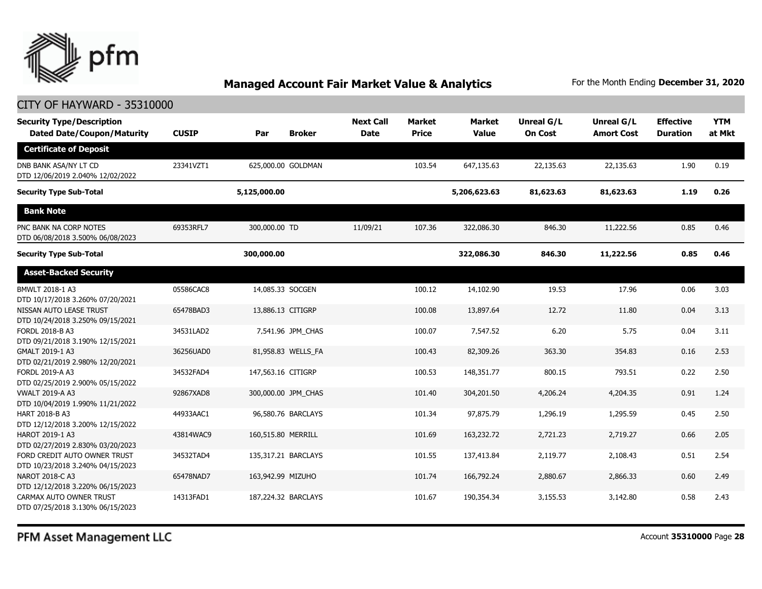

#### CITY OF HAYWARD - 35310000

| <b>Security Type/Description</b><br><b>Dated Date/Coupon/Maturity</b> | <b>CUSIP</b> | Par                 | <b>Broker</b>      | <b>Next Call</b><br><b>Date</b> | Market<br><b>Price</b> | <b>Market</b><br><b>Value</b> | Unreal G/L<br><b>On Cost</b> | <b>Unreal G/L</b><br><b>Amort Cost</b> | <b>Effective</b><br><b>Duration</b> | <b>YTM</b><br>at Mkt |
|-----------------------------------------------------------------------|--------------|---------------------|--------------------|---------------------------------|------------------------|-------------------------------|------------------------------|----------------------------------------|-------------------------------------|----------------------|
| <b>Certificate of Deposit</b>                                         |              |                     |                    |                                 |                        |                               |                              |                                        |                                     |                      |
| DNB BANK ASA/NY LT CD<br>DTD 12/06/2019 2.040% 12/02/2022             | 23341VZT1    | 625,000.00 GOLDMAN  |                    |                                 | 103.54                 | 647,135.63                    | 22,135.63                    | 22,135.63                              | 1.90                                | 0.19                 |
| <b>Security Type Sub-Total</b>                                        |              | 5,125,000.00        |                    |                                 |                        | 5,206,623.63                  | 81,623.63                    | 81,623.63                              | 1.19                                | 0.26                 |
| <b>Bank Note</b>                                                      |              |                     |                    |                                 |                        |                               |                              |                                        |                                     |                      |
| PNC BANK NA CORP NOTES<br>DTD 06/08/2018 3.500% 06/08/2023            | 69353RFL7    | 300,000.00 TD       |                    | 11/09/21                        | 107.36                 | 322,086.30                    | 846.30                       | 11,222.56                              | 0.85                                | 0.46                 |
| <b>Security Type Sub-Total</b>                                        |              | 300,000.00          |                    |                                 |                        | 322,086.30                    | 846.30                       | 11,222.56                              | 0.85                                | 0.46                 |
| <b>Asset-Backed Security</b>                                          |              |                     |                    |                                 |                        |                               |                              |                                        |                                     |                      |
| BMWLT 2018-1 A3<br>DTD 10/17/2018 3.260% 07/20/2021                   | 05586CAC8    | 14,085.33 SOCGEN    |                    |                                 | 100.12                 | 14,102.90                     | 19.53                        | 17.96                                  | 0.06                                | 3.03                 |
| NISSAN AUTO LEASE TRUST<br>DTD 10/24/2018 3.250% 09/15/2021           | 65478BAD3    | 13,886.13 CITIGRP   |                    |                                 | 100.08                 | 13,897.64                     | 12.72                        | 11.80                                  | 0.04                                | 3.13                 |
| FORDL 2018-B A3<br>DTD 09/21/2018 3.190% 12/15/2021                   | 34531LAD2    |                     | 7,541.96 JPM_CHAS  |                                 | 100.07                 | 7,547.52                      | 6.20                         | 5.75                                   | 0.04                                | 3.11                 |
| GMALT 2019-1 A3<br>DTD 02/21/2019 2.980% 12/20/2021                   | 36256UAD0    |                     | 81,958.83 WELLS FA |                                 | 100.43                 | 82,309.26                     | 363.30                       | 354.83                                 | 0.16                                | 2.53                 |
| FORDL 2019-A A3<br>DTD 02/25/2019 2.900% 05/15/2022                   | 34532FAD4    | 147,563.16 CITIGRP  |                    |                                 | 100.53                 | 148,351.77                    | 800.15                       | 793.51                                 | 0.22                                | 2.50                 |
| <b>VWALT 2019-A A3</b><br>DTD 10/04/2019 1.990% 11/21/2022            | 92867XAD8    | 300,000.00 JPM CHAS |                    |                                 | 101.40                 | 304,201.50                    | 4,206.24                     | 4,204.35                               | 0.91                                | 1.24                 |
| HART 2018-B A3<br>DTD 12/12/2018 3.200% 12/15/2022                    | 44933AAC1    |                     | 96,580.76 BARCLAYS |                                 | 101.34                 | 97,875.79                     | 1,296.19                     | 1,295.59                               | 0.45                                | 2.50                 |
| HAROT 2019-1 A3<br>DTD 02/27/2019 2.830% 03/20/2023                   | 43814WAC9    | 160,515.80 MERRILL  |                    |                                 | 101.69                 | 163,232,72                    | 2,721,23                     | 2,719.27                               | 0.66                                | 2.05                 |
| FORD CREDIT AUTO OWNER TRUST<br>DTD 10/23/2018 3.240% 04/15/2023      | 34532TAD4    | 135,317.21 BARCLAYS |                    |                                 | 101.55                 | 137,413.84                    | 2,119.77                     | 2,108.43                               | 0.51                                | 2.54                 |
| NAROT 2018-C A3<br>DTD 12/12/2018 3.220% 06/15/2023                   | 65478NAD7    | 163,942.99 MIZUHO   |                    |                                 | 101.74                 | 166,792.24                    | 2,880.67                     | 2,866.33                               | 0.60                                | 2.49                 |
| CARMAX AUTO OWNER TRUST<br>DTD 07/25/2018 3.130% 06/15/2023           | 14313FAD1    | 187,224.32 BARCLAYS |                    |                                 | 101.67                 | 190,354.34                    | 3,155.53                     | 3,142.80                               | 0.58                                | 2.43                 |

PFM Asset Management LLC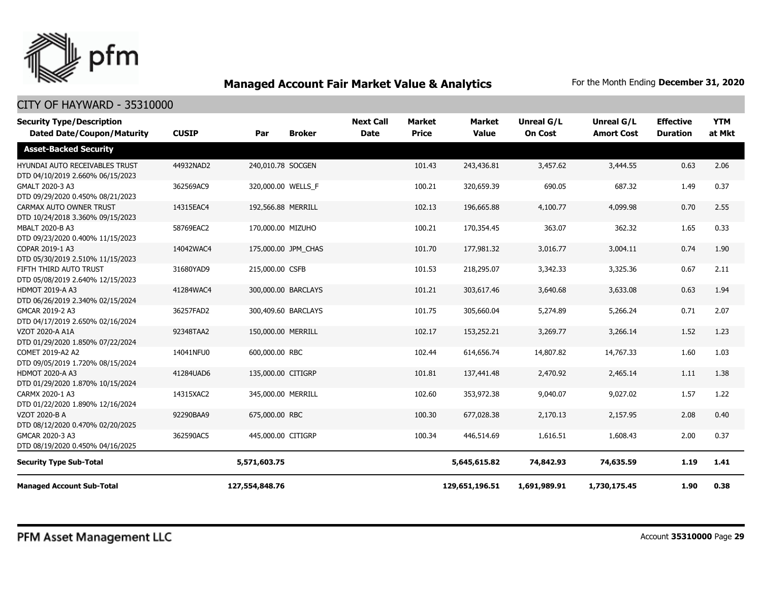

| <b>Security Type/Description</b><br><b>Dated Date/Coupon/Maturity</b>     | <b>CUSIP</b> | Par                 | <b>Broker</b>       | <b>Next Call</b><br><b>Date</b> | Market<br><b>Price</b> | <b>Market</b><br><b>Value</b> | Unreal G/L<br><b>On Cost</b> | Unreal G/L<br><b>Amort Cost</b> | <b>Effective</b><br><b>Duration</b> | <b>YTM</b><br>at Mkt |
|---------------------------------------------------------------------------|--------------|---------------------|---------------------|---------------------------------|------------------------|-------------------------------|------------------------------|---------------------------------|-------------------------------------|----------------------|
| <b>Asset-Backed Security</b>                                              |              |                     |                     |                                 |                        |                               |                              |                                 |                                     |                      |
| <b>HYUNDAI AUTO RECEIVABLES TRUST</b><br>DTD 04/10/2019 2.660% 06/15/2023 | 44932NAD2    | 240,010.78 SOCGEN   |                     |                                 | 101.43                 | 243,436.81                    | 3,457.62                     | 3,444.55                        | 0.63                                | 2.06                 |
| GMALT 2020-3 A3<br>DTD 09/29/2020 0.450% 08/21/2023                       | 362569AC9    | 320,000.00 WELLS_F  |                     |                                 | 100.21                 | 320,659.39                    | 690.05                       | 687.32                          | 1.49                                | 0.37                 |
| CARMAX AUTO OWNER TRUST<br>DTD 10/24/2018 3.360% 09/15/2023               | 14315EAC4    | 192,566.88 MERRILL  |                     |                                 | 102.13                 | 196,665.88                    | 4,100.77                     | 4,099.98                        | 0.70                                | 2.55                 |
| MBALT 2020-B A3<br>DTD 09/23/2020 0.400% 11/15/2023                       | 58769EAC2    | 170,000.00 MIZUHO   |                     |                                 | 100.21                 | 170,354.45                    | 363.07                       | 362.32                          | 1.65                                | 0.33                 |
| COPAR 2019-1 A3<br>DTD 05/30/2019 2.510% 11/15/2023                       | 14042WAC4    |                     | 175,000.00 JPM_CHAS |                                 | 101.70                 | 177,981.32                    | 3,016.77                     | 3,004.11                        | 0.74                                | 1.90                 |
| FIFTH THIRD AUTO TRUST<br>DTD 05/08/2019 2.640% 12/15/2023                | 31680YAD9    | 215,000.00 CSFB     |                     |                                 | 101.53                 | 218,295.07                    | 3,342.33                     | 3,325.36                        | 0.67                                | 2.11                 |
| <b>HDMOT 2019-A A3</b><br>DTD 06/26/2019 2.340% 02/15/2024                | 41284WAC4    | 300,000.00 BARCLAYS |                     |                                 | 101.21                 | 303,617.46                    | 3,640.68                     | 3,633.08                        | 0.63                                | 1.94                 |
| GMCAR 2019-2 A3<br>DTD 04/17/2019 2.650% 02/16/2024                       | 36257FAD2    |                     | 300,409.60 BARCLAYS |                                 | 101.75                 | 305,660.04                    | 5,274.89                     | 5,266.24                        | 0.71                                | 2.07                 |
| VZOT 2020-A A1A<br>DTD 01/29/2020 1.850% 07/22/2024                       | 92348TAA2    | 150,000.00 MERRILL  |                     |                                 | 102.17                 | 153,252.21                    | 3,269.77                     | 3,266.14                        | 1.52                                | 1.23                 |
| COMET 2019-A2 A2<br>DTD 09/05/2019 1.720% 08/15/2024                      | 14041NFU0    | 600,000.00 RBC      |                     |                                 | 102.44                 | 614,656.74                    | 14,807.82                    | 14,767.33                       | 1.60                                | 1.03                 |
| <b>HDMOT 2020-A A3</b><br>DTD 01/29/2020 1.870% 10/15/2024                | 41284UAD6    | 135,000.00 CITIGRP  |                     |                                 | 101.81                 | 137,441.48                    | 2,470.92                     | 2,465.14                        | 1.11                                | 1.38                 |
| CARMX 2020-1 A3<br>DTD 01/22/2020 1.890% 12/16/2024                       | 14315XAC2    | 345,000.00 MERRILL  |                     |                                 | 102.60                 | 353,972.38                    | 9,040.07                     | 9,027.02                        | 1.57                                | 1.22                 |
| VZOT 2020-B A<br>DTD 08/12/2020 0.470% 02/20/2025                         | 92290BAA9    | 675,000.00 RBC      |                     |                                 | 100.30                 | 677,028.38                    | 2,170.13                     | 2,157.95                        | 2.08                                | 0.40                 |
| GMCAR 2020-3 A3<br>DTD 08/19/2020 0.450% 04/16/2025                       | 362590AC5    | 445,000.00 CITIGRP  |                     |                                 | 100.34                 | 446,514.69                    | 1,616.51                     | 1,608.43                        | 2.00                                | 0.37                 |
| <b>Security Type Sub-Total</b>                                            |              | 5,571,603.75        |                     |                                 |                        | 5,645,615.82                  | 74,842.93                    | 74,635.59                       | 1.19                                | 1.41                 |
| <b>Managed Account Sub-Total</b>                                          |              | 127,554,848.76      |                     |                                 |                        | 129,651,196.51                | 1,691,989.91                 | 1,730,175.45                    | 1.90                                | 0.38                 |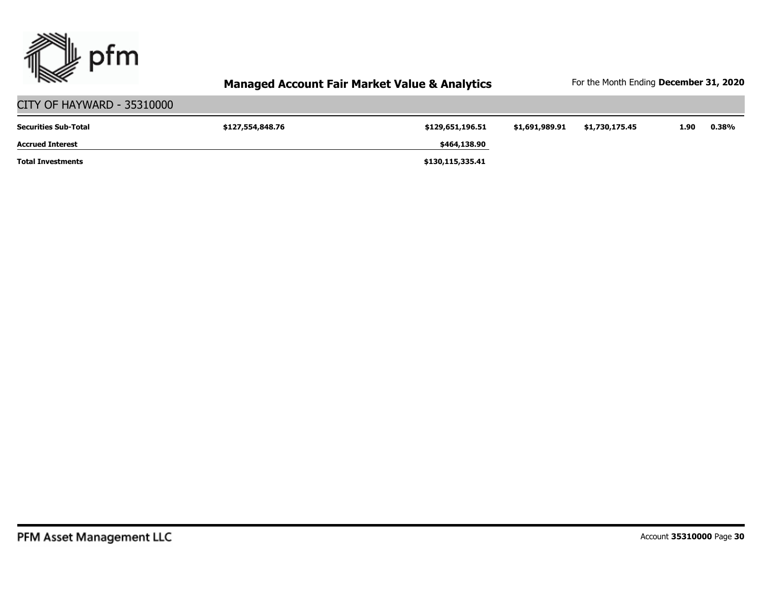

| CITY OF HAYWARD - 35310000  |                  |                  |                |                |      |       |
|-----------------------------|------------------|------------------|----------------|----------------|------|-------|
| <b>Securities Sub-Total</b> | \$127,554,848.76 | \$129,651,196.51 | \$1,691,989.91 | \$1,730,175.45 | 1.90 | 0.38% |
| <b>Accrued Interest</b>     |                  | \$464,138.90     |                |                |      |       |
| <b>Total Investments</b>    |                  | \$130,115,335.41 |                |                |      |       |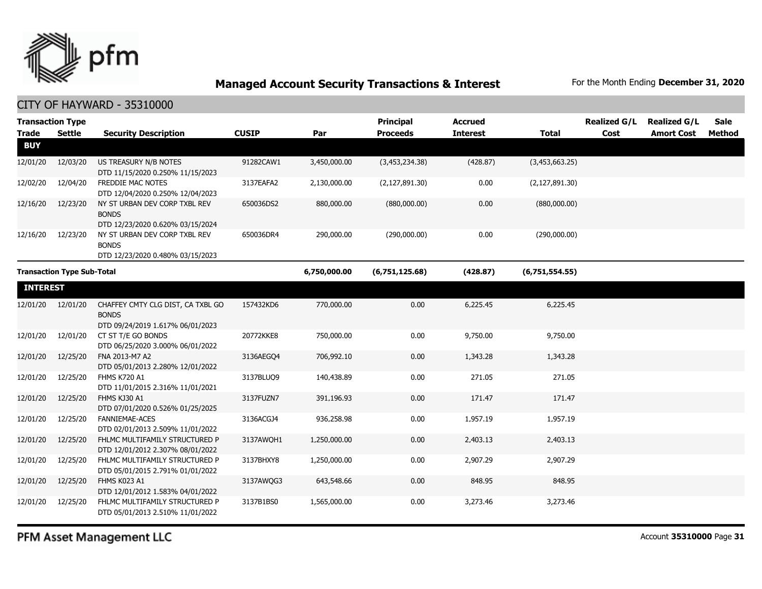

|                 | <b>Transaction Type</b>           |                                                                                       |              |              | <b>Principal</b> | <b>Accrued</b>  |                  | <b>Realized G/L</b> | <b>Realized G/L</b> | <b>Sale</b>   |
|-----------------|-----------------------------------|---------------------------------------------------------------------------------------|--------------|--------------|------------------|-----------------|------------------|---------------------|---------------------|---------------|
| <b>Trade</b>    | <b>Settle</b>                     | <b>Security Description</b>                                                           | <b>CUSIP</b> | Par          | <b>Proceeds</b>  | <b>Interest</b> | <b>Total</b>     | Cost                | <b>Amort Cost</b>   | <b>Method</b> |
| <b>BUY</b>      |                                   |                                                                                       |              |              |                  |                 |                  |                     |                     |               |
| 12/01/20        | 12/03/20                          | US TREASURY N/B NOTES<br>DTD 11/15/2020 0.250% 11/15/2023                             | 91282CAW1    | 3,450,000.00 | (3,453,234.38)   | (428.87)        | (3,453,663.25)   |                     |                     |               |
| 12/02/20        | 12/04/20                          | FREDDIE MAC NOTES<br>DTD 12/04/2020 0.250% 12/04/2023                                 | 3137EAFA2    | 2,130,000.00 | (2, 127, 891.30) | 0.00            | (2, 127, 891.30) |                     |                     |               |
| 12/16/20        | 12/23/20                          | NY ST URBAN DEV CORP TXBL REV<br><b>BONDS</b><br>DTD 12/23/2020 0.620% 03/15/2024     | 650036DS2    | 880,000.00   | (880,000.00)     | 0.00            | (880,000.00)     |                     |                     |               |
| 12/16/20        | 12/23/20                          | NY ST URBAN DEV CORP TXBL REV<br><b>BONDS</b><br>DTD 12/23/2020 0.480% 03/15/2023     | 650036DR4    | 290,000.00   | (290,000.00)     | 0.00            | (290,000.00)     |                     |                     |               |
|                 | <b>Transaction Type Sub-Total</b> |                                                                                       |              | 6,750,000.00 | (6,751,125.68)   | (428.87)        | (6,751,554.55)   |                     |                     |               |
|                 |                                   |                                                                                       |              |              |                  |                 |                  |                     |                     |               |
| <b>INTEREST</b> |                                   |                                                                                       |              |              |                  |                 |                  |                     |                     |               |
| 12/01/20        | 12/01/20                          | CHAFFEY CMTY CLG DIST, CA TXBL GO<br><b>BONDS</b><br>DTD 09/24/2019 1.617% 06/01/2023 | 157432KD6    | 770,000.00   | 0.00             | 6,225.45        | 6,225.45         |                     |                     |               |
| 12/01/20        | 12/01/20                          | CT ST T/E GO BONDS<br>DTD 06/25/2020 3.000% 06/01/2022                                | 20772KKE8    | 750,000.00   | 0.00             | 9,750.00        | 9,750.00         |                     |                     |               |
| 12/01/20        | 12/25/20                          | FNA 2013-M7 A2<br>DTD 05/01/2013 2.280% 12/01/2022                                    | 3136AEGO4    | 706,992.10   | 0.00             | 1,343.28        | 1,343.28         |                     |                     |               |
| 12/01/20        | 12/25/20                          | <b>FHMS K720 A1</b><br>DTD 11/01/2015 2.316% 11/01/2021                               | 3137BLUO9    | 140,438.89   | 0.00             | 271.05          | 271.05           |                     |                     |               |
| 12/01/20        | 12/25/20                          | FHMS KJ30 A1<br>DTD 07/01/2020 0.526% 01/25/2025                                      | 3137FUZN7    | 391,196.93   | 0.00             | 171.47          | 171.47           |                     |                     |               |
| 12/01/20        | 12/25/20                          | <b>FANNIEMAE-ACES</b><br>DTD 02/01/2013 2.509% 11/01/2022                             | 3136ACGJ4    | 936,258.98   | 0.00             | 1,957.19        | 1,957.19         |                     |                     |               |
| 12/01/20        | 12/25/20                          | FHLMC MULTIFAMILY STRUCTURED P<br>DTD 12/01/2012 2.307% 08/01/2022                    | 3137AWOH1    | 1,250,000.00 | 0.00             | 2,403.13        | 2,403.13         |                     |                     |               |
| 12/01/20        | 12/25/20                          | FHLMC MULTIFAMILY STRUCTURED P<br>DTD 05/01/2015 2.791% 01/01/2022                    | 3137BHXY8    | 1,250,000.00 | 0.00             | 2,907.29        | 2,907.29         |                     |                     |               |
| 12/01/20        | 12/25/20                          | FHMS K023 A1<br>DTD 12/01/2012 1.583% 04/01/2022                                      | 3137AWOG3    | 643,548.66   | 0.00             | 848.95          | 848.95           |                     |                     |               |
| 12/01/20        | 12/25/20                          | FHLMC MULTIFAMILY STRUCTURED P<br>DTD 05/01/2013 2.510% 11/01/2022                    | 3137B1BS0    | 1,565,000.00 | 0.00             | 3,273.46        | 3,273.46         |                     |                     |               |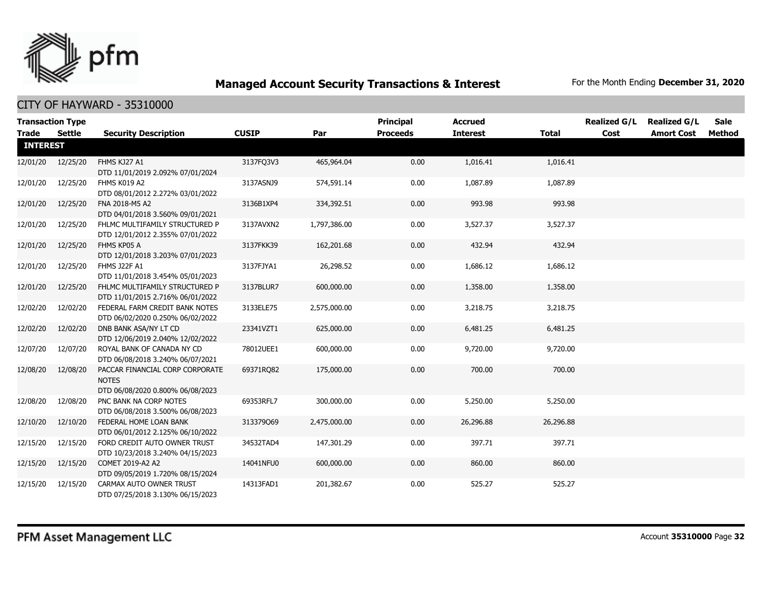

| <b>Trade</b>    | <b>Transaction Type</b><br>Settle | <b>Security Description</b>                                                         | <b>CUSIP</b> | Par          | <b>Principal</b><br><b>Proceeds</b> | <b>Accrued</b><br><b>Interest</b> | <b>Total</b> | <b>Realized G/L</b><br>Cost | <b>Realized G/L</b><br><b>Amort Cost</b> | <b>Sale</b><br>Method |
|-----------------|-----------------------------------|-------------------------------------------------------------------------------------|--------------|--------------|-------------------------------------|-----------------------------------|--------------|-----------------------------|------------------------------------------|-----------------------|
| <b>INTEREST</b> |                                   |                                                                                     |              |              |                                     |                                   |              |                             |                                          |                       |
| 12/01/20        | 12/25/20                          | FHMS KJ27 A1<br>DTD 11/01/2019 2.092% 07/01/2024                                    | 3137FQ3V3    | 465,964.04   | 0.00                                | 1,016.41                          | 1,016.41     |                             |                                          |                       |
| 12/01/20        | 12/25/20                          | FHMS K019 A2<br>DTD 08/01/2012 2.272% 03/01/2022                                    | 3137ASNJ9    | 574,591.14   | 0.00                                | 1,087.89                          | 1,087.89     |                             |                                          |                       |
| 12/01/20        | 12/25/20                          | FNA 2018-M5 A2<br>DTD 04/01/2018 3.560% 09/01/2021                                  | 3136B1XP4    | 334,392.51   | 0.00                                | 993.98                            | 993.98       |                             |                                          |                       |
| 12/01/20        | 12/25/20                          | FHLMC MULTIFAMILY STRUCTURED P<br>DTD 12/01/2012 2.355% 07/01/2022                  | 3137AVXN2    | 1,797,386.00 | 0.00                                | 3,527.37                          | 3,527.37     |                             |                                          |                       |
| 12/01/20        | 12/25/20                          | FHMS KP05 A<br>DTD 12/01/2018 3.203% 07/01/2023                                     | 3137FKK39    | 162,201.68   | 0.00                                | 432.94                            | 432.94       |                             |                                          |                       |
| 12/01/20        | 12/25/20                          | FHMS J22F A1<br>DTD 11/01/2018 3.454% 05/01/2023                                    | 3137FJYA1    | 26,298.52    | 0.00                                | 1,686.12                          | 1,686.12     |                             |                                          |                       |
| 12/01/20        | 12/25/20                          | FHLMC MULTIFAMILY STRUCTURED P<br>DTD 11/01/2015 2.716% 06/01/2022                  | 3137BLUR7    | 600,000.00   | 0.00                                | 1,358.00                          | 1,358.00     |                             |                                          |                       |
| 12/02/20        | 12/02/20                          | FEDERAL FARM CREDIT BANK NOTES<br>DTD 06/02/2020 0.250% 06/02/2022                  | 3133ELE75    | 2,575,000.00 | 0.00                                | 3,218.75                          | 3,218.75     |                             |                                          |                       |
| 12/02/20        | 12/02/20                          | DNB BANK ASA/NY LT CD<br>DTD 12/06/2019 2.040% 12/02/2022                           | 23341VZT1    | 625,000.00   | 0.00                                | 6,481.25                          | 6,481.25     |                             |                                          |                       |
| 12/07/20        | 12/07/20                          | ROYAL BANK OF CANADA NY CD<br>DTD 06/08/2018 3.240% 06/07/2021                      | 78012UEE1    | 600,000.00   | 0.00                                | 9,720.00                          | 9,720.00     |                             |                                          |                       |
| 12/08/20        | 12/08/20                          | PACCAR FINANCIAL CORP CORPORATE<br><b>NOTES</b><br>DTD 06/08/2020 0.800% 06/08/2023 | 69371RQ82    | 175,000.00   | 0.00                                | 700.00                            | 700.00       |                             |                                          |                       |
| 12/08/20        | 12/08/20                          | PNC BANK NA CORP NOTES<br>DTD 06/08/2018 3.500% 06/08/2023                          | 69353RFL7    | 300,000.00   | 0.00                                | 5,250.00                          | 5,250.00     |                             |                                          |                       |
| 12/10/20        | 12/10/20                          | FEDERAL HOME LOAN BANK<br>DTD 06/01/2012 2.125% 06/10/2022                          | 313379069    | 2,475,000.00 | 0.00                                | 26,296.88                         | 26,296.88    |                             |                                          |                       |
| 12/15/20        | 12/15/20                          | FORD CREDIT AUTO OWNER TRUST<br>DTD 10/23/2018 3.240% 04/15/2023                    | 34532TAD4    | 147,301.29   | 0.00                                | 397.71                            | 397.71       |                             |                                          |                       |
| 12/15/20        | 12/15/20                          | COMET 2019-A2 A2<br>DTD 09/05/2019 1.720% 08/15/2024                                | 14041NFU0    | 600,000.00   | 0.00                                | 860.00                            | 860.00       |                             |                                          |                       |
| 12/15/20        | 12/15/20                          | CARMAX AUTO OWNER TRUST<br>DTD 07/25/2018 3.130% 06/15/2023                         | 14313FAD1    | 201,382.67   | 0.00                                | 525.27                            | 525.27       |                             |                                          |                       |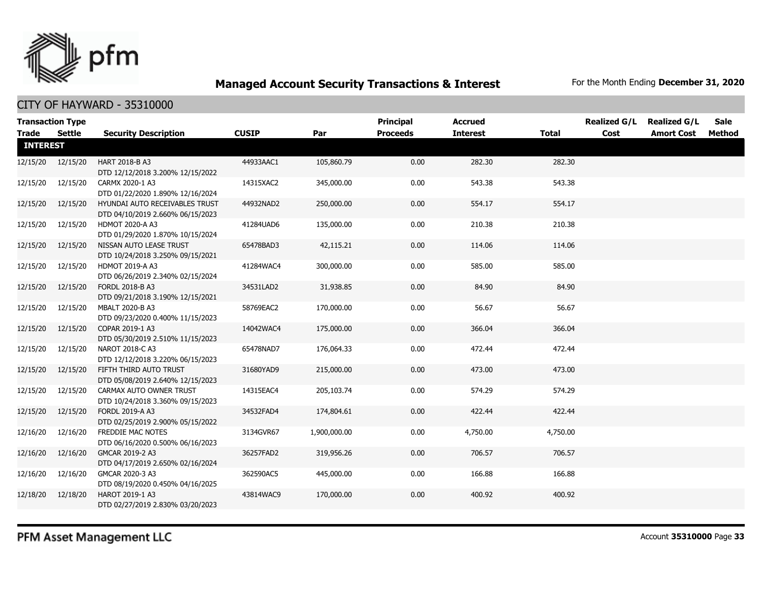

#### CITY OF HAYWARD - 35310000

| <b>Transaction Type</b><br><b>Trade</b> | Settle   | <b>Security Description</b>                                        | <b>CUSIP</b> | Par          | <b>Principal</b><br><b>Proceeds</b> | <b>Accrued</b><br><b>Interest</b> | <b>Total</b> | <b>Realized G/L</b><br>Cost | <b>Realized G/L</b><br><b>Amort Cost</b> | Sale<br>Method |
|-----------------------------------------|----------|--------------------------------------------------------------------|--------------|--------------|-------------------------------------|-----------------------------------|--------------|-----------------------------|------------------------------------------|----------------|
| <b>INTEREST</b>                         |          |                                                                    |              |              |                                     |                                   |              |                             |                                          |                |
| 12/15/20                                | 12/15/20 | HART 2018-B A3<br>DTD 12/12/2018 3.200% 12/15/2022                 | 44933AAC1    | 105,860.79   | 0.00                                | 282.30                            | 282.30       |                             |                                          |                |
| 12/15/20                                | 12/15/20 | CARMX 2020-1 A3<br>DTD 01/22/2020 1.890% 12/16/2024                | 14315XAC2    | 345,000.00   | 0.00                                | 543.38                            | 543.38       |                             |                                          |                |
| 12/15/20                                | 12/15/20 | HYUNDAI AUTO RECEIVABLES TRUST<br>DTD 04/10/2019 2.660% 06/15/2023 | 44932NAD2    | 250,000.00   | 0.00                                | 554.17                            | 554.17       |                             |                                          |                |
| 12/15/20                                | 12/15/20 | <b>HDMOT 2020-A A3</b><br>DTD 01/29/2020 1.870% 10/15/2024         | 41284UAD6    | 135,000.00   | 0.00                                | 210.38                            | 210.38       |                             |                                          |                |
| 12/15/20                                | 12/15/20 | NISSAN AUTO LEASE TRUST<br>DTD 10/24/2018 3.250% 09/15/2021        | 65478BAD3    | 42,115.21    | 0.00                                | 114.06                            | 114.06       |                             |                                          |                |
| 12/15/20                                | 12/15/20 | HDMOT 2019-A A3<br>DTD 06/26/2019 2.340% 02/15/2024                | 41284WAC4    | 300,000.00   | 0.00                                | 585.00                            | 585.00       |                             |                                          |                |
| 12/15/20                                | 12/15/20 | FORDL 2018-B A3<br>DTD 09/21/2018 3.190% 12/15/2021                | 34531LAD2    | 31,938.85    | 0.00                                | 84.90                             | 84.90        |                             |                                          |                |
| 12/15/20                                | 12/15/20 | MBALT 2020-B A3<br>DTD 09/23/2020 0.400% 11/15/2023                | 58769EAC2    | 170,000.00   | 0.00                                | 56.67                             | 56.67        |                             |                                          |                |
| 12/15/20                                | 12/15/20 | COPAR 2019-1 A3<br>DTD 05/30/2019 2.510% 11/15/2023                | 14042WAC4    | 175,000.00   | 0.00                                | 366.04                            | 366.04       |                             |                                          |                |
| 12/15/20                                | 12/15/20 | NAROT 2018-C A3<br>DTD 12/12/2018 3.220% 06/15/2023                | 65478NAD7    | 176,064.33   | 0.00                                | 472.44                            | 472.44       |                             |                                          |                |
| 12/15/20                                | 12/15/20 | FIFTH THIRD AUTO TRUST<br>DTD 05/08/2019 2.640% 12/15/2023         | 31680YAD9    | 215,000.00   | 0.00                                | 473.00                            | 473.00       |                             |                                          |                |
| 12/15/20                                | 12/15/20 | CARMAX AUTO OWNER TRUST<br>DTD 10/24/2018 3.360% 09/15/2023        | 14315EAC4    | 205,103.74   | 0.00                                | 574.29                            | 574.29       |                             |                                          |                |
| 12/15/20                                | 12/15/20 | FORDL 2019-A A3<br>DTD 02/25/2019 2.900% 05/15/2022                | 34532FAD4    | 174,804.61   | 0.00                                | 422.44                            | 422.44       |                             |                                          |                |
| 12/16/20                                | 12/16/20 | FREDDIE MAC NOTES<br>DTD 06/16/2020 0.500% 06/16/2023              | 3134GVR67    | 1,900,000.00 | 0.00                                | 4,750.00                          | 4,750.00     |                             |                                          |                |
| 12/16/20                                | 12/16/20 | GMCAR 2019-2 A3<br>DTD 04/17/2019 2.650% 02/16/2024                | 36257FAD2    | 319,956.26   | 0.00                                | 706.57                            | 706.57       |                             |                                          |                |
| 12/16/20                                | 12/16/20 | GMCAR 2020-3 A3<br>DTD 08/19/2020 0.450% 04/16/2025                | 362590AC5    | 445,000.00   | 0.00                                | 166.88                            | 166.88       |                             |                                          |                |
| 12/18/20                                | 12/18/20 | HAROT 2019-1 A3<br>DTD 02/27/2019 2.830% 03/20/2023                | 43814WAC9    | 170,000.00   | 0.00                                | 400.92                            | 400.92       |                             |                                          |                |

PFM Asset Management LLC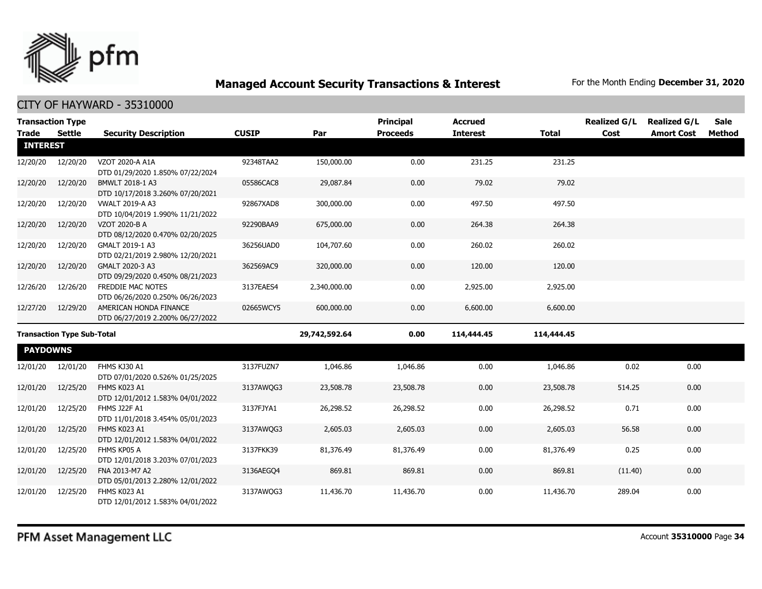

|                                   | <b>Transaction Type</b> |                                                            |               |              | <b>Principal</b> | <b>Accrued</b>  |              | <b>Realized G/L</b> | <b>Realized G/L</b> | <b>Sale</b> |
|-----------------------------------|-------------------------|------------------------------------------------------------|---------------|--------------|------------------|-----------------|--------------|---------------------|---------------------|-------------|
| <b>Trade</b>                      | Settle                  | <b>Security Description</b>                                | <b>CUSIP</b>  | Par          | <b>Proceeds</b>  | <b>Interest</b> | <b>Total</b> | Cost                | <b>Amort Cost</b>   | Method      |
| <b>INTEREST</b>                   |                         |                                                            |               |              |                  |                 |              |                     |                     |             |
| 12/20/20                          | 12/20/20                | VZOT 2020-A A1A<br>DTD 01/29/2020 1.850% 07/22/2024        | 92348TAA2     | 150,000.00   | 0.00             | 231.25          | 231.25       |                     |                     |             |
| 12/20/20                          | 12/20/20                | BMWLT 2018-1 A3<br>DTD 10/17/2018 3.260% 07/20/2021        | 05586CAC8     | 29,087.84    | 0.00             | 79.02           | 79.02        |                     |                     |             |
| 12/20/20                          | 12/20/20                | <b>VWALT 2019-A A3</b><br>DTD 10/04/2019 1.990% 11/21/2022 | 92867XAD8     | 300,000.00   | 0.00             | 497.50          | 497.50       |                     |                     |             |
| 12/20/20                          | 12/20/20                | VZOT 2020-B A<br>DTD 08/12/2020 0.470% 02/20/2025          | 92290BAA9     | 675,000.00   | 0.00             | 264.38          | 264.38       |                     |                     |             |
| 12/20/20                          | 12/20/20                | GMALT 2019-1 A3<br>DTD 02/21/2019 2.980% 12/20/2021        | 36256UAD0     | 104,707.60   | 0.00             | 260.02          | 260.02       |                     |                     |             |
| 12/20/20                          | 12/20/20                | GMALT 2020-3 A3<br>DTD 09/29/2020 0.450% 08/21/2023        | 362569AC9     | 320,000.00   | 0.00             | 120.00          | 120.00       |                     |                     |             |
| 12/26/20                          | 12/26/20                | FREDDIE MAC NOTES<br>DTD 06/26/2020 0.250% 06/26/2023      | 3137EAES4     | 2,340,000.00 | 0.00             | 2,925.00        | 2,925.00     |                     |                     |             |
| 12/27/20                          | 12/29/20                | AMERICAN HONDA FINANCE<br>DTD 06/27/2019 2.200% 06/27/2022 | 02665WCY5     | 600,000.00   | 0.00             | 6,600.00        | 6,600.00     |                     |                     |             |
| <b>Transaction Type Sub-Total</b> |                         |                                                            | 29,742,592.64 | 0.00         | 114,444.45       | 114,444.45      |              |                     |                     |             |
| <b>PAYDOWNS</b>                   |                         |                                                            |               |              |                  |                 |              |                     |                     |             |
| 12/01/20                          | 12/01/20                | FHMS KJ30 A1<br>DTD 07/01/2020 0.526% 01/25/2025           | 3137FUZN7     | 1,046.86     | 1,046.86         | 0.00            | 1,046.86     | 0.02                | 0.00                |             |
| 12/01/20                          | 12/25/20                | FHMS K023 A1<br>DTD 12/01/2012 1.583% 04/01/2022           | 3137AWQG3     | 23,508.78    | 23,508.78        | 0.00            | 23,508.78    | 514.25              | 0.00                |             |
| 12/01/20                          | 12/25/20                | <b>FHMS J22F A1</b><br>DTD 11/01/2018 3.454% 05/01/2023    | 3137FJYA1     | 26,298.52    | 26,298.52        | 0.00            | 26,298.52    | 0.71                | 0.00                |             |
| 12/01/20                          | 12/25/20                | FHMS K023 A1<br>DTD 12/01/2012 1.583% 04/01/2022           | 3137AWQG3     | 2,605.03     | 2,605.03         | 0.00            | 2,605.03     | 56.58               | 0.00                |             |
| 12/01/20                          | 12/25/20                | FHMS KP05 A<br>DTD 12/01/2018 3.203% 07/01/2023            | 3137FKK39     | 81,376.49    | 81,376.49        | 0.00            | 81,376.49    | 0.25                | 0.00                |             |
| 12/01/20                          | 12/25/20                | FNA 2013-M7 A2<br>DTD 05/01/2013 2.280% 12/01/2022         | 3136AEGO4     | 869.81       | 869.81           | 0.00            | 869.81       | (11.40)             | 0.00                |             |
| 12/01/20                          | 12/25/20                | FHMS K023 A1<br>DTD 12/01/2012 1.583% 04/01/2022           | 3137AWQG3     | 11,436.70    | 11,436.70        | 0.00            | 11,436.70    | 289.04              | 0.00                |             |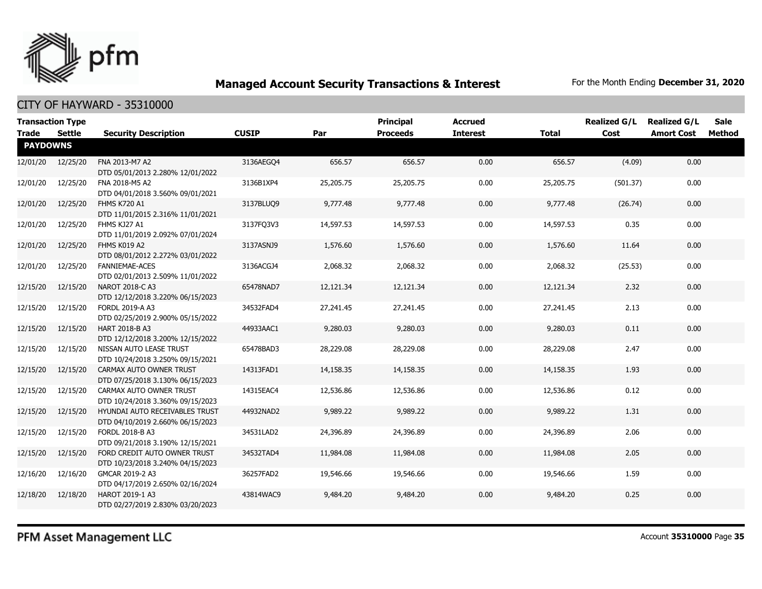

#### CITY OF HAYWARD - 35310000

| <b>Transaction Type</b>         | Settle   |                                                                    | <b>CUSIP</b> | Par       | Principal<br><b>Proceeds</b> | <b>Accrued</b><br><b>Interest</b> | <b>Total</b> | <b>Realized G/L</b><br>Cost | <b>Realized G/L</b> | <b>Sale</b> |
|---------------------------------|----------|--------------------------------------------------------------------|--------------|-----------|------------------------------|-----------------------------------|--------------|-----------------------------|---------------------|-------------|
| <b>Trade</b><br><b>PAYDOWNS</b> |          | <b>Security Description</b>                                        |              |           |                              |                                   |              |                             | <b>Amort Cost</b>   | Method      |
| 12/01/20                        | 12/25/20 | FNA 2013-M7 A2<br>DTD 05/01/2013 2.280% 12/01/2022                 | 3136AEGO4    | 656.57    | 656.57                       | 0.00                              | 656.57       | (4.09)                      | 0.00                |             |
| 12/01/20                        | 12/25/20 | FNA 2018-M5 A2<br>DTD 04/01/2018 3.560% 09/01/2021                 | 3136B1XP4    | 25,205.75 | 25,205.75                    | 0.00                              | 25,205.75    | (501.37)                    | 0.00                |             |
| 12/01/20                        | 12/25/20 | FHMS K720 A1<br>DTD 11/01/2015 2.316% 11/01/2021                   | 3137BLUQ9    | 9,777.48  | 9,777.48                     | 0.00                              | 9,777.48     | (26.74)                     | 0.00                |             |
| 12/01/20                        | 12/25/20 | FHMS KJ27 A1<br>DTD 11/01/2019 2.092% 07/01/2024                   | 3137FQ3V3    | 14,597.53 | 14,597.53                    | 0.00                              | 14,597.53    | 0.35                        | 0.00                |             |
| 12/01/20                        | 12/25/20 | FHMS K019 A2<br>DTD 08/01/2012 2.272% 03/01/2022                   | 3137ASNJ9    | 1,576.60  | 1,576.60                     | 0.00                              | 1,576.60     | 11.64                       | 0.00                |             |
| 12/01/20                        | 12/25/20 | <b>FANNIEMAE-ACES</b><br>DTD 02/01/2013 2.509% 11/01/2022          | 3136ACGJ4    | 2,068.32  | 2,068.32                     | 0.00                              | 2,068.32     | (25.53)                     | 0.00                |             |
| 12/15/20                        | 12/15/20 | NAROT 2018-C A3<br>DTD 12/12/2018 3.220% 06/15/2023                | 65478NAD7    | 12,121.34 | 12,121.34                    | 0.00                              | 12,121.34    | 2.32                        | 0.00                |             |
| 12/15/20                        | 12/15/20 | FORDL 2019-A A3<br>DTD 02/25/2019 2.900% 05/15/2022                | 34532FAD4    | 27,241.45 | 27,241.45                    | 0.00                              | 27,241.45    | 2.13                        | 0.00                |             |
| 12/15/20                        | 12/15/20 | HART 2018-B A3<br>DTD 12/12/2018 3.200% 12/15/2022                 | 44933AAC1    | 9,280.03  | 9,280.03                     | 0.00                              | 9,280.03     | 0.11                        | 0.00                |             |
| 12/15/20                        | 12/15/20 | NISSAN AUTO LEASE TRUST<br>DTD 10/24/2018 3.250% 09/15/2021        | 65478BAD3    | 28,229.08 | 28,229.08                    | 0.00                              | 28,229.08    | 2.47                        | 0.00                |             |
| 12/15/20                        | 12/15/20 | CARMAX AUTO OWNER TRUST<br>DTD 07/25/2018 3.130% 06/15/2023        | 14313FAD1    | 14,158.35 | 14,158.35                    | 0.00                              | 14,158.35    | 1.93                        | 0.00                |             |
| 12/15/20                        | 12/15/20 | CARMAX AUTO OWNER TRUST<br>DTD 10/24/2018 3.360% 09/15/2023        | 14315EAC4    | 12,536.86 | 12,536.86                    | 0.00                              | 12,536.86    | 0.12                        | 0.00                |             |
| 12/15/20                        | 12/15/20 | HYUNDAI AUTO RECEIVABLES TRUST<br>DTD 04/10/2019 2.660% 06/15/2023 | 44932NAD2    | 9,989.22  | 9,989.22                     | 0.00                              | 9,989.22     | 1.31                        | 0.00                |             |
| 12/15/20                        | 12/15/20 | <b>FORDL 2018-B A3</b><br>DTD 09/21/2018 3.190% 12/15/2021         | 34531LAD2    | 24,396.89 | 24,396.89                    | 0.00                              | 24,396.89    | 2.06                        | 0.00                |             |
| 12/15/20                        | 12/15/20 | FORD CREDIT AUTO OWNER TRUST<br>DTD 10/23/2018 3.240% 04/15/2023   | 34532TAD4    | 11,984.08 | 11,984.08                    | 0.00                              | 11,984.08    | 2.05                        | 0.00                |             |
| 12/16/20                        | 12/16/20 | GMCAR 2019-2 A3<br>DTD 04/17/2019 2.650% 02/16/2024                | 36257FAD2    | 19,546.66 | 19,546.66                    | 0.00                              | 19,546.66    | 1.59                        | 0.00                |             |
| 12/18/20                        | 12/18/20 | HAROT 2019-1 A3<br>DTD 02/27/2019 2.830% 03/20/2023                | 43814WAC9    | 9,484.20  | 9,484.20                     | 0.00                              | 9,484.20     | 0.25                        | 0.00                |             |

PFM Asset Management LLC